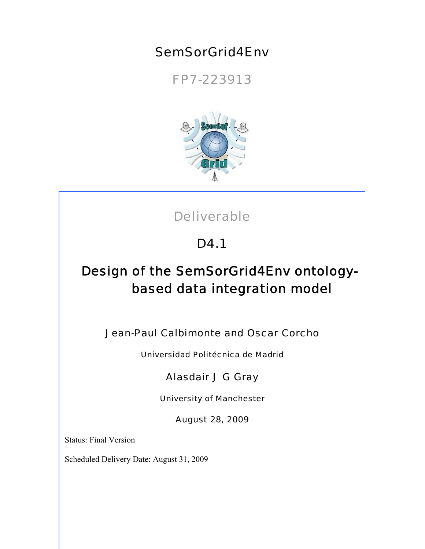# SemSorGrid4Env

FP7-223913



# Deliverable

# D4.1

# Design of the SemSorGrid4Env ontologybased data integration model

Jean-Paul Calbimonte and Oscar Corcho

Universidad Politécnica de Madrid

# Alasdair J G Gray

University of Manchester

August 28, 2009

Status: Final Version

Scheduled Delivery Date: August 31, 2009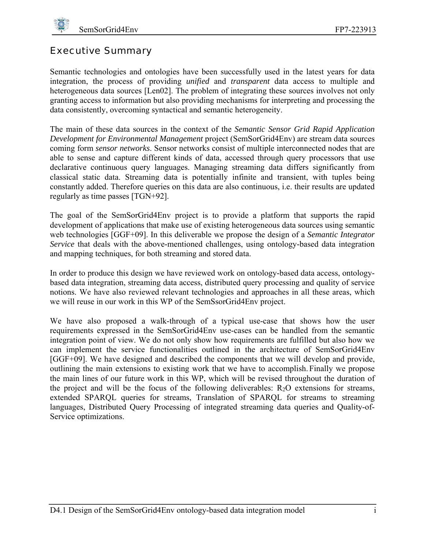### Executive Summary

Semantic technologies and ontologies have been successfully used in the latest years for data integration, the process of providing *unified* and *transparent* data access to multiple and heterogeneous data sources [[Len02\]](#page-59-0). The problem of integrating these sources involves not only granting access to information but also providing mechanisms for interpreting and processing the data consistently, overcoming syntactical and semantic heterogeneity.

The main of these data sources in the context of the *Semantic Sensor Grid Rapid Application Development for Environmental Management* project (SemSorGrid4Env) are stream data sources coming form *sensor networks*. Sensor networks consist of multiple interconnected nodes that are able to sense and capture different kinds of data, accessed through query processors that use declarative continuous query languages. Managing streaming data differs significantly from classical static data. Streaming data is potentially infinite and transient, with tuples being constantly added. Therefore queries on this data are also continuous, i.e. their results are updated regularly as time passes [\[TGN+92\]](#page-62-0).

The goal of the SemSorGrid4Env project is to provide a platform that supports the rapid development of applications that make use of existing heterogeneous data sources using semantic web technologies [GGF+09]. In this deliverable we propose the design of a *Semantic Integrator Service* that deals with the above-mentioned challenges, using ontology-based data integration and mapping techniques, for both streaming and stored data.

In order to produce this design we have reviewed work on ontology-based data access, ontologybased data integration, streaming data access, distributed query processing and quality of service notions. We have also reviewed relevant technologies and approaches in all these areas, which we will reuse in our work in this WP of the SemSsorGrid4Env project.

We have also proposed a walk-through of a typical use-case that shows how the user requirements expressed in the SemSorGrid4Env use-cases can be handled from the semantic integration point of view. We do not only show how requirements are fulfilled but also how we can implement the service functionalities outlined in the architecture of SemSorGrid4Env [\[GGF+09\]](#page-57-0). We have designed and described the components that we will develop and provide, outlining the main extensions to existing work that we have to accomplish. Finally we propose the main lines of our future work in this WP, which will be revised throughout the duration of the project and will be the focus of the following deliverables:  $R_2O$  extensions for streams, extended SPARQL queries for streams, Translation of SPARQL for streams to streaming languages, Distributed Query Processing of integrated streaming data queries and Quality-of-Service optimizations.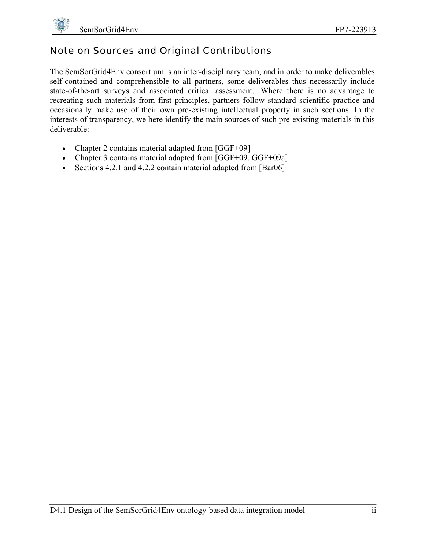

### Note on Sources and Original Contributions

The SemSorGrid4Env consortium is an inter-disciplinary team, and in order to make deliverables self-contained and comprehensible to all partners, some deliverables thus necessarily include state-of-the-art surveys and associated critical assessment. Where there is no advantage to recreating such materials from first principles, partners follow standard scientific practice and occasionally make use of their own pre-existing intellectual property in such sections. In the interests of transparency, we here identify the main sources of such pre-existing materials in this deliverable:

- Chapter [2](#page-12-0) contains material adapted from [GGF+09]
- Chapter [3](#page-19-0) contains material adapted from [GGF+09, [GGF+09a\]](#page-58-0)
- Sections [4.2.1](#page-32-0) and [4.2.2](#page-34-0) contain material adapted from [\[Bar06\]](#page-55-0)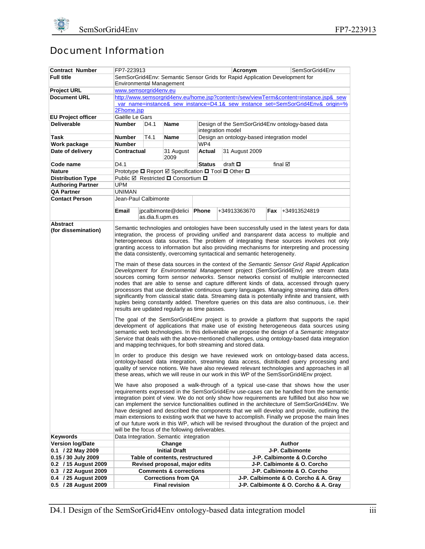

### Document Information

| <b>Contract Number</b>    | FP7-223913<br>SemSorGrid4Env<br>Acronym                                                                                                                                                                                                                                                                                                                                                                                                                                                                                                                                                                                                                                                                                                                                    |                  |                                                            |                   |  |                                                                           |     |                                                                                               |
|---------------------------|----------------------------------------------------------------------------------------------------------------------------------------------------------------------------------------------------------------------------------------------------------------------------------------------------------------------------------------------------------------------------------------------------------------------------------------------------------------------------------------------------------------------------------------------------------------------------------------------------------------------------------------------------------------------------------------------------------------------------------------------------------------------------|------------------|------------------------------------------------------------|-------------------|--|---------------------------------------------------------------------------|-----|-----------------------------------------------------------------------------------------------|
| <b>Full title</b>         | SemSorGrid4Env: Semantic Sensor Grids for Rapid Application Development for                                                                                                                                                                                                                                                                                                                                                                                                                                                                                                                                                                                                                                                                                                |                  |                                                            |                   |  |                                                                           |     |                                                                                               |
|                           | <b>Environmental Management</b><br>www.semsorgrid4env.eu                                                                                                                                                                                                                                                                                                                                                                                                                                                                                                                                                                                                                                                                                                                   |                  |                                                            |                   |  |                                                                           |     |                                                                                               |
| <b>Project URL</b>        |                                                                                                                                                                                                                                                                                                                                                                                                                                                                                                                                                                                                                                                                                                                                                                            |                  |                                                            |                   |  |                                                                           |     |                                                                                               |
| <b>Document URL</b>       | http://www.semsorgrid4env.eu/home.jsp?content=/sew/viewTerm&content=instance.jsp&_sew                                                                                                                                                                                                                                                                                                                                                                                                                                                                                                                                                                                                                                                                                      |                  |                                                            |                   |  |                                                                           |     |                                                                                               |
|                           | var_name=instance&_sew_instance=D4.1&_sew_instance_set=SemSorGrid4Env&_origin=%<br>2Fhome.jsp                                                                                                                                                                                                                                                                                                                                                                                                                                                                                                                                                                                                                                                                              |                  |                                                            |                   |  |                                                                           |     |                                                                                               |
| <b>EU Project officer</b> | Gaëlle Le Gars                                                                                                                                                                                                                                                                                                                                                                                                                                                                                                                                                                                                                                                                                                                                                             |                  |                                                            |                   |  |                                                                           |     |                                                                                               |
| <b>Deliverable</b>        | Number                                                                                                                                                                                                                                                                                                                                                                                                                                                                                                                                                                                                                                                                                                                                                                     | D4.1             | Name                                                       |                   |  |                                                                           |     | Design of the SemSorGrid4Env ontology-based data                                              |
|                           |                                                                                                                                                                                                                                                                                                                                                                                                                                                                                                                                                                                                                                                                                                                                                                            |                  |                                                            | integration model |  |                                                                           |     |                                                                                               |
| Task                      | Number                                                                                                                                                                                                                                                                                                                                                                                                                                                                                                                                                                                                                                                                                                                                                                     | T4.1             | Name                                                       |                   |  | Design an ontology-based integration model                                |     |                                                                                               |
| Work package              | <b>Number</b>                                                                                                                                                                                                                                                                                                                                                                                                                                                                                                                                                                                                                                                                                                                                                              |                  |                                                            | WP4               |  |                                                                           |     |                                                                                               |
| Date of delivery          | Contractual                                                                                                                                                                                                                                                                                                                                                                                                                                                                                                                                                                                                                                                                                                                                                                |                  | 31 August                                                  | Actual            |  | 31 August 2009                                                            |     |                                                                                               |
|                           |                                                                                                                                                                                                                                                                                                                                                                                                                                                                                                                                                                                                                                                                                                                                                                            |                  | 2009                                                       |                   |  |                                                                           |     |                                                                                               |
| Code name                 | D4.1                                                                                                                                                                                                                                                                                                                                                                                                                                                                                                                                                                                                                                                                                                                                                                       |                  |                                                            | <b>Status</b>     |  | draft <b>□</b>                                                            |     | final $\boxtimes$                                                                             |
| <b>Nature</b>             |                                                                                                                                                                                                                                                                                                                                                                                                                                                                                                                                                                                                                                                                                                                                                                            |                  | Prototype <b>□</b> Report Ø Specification □ Tool □ Other □ |                   |  |                                                                           |     |                                                                                               |
| <b>Distribution Type</b>  |                                                                                                                                                                                                                                                                                                                                                                                                                                                                                                                                                                                                                                                                                                                                                                            |                  | Public <b>Ø</b> Restricted <b>□</b> Consortium □           |                   |  |                                                                           |     |                                                                                               |
| <b>Authoring Partner</b>  | UPM                                                                                                                                                                                                                                                                                                                                                                                                                                                                                                                                                                                                                                                                                                                                                                        |                  |                                                            |                   |  |                                                                           |     |                                                                                               |
| <b>QA Partner</b>         | <b>UNIMAN</b>                                                                                                                                                                                                                                                                                                                                                                                                                                                                                                                                                                                                                                                                                                                                                              |                  |                                                            |                   |  |                                                                           |     |                                                                                               |
| <b>Contact Person</b>     | Jean-Paul Calbimonte                                                                                                                                                                                                                                                                                                                                                                                                                                                                                                                                                                                                                                                                                                                                                       |                  |                                                            |                   |  |                                                                           |     |                                                                                               |
|                           |                                                                                                                                                                                                                                                                                                                                                                                                                                                                                                                                                                                                                                                                                                                                                                            |                  |                                                            |                   |  |                                                                           |     |                                                                                               |
|                           | Email                                                                                                                                                                                                                                                                                                                                                                                                                                                                                                                                                                                                                                                                                                                                                                      |                  | jpcalbimonte@delici Phone                                  |                   |  | +34913363670                                                              | Fax | +34913524819                                                                                  |
|                           |                                                                                                                                                                                                                                                                                                                                                                                                                                                                                                                                                                                                                                                                                                                                                                            | as.dia.fi.upm.es |                                                            |                   |  |                                                                           |     |                                                                                               |
| Abstract                  |                                                                                                                                                                                                                                                                                                                                                                                                                                                                                                                                                                                                                                                                                                                                                                            |                  |                                                            |                   |  |                                                                           |     |                                                                                               |
| (for dissemination)       |                                                                                                                                                                                                                                                                                                                                                                                                                                                                                                                                                                                                                                                                                                                                                                            |                  |                                                            |                   |  |                                                                           |     | Semantic technologies and ontologies have been successfully used in the latest years for data |
|                           |                                                                                                                                                                                                                                                                                                                                                                                                                                                                                                                                                                                                                                                                                                                                                                            |                  |                                                            |                   |  |                                                                           |     | integration, the process of providing unified and transparent data access to multiple and     |
|                           |                                                                                                                                                                                                                                                                                                                                                                                                                                                                                                                                                                                                                                                                                                                                                                            |                  |                                                            |                   |  |                                                                           |     | heterogeneous data sources. The problem of integrating these sources involves not only        |
|                           |                                                                                                                                                                                                                                                                                                                                                                                                                                                                                                                                                                                                                                                                                                                                                                            |                  |                                                            |                   |  |                                                                           |     | granting access to information but also providing mechanisms for interpreting and processing  |
|                           |                                                                                                                                                                                                                                                                                                                                                                                                                                                                                                                                                                                                                                                                                                                                                                            |                  |                                                            |                   |  | the data consistently, overcoming syntactical and semantic heterogeneity. |     |                                                                                               |
|                           |                                                                                                                                                                                                                                                                                                                                                                                                                                                                                                                                                                                                                                                                                                                                                                            |                  |                                                            |                   |  |                                                                           |     | The main of these data sources in the context of the Semantic Sensor Grid Rapid Application   |
|                           |                                                                                                                                                                                                                                                                                                                                                                                                                                                                                                                                                                                                                                                                                                                                                                            |                  |                                                            |                   |  |                                                                           |     | Development for Environmental Management project (SemSorGrid4Env) are stream data             |
|                           | sources coming form sensor networks. Sensor networks consist of multiple interconnected<br>nodes that are able to sense and capture different kinds of data, accessed through query                                                                                                                                                                                                                                                                                                                                                                                                                                                                                                                                                                                        |                  |                                                            |                   |  |                                                                           |     |                                                                                               |
|                           |                                                                                                                                                                                                                                                                                                                                                                                                                                                                                                                                                                                                                                                                                                                                                                            |                  |                                                            |                   |  |                                                                           |     |                                                                                               |
|                           | processors that use declarative continuous query languages. Managing streaming data differs                                                                                                                                                                                                                                                                                                                                                                                                                                                                                                                                                                                                                                                                                |                  |                                                            |                   |  |                                                                           |     |                                                                                               |
|                           | significantly from classical static data. Streaming data is potentially infinite and transient, with                                                                                                                                                                                                                                                                                                                                                                                                                                                                                                                                                                                                                                                                       |                  |                                                            |                   |  |                                                                           |     |                                                                                               |
|                           | tuples being constantly added. Therefore queries on this data are also continuous, i.e. their                                                                                                                                                                                                                                                                                                                                                                                                                                                                                                                                                                                                                                                                              |                  |                                                            |                   |  |                                                                           |     |                                                                                               |
|                           | results are updated regularly as time passes.                                                                                                                                                                                                                                                                                                                                                                                                                                                                                                                                                                                                                                                                                                                              |                  |                                                            |                   |  |                                                                           |     |                                                                                               |
|                           | The goal of the SemSorGrid4Env project is to provide a platform that supports the rapid                                                                                                                                                                                                                                                                                                                                                                                                                                                                                                                                                                                                                                                                                    |                  |                                                            |                   |  |                                                                           |     |                                                                                               |
|                           | development of applications that make use of existing heterogeneous data sources using                                                                                                                                                                                                                                                                                                                                                                                                                                                                                                                                                                                                                                                                                     |                  |                                                            |                   |  |                                                                           |     |                                                                                               |
|                           |                                                                                                                                                                                                                                                                                                                                                                                                                                                                                                                                                                                                                                                                                                                                                                            |                  |                                                            |                   |  |                                                                           |     | semantic web technologies. In this deliverable we propose the design of a Semantic Integrator |
|                           |                                                                                                                                                                                                                                                                                                                                                                                                                                                                                                                                                                                                                                                                                                                                                                            |                  |                                                            |                   |  |                                                                           |     | Service that deals with the above-mentioned challenges, using ontology-based data integration |
|                           |                                                                                                                                                                                                                                                                                                                                                                                                                                                                                                                                                                                                                                                                                                                                                                            |                  |                                                            |                   |  | and mapping techniques, for both streaming and stored data.               |     |                                                                                               |
|                           |                                                                                                                                                                                                                                                                                                                                                                                                                                                                                                                                                                                                                                                                                                                                                                            |                  |                                                            |                   |  |                                                                           |     |                                                                                               |
|                           | In order to produce this design we have reviewed work on ontology-based data access,<br>ontology-based data integration, streaming data access, distributed query processing and                                                                                                                                                                                                                                                                                                                                                                                                                                                                                                                                                                                           |                  |                                                            |                   |  |                                                                           |     |                                                                                               |
|                           |                                                                                                                                                                                                                                                                                                                                                                                                                                                                                                                                                                                                                                                                                                                                                                            |                  |                                                            |                   |  |                                                                           |     |                                                                                               |
|                           | quality of service notions. We have also reviewed relevant technologies and approaches in all<br>these areas, which we will reuse in our work in this WP of the SemSsorGrid4Env project.<br>We have also proposed a walk-through of a typical use-case that shows how the user<br>requirements expressed in the SemSorGrid4Env use-cases can be handled from the semantic<br>integration point of view. We do not only show how requirements are fulfilled but also how we<br>can implement the service functionalities outlined in the architecture of SemSorGrid4Env. We<br>have designed and described the components that we will develop and provide, outlining the<br>main extensions to existing work that we have to accomplish. Finally we propose the main lines |                  |                                                            |                   |  |                                                                           |     |                                                                                               |
|                           |                                                                                                                                                                                                                                                                                                                                                                                                                                                                                                                                                                                                                                                                                                                                                                            |                  |                                                            |                   |  |                                                                           |     |                                                                                               |
|                           |                                                                                                                                                                                                                                                                                                                                                                                                                                                                                                                                                                                                                                                                                                                                                                            |                  |                                                            |                   |  |                                                                           |     |                                                                                               |
|                           |                                                                                                                                                                                                                                                                                                                                                                                                                                                                                                                                                                                                                                                                                                                                                                            |                  |                                                            |                   |  |                                                                           |     |                                                                                               |
|                           |                                                                                                                                                                                                                                                                                                                                                                                                                                                                                                                                                                                                                                                                                                                                                                            |                  |                                                            |                   |  |                                                                           |     |                                                                                               |
|                           |                                                                                                                                                                                                                                                                                                                                                                                                                                                                                                                                                                                                                                                                                                                                                                            |                  |                                                            |                   |  |                                                                           |     |                                                                                               |
|                           |                                                                                                                                                                                                                                                                                                                                                                                                                                                                                                                                                                                                                                                                                                                                                                            |                  |                                                            |                   |  |                                                                           |     |                                                                                               |
|                           |                                                                                                                                                                                                                                                                                                                                                                                                                                                                                                                                                                                                                                                                                                                                                                            |                  |                                                            |                   |  |                                                                           |     |                                                                                               |
|                           | of our future work in this WP, which will be revised throughout the duration of the project and                                                                                                                                                                                                                                                                                                                                                                                                                                                                                                                                                                                                                                                                            |                  |                                                            |                   |  |                                                                           |     |                                                                                               |
|                           | will be the focus of the following deliverables.<br>Data Integration. Semantic integration                                                                                                                                                                                                                                                                                                                                                                                                                                                                                                                                                                                                                                                                                 |                  |                                                            |                   |  |                                                                           |     |                                                                                               |
| <b>Keywords</b>           |                                                                                                                                                                                                                                                                                                                                                                                                                                                                                                                                                                                                                                                                                                                                                                            |                  |                                                            |                   |  |                                                                           |     |                                                                                               |
| <b>Version log/Date</b>   |                                                                                                                                                                                                                                                                                                                                                                                                                                                                                                                                                                                                                                                                                                                                                                            |                  | Change                                                     |                   |  |                                                                           |     | Author                                                                                        |
| $0.1$ / 22 May 2009       |                                                                                                                                                                                                                                                                                                                                                                                                                                                                                                                                                                                                                                                                                                                                                                            |                  | <b>Initial Draft</b>                                       |                   |  |                                                                           |     | J-P. Calbimonte                                                                               |
| 0.15 / 30 July 2009       |                                                                                                                                                                                                                                                                                                                                                                                                                                                                                                                                                                                                                                                                                                                                                                            |                  | Table of contents, restructured                            |                   |  |                                                                           |     | J-P. Calbimonte & O.Corcho                                                                    |
| 0.2 / 15 August 2009      |                                                                                                                                                                                                                                                                                                                                                                                                                                                                                                                                                                                                                                                                                                                                                                            |                  | Revised proposal, major edits                              |                   |  |                                                                           |     | J-P. Calbimonte & O. Corcho                                                                   |
| 0.3 / 22 August 2009      |                                                                                                                                                                                                                                                                                                                                                                                                                                                                                                                                                                                                                                                                                                                                                                            |                  | <b>Comments &amp; corrections</b>                          |                   |  |                                                                           |     | J-P. Calbimonte & O. Corcho                                                                   |
| 0.4 / 25 August 2009      |                                                                                                                                                                                                                                                                                                                                                                                                                                                                                                                                                                                                                                                                                                                                                                            |                  | <b>Corrections from QA</b>                                 |                   |  |                                                                           |     | J-P. Calbimonte & O. Corcho & A. Gray                                                         |
| 0.5 / 28 August 2009      |                                                                                                                                                                                                                                                                                                                                                                                                                                                                                                                                                                                                                                                                                                                                                                            |                  | <b>Final revision</b>                                      |                   |  |                                                                           |     | J-P. Calbimonte & O. Corcho & A. Gray                                                         |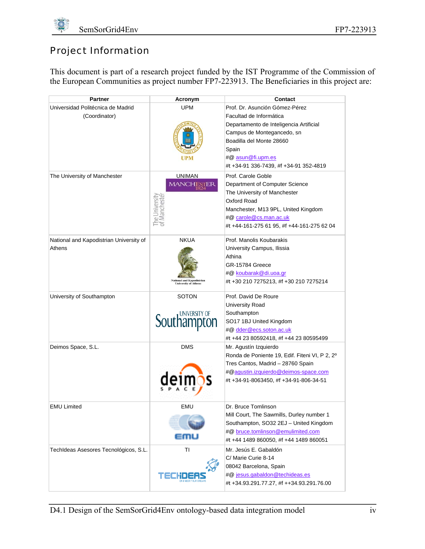

# Project Information

This document is part of a research project funded by the IST Programme of the Commission of the European Communities as project number FP7-223913. The Beneficiaries in this project are:

| <b>Partner</b>                          | Acronym                          | Contact                                        |
|-----------------------------------------|----------------------------------|------------------------------------------------|
| Universidad Politécnica de Madrid       | <b>UPM</b>                       | Prof. Dr. Asunción Gómez-Pérez                 |
| (Coordinator)                           |                                  | Facultad de Informática                        |
|                                         |                                  | Departamento de Inteligencia Artificial        |
|                                         |                                  | Campus de Montegancedo, sn                     |
|                                         |                                  | Boadilla del Monte 28660                       |
|                                         |                                  | Spain                                          |
|                                         |                                  | #@ asun@fi.upm.es                              |
|                                         |                                  | #t +34-91 336-7439, #f +34-91 352-4819         |
|                                         |                                  |                                                |
| The University of Manchester            | <b>UNIMAN</b>                    | Prof. Carole Goble                             |
|                                         | MANCHESTER                       | Department of Computer Science                 |
|                                         |                                  | The University of Manchester                   |
|                                         |                                  | Oxford Road                                    |
|                                         |                                  | Manchester, M13 9PL, United Kingdom            |
|                                         |                                  | #@ carole@cs.man.ac.uk                         |
|                                         |                                  | #t +44-161-275 61 95, #f +44-161-275 62 04     |
| National and Kapodistrian University of | <b>NKUA</b>                      | Prof. Manolis Koubarakis                       |
| Athens                                  |                                  | University Campus, Ilissia                     |
|                                         |                                  | Athina                                         |
|                                         |                                  | GR-15784 Greece                                |
|                                         |                                  | #@ koubarak@di.uoa.gr                          |
|                                         | <b>National and Kapodistrian</b> | #t +30 210 7275213, #f +30 210 7275214         |
|                                         | <b>University of Athens</b>      |                                                |
| University of Southampton               | <b>SOTON</b>                     | Prof. David De Roure                           |
|                                         |                                  | University Road                                |
|                                         |                                  | Southampton                                    |
|                                         | <b>Southampton</b>               | SO17 1BJ United Kingdom                        |
|                                         |                                  | #@ dder@ecs.soton.ac.uk                        |
|                                         |                                  | #t +44 23 80592418, #f +44 23 80595499         |
| Deimos Space, S.L.                      | <b>DMS</b>                       | Mr. Agustín Izquierdo                          |
|                                         |                                  | Ronda de Poniente 19, Edif. Fiteni VI, P 2, 2º |
|                                         |                                  | Tres Cantos, Madrid - 28760 Spain              |
|                                         |                                  | #@agustin.izquierdo@deimos-space.com           |
|                                         |                                  | #t +34-91-8063450, #f +34-91-806-34-51         |
|                                         |                                  |                                                |
|                                         |                                  |                                                |
| <b>EMU Limited</b>                      | EMU                              | Dr. Bruce Tomlinson                            |
|                                         |                                  | Mill Court, The Sawmills, Durley number 1      |
|                                         |                                  | Southampton, SO32 2EJ - United Kingdom         |
|                                         |                                  | #@ bruce.tomlinson@emulimited.com              |
|                                         | s m                              | #t +44 1489 860050, #f +44 1489 860051         |
| TechIdeas Asesores Tecnológicos, S.L.   | TI                               | Mr. Jesús E. Gabaldón                          |
|                                         |                                  | C/ Marie Curie 8-14                            |
|                                         |                                  | 08042 Barcelona, Spain                         |
|                                         |                                  | #@ jesus.gabaldon@techideas.es                 |
|                                         |                                  | #t +34.93.291.77.27, #f ++34.93.291.76.00      |
|                                         |                                  |                                                |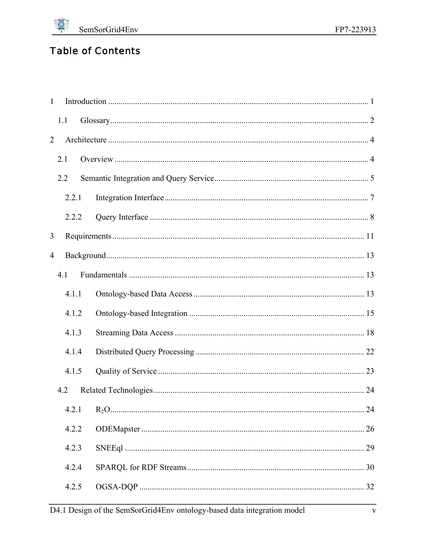

# **Table of Contents**

| $\mathbf{1}$   |       |  |
|----------------|-------|--|
|                | 1.1   |  |
| $\overline{2}$ |       |  |
|                | 2.1   |  |
|                | 2.2   |  |
|                | 2.2.1 |  |
|                | 2.2.2 |  |
| 3              |       |  |
| $\overline{4}$ |       |  |
|                | 4.1   |  |
|                | 4.1.1 |  |
|                | 4.1.2 |  |
|                | 4.1.3 |  |
|                | 4.1.4 |  |
|                | 4.1.5 |  |
|                | 4.2   |  |
|                | 4.2.1 |  |
|                | 4.2.2 |  |
|                | 4.2.3 |  |
|                | 4.2.4 |  |
|                | 4.2.5 |  |
|                |       |  |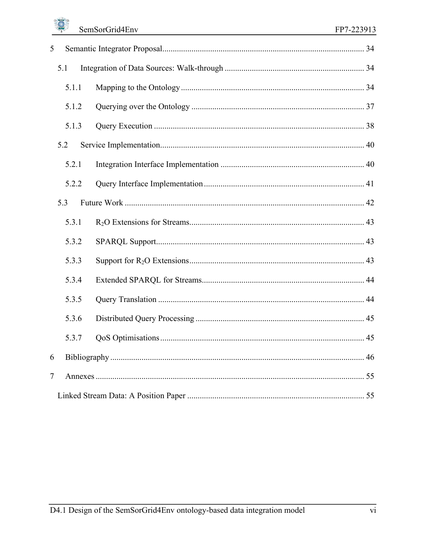| 5                        |       |  |
|--------------------------|-------|--|
|                          | 5.1   |  |
|                          | 5.1.1 |  |
|                          | 5.1.2 |  |
|                          | 5.1.3 |  |
|                          | 5.2   |  |
|                          | 5.2.1 |  |
|                          | 5.2.2 |  |
|                          | 5.3   |  |
|                          | 5.3.1 |  |
|                          | 5.3.2 |  |
|                          | 5.3.3 |  |
|                          | 5.3.4 |  |
|                          | 5.3.5 |  |
|                          | 5.3.6 |  |
|                          | 5.3.7 |  |
| 6                        |       |  |
| $\overline{\mathcal{L}}$ |       |  |
|                          |       |  |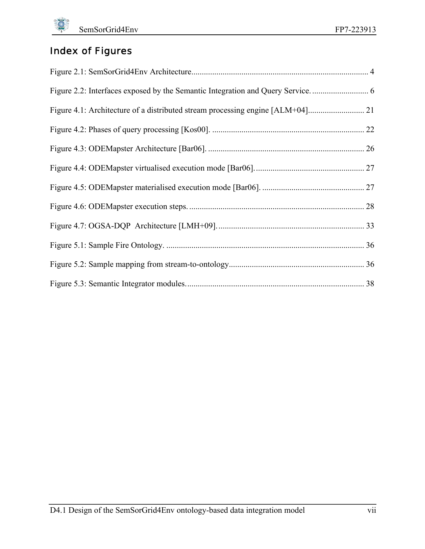# Index of Figures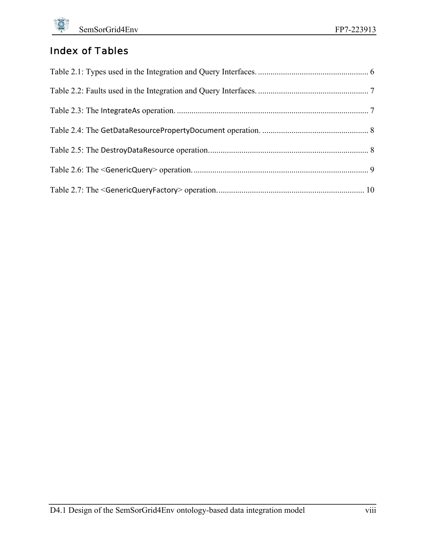# Index of Tables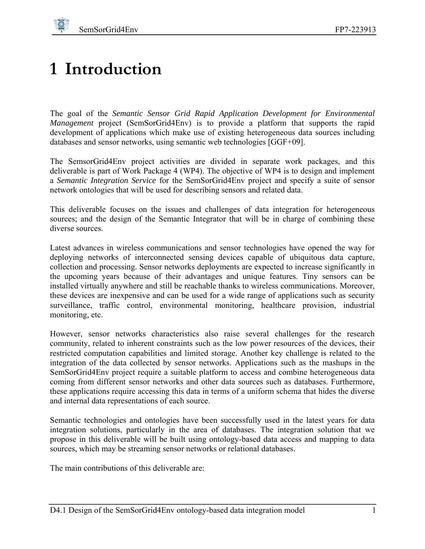# <span id="page-9-0"></span>**1 Introduction**

The goal of the *Semantic Sensor Grid Rapid Application Development for Environmental Management* project (SemSorGrid4Env) is to provide a platform that supports the rapid development of applications which make use of existing heterogeneous data sources including databases and sensor networks, using semantic web technologies [GGF+09].

The SemsorGrid4Env project activities are divided in separate work packages, and this deliverable is part of Work Package 4 (WP4). The objective of WP4 is to design and implement a *Semantic Integration Service* for the SemSorGrid4Env project and specify a suite of sensor network ontologies that will be used for describing sensors and related data.

This deliverable focuses on the issues and challenges of data integration for heterogeneous sources; and the design of the Semantic Integrator that will be in charge of combining these diverse sources.

Latest advances in wireless communications and sensor technologies have opened the way for deploying networks of interconnected sensing devices capable of ubiquitous data capture, collection and processing. Sensor networks deployments are expected to increase significantly in the upcoming years because of their advantages and unique features. Tiny sensors can be installed virtually anywhere and still be reachable thanks to wireless communications. Moreover, these devices are inexpensive and can be used for a wide range of applications such as security surveillance, traffic control, environmental monitoring, healthcare provision, industrial monitoring, etc.

However, sensor networks characteristics also raise several challenges for the research community, related to inherent constraints such as the low power resources of the devices, their restricted computation capabilities and limited storage. Another key challenge is related to the integration of the data collected by sensor networks. Applications such as the mashups in the SemSorGrid4Env project require a suitable platform to access and combine heterogeneous data coming from different sensor networks and other data sources such as databases. Furthermore, these applications require accessing this data in terms of a uniform schema that hides the diverse and internal data representations of each source.

Semantic technologies and ontologies have been successfully used in the latest years for data integration solutions, particularly in the area of databases. The integration solution that we propose in this deliverable will be built using ontology-based data access and mapping to data sources, which may be streaming sensor networks or relational databases.

The main contributions of this deliverable are: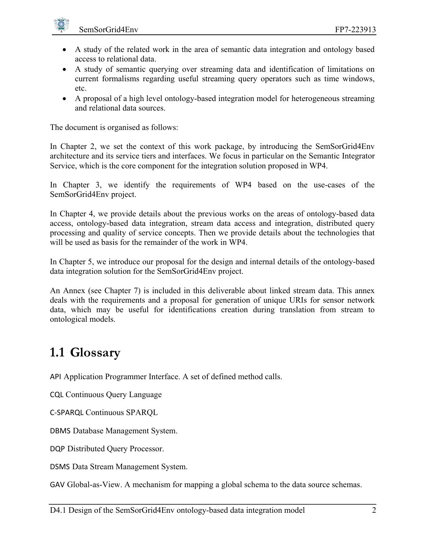<span id="page-10-0"></span>

- A study of the related work in the area of semantic data integration and ontology based access to relational data.
- A study of semantic querying over streaming data and identification of limitations on current formalisms regarding useful streaming query operators such as time windows, etc.
- A proposal of a high level ontology-based integration model for heterogeneous streaming and relational data sources.

The document is organised as follows:

In Chapter [2](#page-12-0), we set the context of this work package, by introducing the SemSorGrid4Env architecture and its service tiers and interfaces. We focus in particular on the Semantic Integrator Service, which is the core component for the integration solution proposed in WP4.

In Chapter [3,](#page-19-0) we identify the requirements of WP4 based on the use-cases of the SemSorGrid4Env project.

In Chapter [4](#page-21-1), we provide details about the previous works on the areas of ontology-based data access, ontology-based data integration, stream data access and integration, distributed query processing and quality of service concepts. Then we provide details about the technologies that will be used as basis for the remainder of the work in WP4.

In Chapter [5,](#page-42-1) we introduce our proposal for the design and internal details of the ontology-based data integration solution for the SemSorGrid4Env project.

An Annex (see Chapter [7\)](#page-63-1) is included in this deliverable about linked stream data. This annex deals with the requirements and a proposal for generation of unique URIs for sensor network data, which may be useful for identifications creation during translation from stream to ontological models.

# **1.1 Glossary**

API Application Programmer Interface. A set of defined method calls.

CQL Continuous Query Language

C‐SPARQL Continuous SPARQL

DBMS Database Management System.

DQP Distributed Query Processor.

DSMS Data Stream Management System.

GAV Global-as-View. A mechanism for mapping a global schema to the data source schemas.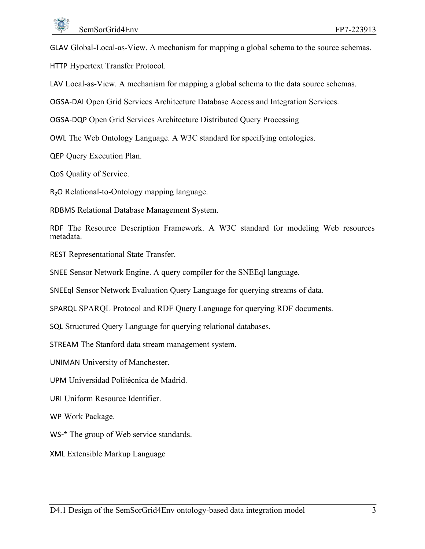GLAV Global-Local-as-View. A mechanism for mapping a global schema to the source schemas.

HTTP Hypertext Transfer Protocol.

LAV Local-as-View. A mechanism for mapping a global schema to the data source schemas.

OGSA‐DAI Open Grid Services Architecture Database Access and Integration Services.

OGSA‐DQP Open Grid Services Architecture Distributed Query Processing

OWL The Web Ontology Language. A W3C standard for specifying ontologies.

QEP Query Execution Plan.

QoS Quality of Service.

R2O Relational-to-Ontology mapping language.

RDBMS Relational Database Management System.

RDF The Resource Description Framework. A W3C standard for modeling Web resources metadata.

REST Representational State Transfer.

SNEE Sensor Network Engine. A query compiler for the SNEEql language.

SNEEql Sensor Network Evaluation Query Language for querying streams of data.

SPARQL SPARQL Protocol and RDF Query Language for querying RDF documents.

SQL Structured Query Language for querying relational databases.

STREAM The Stanford data stream management system.

UNIMAN University of Manchester.

UPM Universidad Politécnica de Madrid.

URI Uniform Resource Identifier.

WP Work Package.

WS-\* The group of Web service standards.

XML Extensible Markup Language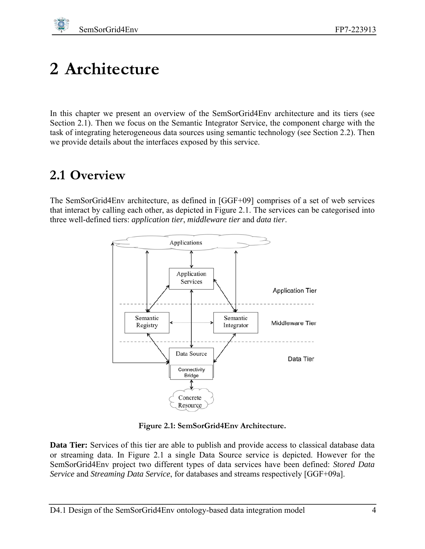<span id="page-12-1"></span>

# <span id="page-12-0"></span>**2 Architecture**

In this chapter we present an overview of the SemSorGrid4Env architecture and its tiers (see Section [2.1\)](#page-12-2). Then we focus on the Semantic Integrator Service, the component charge with the task of integrating heterogeneous data sources using semantic technology (see Section [2.2](#page-13-1)). Then we provide details about the interfaces exposed by this service.

# <span id="page-12-2"></span>**2.1 Overview**

The SemSorGrid4Env architecture, as defined in [GGF+09] comprises of a set of web services that interact by calling each other, as depicted in [Figure 2.1.](#page-12-3) The services can be categorised into three well-defined tiers: *application tier*, *middleware tier* and *data tier*.



**Figure 2.1: SemSorGrid4Env Architecture.**

<span id="page-12-3"></span>**Data Tier:** Services of this tier are able to publish and provide access to classical database data or streaming data. In [Figure 2.1](#page-12-3) a single Data Source service is depicted. However for the SemSorGrid4Env project two different types of data services have been defined: *Stored Data Service* and *Streaming Data Service*, for databases and streams respectively [GGF+09a].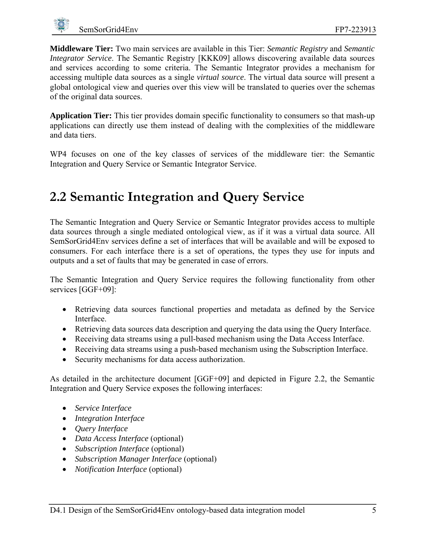<span id="page-13-0"></span>

**Middleware Tier:** Two main services are available in this Tier: *Semantic Registry* and *Semantic Integrator Service*. The Semantic Registry [[KKK09](#page-59-1)] allows discovering available data sources and services according to some criteria. The Semantic Integrator provides a mechanism for accessing multiple data sources as a single *virtual source*. The virtual data source will present a global ontological view and queries over this view will be translated to queries over the schemas of the original data sources.

**Application Tier:** This tier provides domain specific functionality to consumers so that mash-up applications can directly use them instead of dealing with the complexities of the middleware and data tiers.

WP4 focuses on one of the key classes of services of the middleware tier: the Semantic Integration and Query Service or Semantic Integrator Service.

# <span id="page-13-1"></span>**2.2 Semantic Integration and Query Service**

The Semantic Integration and Query Service or Semantic Integrator provides access to multiple data sources through a single mediated ontological view, as if it was a virtual data source. All SemSorGrid4Env services define a set of interfaces that will be available and will be exposed to consumers. For each interface there is a set of operations, the types they use for inputs and outputs and a set of faults that may be generated in case of errors.

The Semantic Integration and Query Service requires the following functionality from other services [GGF+09]:

- Retrieving data sources functional properties and metadata as defined by the Service Interface.
- Retrieving data sources data description and querying the data using the Query Interface.
- Receiving data streams using a pull-based mechanism using the Data Access Interface.
- Receiving data streams using a push-based mechanism using the Subscription Interface.
- Security mechanisms for data access authorization.

As detailed in the architecture document [GGF+09] and depicted in [Figure 2.2](#page-14-1), the Semantic Integration and Query Service exposes the following interfaces:

- *Service Interface*
- *Integration Interface*
- *Query Interface*
- *Data Access Interface* (optional)
- *Subscription Interface* (optional)
- *Subscription Manager Interface* (optional)
- *Notification Interface* (optional)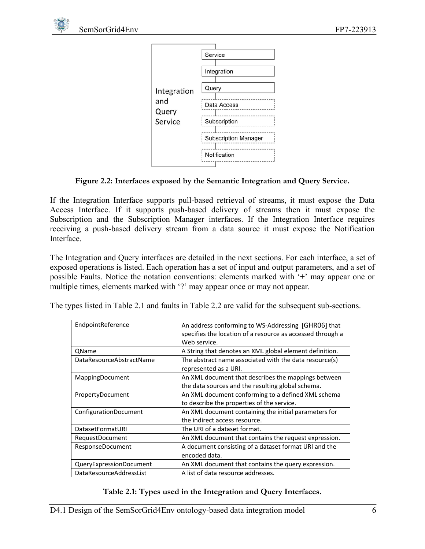<span id="page-14-0"></span>



#### **Figure 2.2: Interfaces exposed by the Semantic Integration and Query Service.**

<span id="page-14-1"></span>If the Integration Interface supports pull-based retrieval of streams, it must expose the Data Access Interface. If it supports push-based delivery of streams then it must expose the Subscription and the Subscription Manager interfaces. If the Integration Interface requires receiving a push-based delivery stream from a data source it must expose the Notification **Interface** 

The Integration and Query interfaces are detailed in the next sections. For each interface, a set of exposed operations is listed. Each operation has a set of input and output parameters, and a set of possible Faults. Notice the notation conventions: elements marked with '+' may appear one or multiple times, elements marked with '?' may appear once or may not appear.

The types listed in [Table 2.1](#page-14-2) and faults in [Table 2.2](#page-15-1) are valid for the subsequent sub-sections.

| EndpointReference              | An address conforming to WS-Addressing [GHR06] that<br>specifies the location of a resource as accessed through a<br>Web service. |
|--------------------------------|-----------------------------------------------------------------------------------------------------------------------------------|
| QName                          | A String that denotes an XML global element definition.                                                                           |
| DataResourceAbstractName       | The abstract name associated with the data resource(s)<br>represented as a URI.                                                   |
| MappingDocument                | An XML document that describes the mappings between                                                                               |
|                                | the data sources and the resulting global schema.                                                                                 |
| PropertyDocument               | An XML document conforming to a defined XML schema                                                                                |
|                                | to describe the properties of the service.                                                                                        |
| ConfigurationDocument          | An XML document containing the initial parameters for                                                                             |
|                                | the indirect access resource.                                                                                                     |
| <b>DatasetFormatURI</b>        | The URI of a dataset format.                                                                                                      |
| RequestDocument                | An XML document that contains the request expression.                                                                             |
| ResponseDocument               | A document consisting of a dataset format URI and the                                                                             |
|                                | encoded data.                                                                                                                     |
| QueryExpressionDocument        | An XML document that contains the query expression.                                                                               |
| <b>DataResourceAddressList</b> | A list of data resource addresses.                                                                                                |

<span id="page-14-2"></span>**Table 2.1: Types used in the Integration and Query Interfaces.**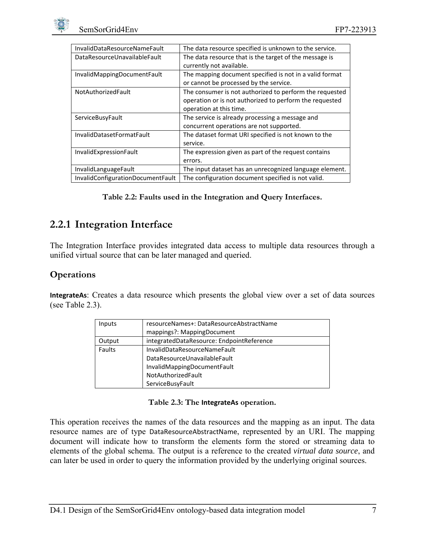<span id="page-15-0"></span>

| InvalidDataResourceNameFault      | The data resource specified is unknown to the service.  |
|-----------------------------------|---------------------------------------------------------|
| DataResourceUnavailableFault      | The data resource that is the target of the message is  |
|                                   | currently not available.                                |
| InvalidMappingDocumentFault       | The mapping document specified is not in a valid format |
|                                   | or cannot be processed by the service.                  |
| <b>NotAuthorizedFault</b>         | The consumer is not authorized to perform the requested |
|                                   | operation or is not authorized to perform the requested |
|                                   | operation at this time.                                 |
| ServiceBusyFault                  | The service is already processing a message and         |
|                                   | concurrent operations are not supported.                |
| InvalidDatasetFormatFault         | The dataset format URI specified is not known to the    |
|                                   | service.                                                |
| InvalidExpressionFault            | The expression given as part of the request contains    |
|                                   | errors.                                                 |
| InvalidLanguageFault              | The input dataset has an unrecognized language element. |
| InvalidConfigurationDocumentFault | The configuration document specified is not valid.      |

|  |  |  |  |  | Table 2.2: Faults used in the Integration and Query Interfaces. |
|--|--|--|--|--|-----------------------------------------------------------------|
|--|--|--|--|--|-----------------------------------------------------------------|

### <span id="page-15-1"></span>**2.2.1 Integration Interface**

The Integration Interface provides integrated data access to multiple data resources through a unified virtual source that can be later managed and queried.

#### **Operations**

**IntegrateAs**: Creates a data resource which presents the global view over a set of data sources (see [Table 2.3\)](#page-15-2).

| Inputs        | resourceNames+: DataResourceAbstractName  |
|---------------|-------------------------------------------|
|               | mappings?: MappingDocument                |
| Output        | integratedDataResource: EndpointReference |
| <b>Faults</b> | InvalidDataResourceNameFault              |
|               | DataResourceUnavailableFault              |
|               | InvalidMappingDocumentFault               |
|               | NotAuthorizedFault                        |
|               | ServiceBusyFault                          |

**Table 2.3: The IntegrateAs operation.** 

<span id="page-15-2"></span>This operation receives the names of the data resources and the mapping as an input. The data resource names are of type DataResourceAbstractName, represented by an URI. The mapping document will indicate how to transform the elements form the stored or streaming data to elements of the global schema. The output is a reference to the created *virtual data source*, and can later be used in order to query the information provided by the underlying original sources.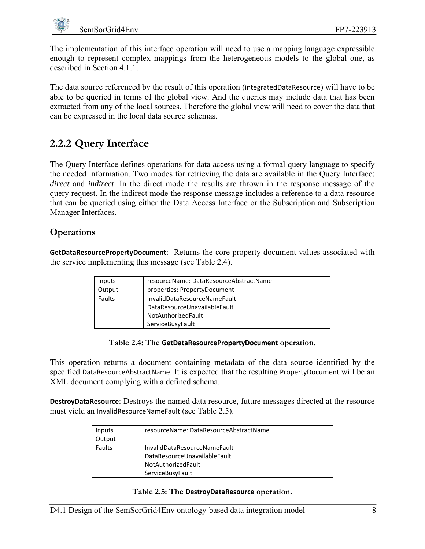<span id="page-16-0"></span>The implementation of this interface operation will need to use a mapping language expressible enough to represent complex mappings from the heterogeneous models to the global one, as described in Section [4.1.1](#page-21-2).

The data source referenced by the result of this operation (integratedDataResource) will have to be able to be queried in terms of the global view. And the queries may include data that has been extracted from any of the local sources. Therefore the global view will need to cover the data that can be expressed in the local data source schemas.

# **2.2.2 Query Interface**

The Query Interface defines operations for data access using a formal query language to specify the needed information. Two modes for retrieving the data are available in the Query Interface: *direct* and *indirect*. In the direct mode the results are thrown in the response message of the query request. In the indirect mode the response message includes a reference to a data resource that can be queried using either the Data Access Interface or the Subscription and Subscription Manager Interfaces.

#### **Operations**

**GetDataResourcePropertyDocument**: Returns the core property document values associated with the service implementing this message (see [Table 2.4\)](#page-16-1).

| Inputs | resourceName: DataResourceAbstractName |
|--------|----------------------------------------|
| Output | properties: PropertyDocument           |
| Faults | InvalidDataResourceNameFault           |
|        | DataResourceUnavailableFault           |
|        | NotAuthorizedFault                     |
|        | ServiceBusyFault                       |

**Table 2.4: The GetDataResourcePropertyDocument operation.** 

<span id="page-16-1"></span>This operation returns a document containing metadata of the data source identified by the specified DataResourceAbstractName. It is expected that the resulting PropertyDocument will be an XML document complying with a defined schema.

<span id="page-16-2"></span>**DestroyDataResource**: Destroys the named data resource, future messages directed at the resource must yield an InvalidResourceNameFault (see [Table 2.5](#page-16-2)).

| Inputs | resourceName: DataResourceAbstractName |
|--------|----------------------------------------|
| Output |                                        |
| Faults | InvalidDataResourceNameFault           |
|        | DataResourceUnavailableFault           |
|        | NotAuthorizedFault                     |
|        | ServiceBusyFault                       |

#### **Table 2.5: The DestroyDataResource operation.**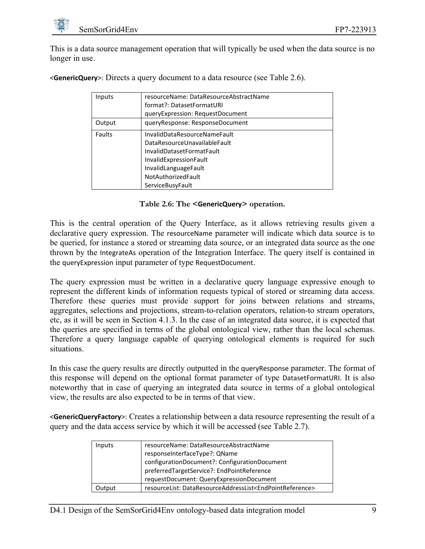<span id="page-17-0"></span>This is a data source management operation that will typically be used when the data source is no longer in use.

|  | Inputs | resourceName: DataResourceAbstractName |
|--|--------|----------------------------------------|
|  |        | format?: DatasetFormatURI              |
|  |        | queryExpression: RequestDocument       |
|  | Output | queryResponse: ResponseDocument        |
|  | Faults | <b>InvalidDataResourceNameFault</b>    |
|  |        | DataResourceUnavailableFault           |
|  |        | InvalidDatasetFormatFault              |
|  |        | InvalidExpressionFault                 |
|  |        | InvalidLanguageFault                   |
|  |        | NotAuthorizedFault                     |
|  |        | <b>ServiceBusyFault</b>                |

<**GenericQuery**>: Directs a query document to a data resource (see [Table 2.6\)](#page-17-1).

#### **Table 2.6: The <GenericQuery> operation.**

<span id="page-17-1"></span>This is the central operation of the Query Interface, as it allows retrieving results given a declarative query expression. The resourceName parameter will indicate which data source is to be queried, for instance a stored or streaming data source, or an integrated data source as the one thrown by the IntegrateAs operation of the Integration Interface. The query itself is contained in the queryExpression input parameter of type RequestDocument.

The query expression must be written in a declarative query language expressive enough to represent the different kinds of information requests typical of stored or streaming data access. Therefore these queries must provide support for joins between relations and streams, aggregates, selections and projections, stream-to-relation operators, relation-to stream operators, etc, as it will be seen in Section [4.1.3.](#page-26-1) In the case of an integrated data source, it is expected that the queries are specified in terms of the global ontological view, rather than the local schemas. Therefore a query language capable of querying ontological elements is required for such situations.

In this case the query results are directly outputted in the queryResponse parameter. The format of this response will depend on the optional format parameter of type DatasetFormatURI. It is also noteworthy that in case of querying an integrated data source in terms of a global ontological view, the results are also expected to be in terms of that view.

<**GenericQueryFactory**>: Creates a relationship between a data resource representing the result of a query and the data access service by which it will be accessed (see [Table 2.7\)](#page-18-1).

| Inputs | resourceName: DataResourceAbstractName<br>responseInterfaceType?: QName<br>configurationDocument?: ConfigurationDocument<br>preferredTargetService?: EndPointReference<br>requestDocument: QueryExpressionDocument |
|--------|--------------------------------------------------------------------------------------------------------------------------------------------------------------------------------------------------------------------|
| Output | resourceList: DataResourceAddressList <endpointreference></endpointreference>                                                                                                                                      |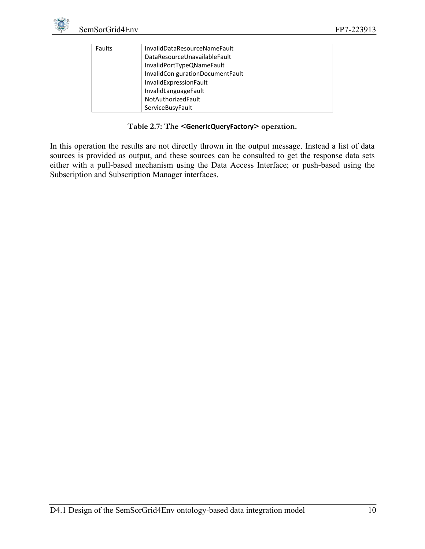<span id="page-18-0"></span>

| Faults | <b>InvalidDataResourceNameFault</b> |
|--------|-------------------------------------|
|        | DataResourceUnavailableFault        |
|        | InvalidPortTypeQNameFault           |
|        | InvalidCon gurationDocumentFault    |
|        | InvalidExpressionFault              |
|        | InvalidLanguageFault                |
|        | NotAuthorizedFault                  |
|        | ServiceBusyFault                    |

**Table 2.7: The <GenericQueryFactory> operation.** 

<span id="page-18-1"></span>In this operation the results are not directly thrown in the output message. Instead a list of data sources is provided as output, and these sources can be consulted to get the response data sets either with a pull-based mechanism using the Data Access Interface; or push-based using the Subscription and Subscription Manager interfaces.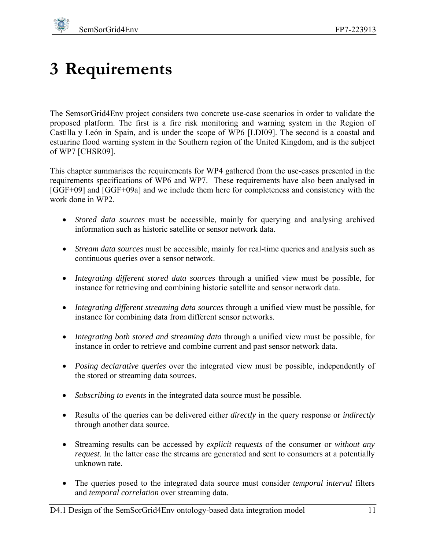# <span id="page-19-1"></span><span id="page-19-0"></span>**3 Requirements**

The SemsorGrid4Env project considers two concrete use-case scenarios in order to validate the proposed platform. The first is a fire risk monitoring and warning system in the Region of Castilla y León in Spain, and is under the scope of WP6 [[LDI09\]](#page-60-0). The second is a coastal and estuarine flood warning system in the Southern region of the United Kingdom, and is the subject of WP7 [\[CHSR09](#page-57-1)].

This chapter summarises the requirements for WP4 gathered from the use-cases presented in the requirements specifications of WP6 and WP7. These requirements have also been analysed in [[GGF+09\]](#page-57-0) and [[GGF+09a](#page-58-0)] and we include them here for completeness and consistency with the work done in WP2.

- *Stored data sources* must be accessible, mainly for querying and analysing archived information such as historic satellite or sensor network data.
- *Stream data sources* must be accessible, mainly for real-time queries and analysis such as continuous queries over a sensor network.
- *Integrating different stored data sources* through a unified view must be possible, for instance for retrieving and combining historic satellite and sensor network data.
- *Integrating different streaming data sources* through a unified view must be possible, for instance for combining data from different sensor networks.
- *Integrating both stored and streaming data* through a unified view must be possible, for instance in order to retrieve and combine current and past sensor network data.
- *Posing declarative queries* over the integrated view must be possible, independently of the stored or streaming data sources.
- *Subscribing to events* in the integrated data source must be possible.
- Results of the queries can be delivered either *directly* in the query response or *indirectly* through another data source.
- Streaming results can be accessed by *explicit requests* of the consumer or *without any request*. In the latter case the streams are generated and sent to consumers at a potentially unknown rate.
- The queries posed to the integrated data source must consider *temporal interval* filters and *temporal correlation* over streaming data.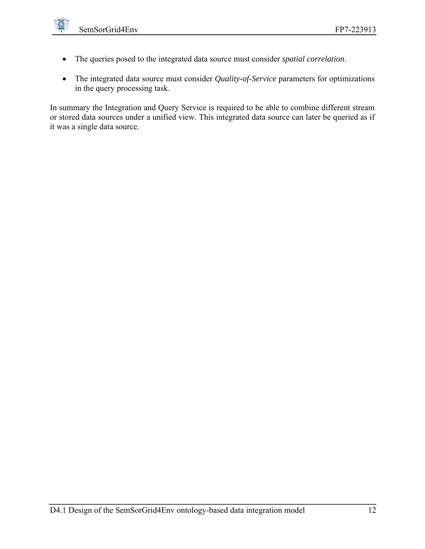- The queries posed to the integrated data source must consider *spatial correlation*.
- The integrated data source must consider *Quality-of-Service* parameters for optimizations in the query processing task.

In summary the Integration and Query Service is required to be able to combine different stream or stored data sources under a unified view. This integrated data source can later be queried as if it was a single data source.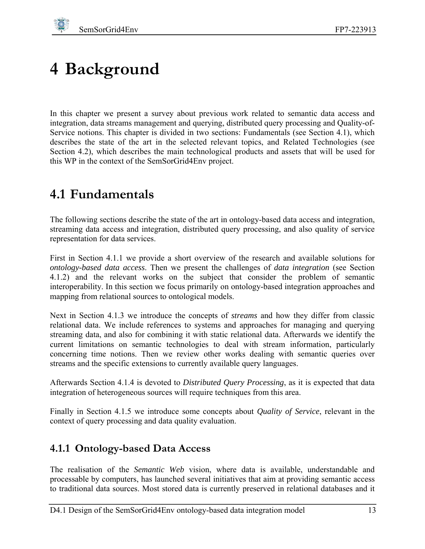# <span id="page-21-1"></span><span id="page-21-0"></span>**4 Background**

In this chapter we present a survey about previous work related to semantic data access and integration, data streams management and querying, distributed query processing and Quality-of-Service notions. This chapter is divided in two sections: Fundamentals (see Section [4.1\)](#page-21-3), which describes the state of the art in the selected relevant topics, and Related Technologies (see Section [4.2](#page-32-2)), which describes the main technological products and assets that will be used for this WP in the context of the SemSorGrid4Env project.

# <span id="page-21-3"></span>**4.1 Fundamentals**

The following sections describe the state of the art in ontology-based data access and integration, streaming data access and integration, distributed query processing, and also quality of service representation for data services.

First in Section [4.1.1](#page-21-2) we provide a short overview of the research and available solutions for *ontology-based data access*. Then we present the challenges of *data integration* (see Section [4.1.2](#page-23-1)) and the relevant works on the subject that consider the problem of semantic interoperability. In this section we focus primarily on ontology-based integration approaches and mapping from relational sources to ontological models.

Next in Section [4.1.3](#page-26-1) we introduce the concepts of *streams* and how they differ from classic relational data. We include references to systems and approaches for managing and querying streaming data, and also for combining it with static relational data. Afterwards we identify the current limitations on semantic technologies to deal with stream information, particularly concerning time notions. Then we review other works dealing with semantic queries over streams and the specific extensions to currently available query languages.

Afterwards Section [4.1.4](#page-30-1) is devoted to *Distributed Query Processing*, as it is expected that data integration of heterogeneous sources will require techniques from this area.

Finally in Section [4.1.5](#page-31-1) we introduce some concepts about *Quality of Service*, relevant in the context of query processing and data quality evaluation.

# <span id="page-21-2"></span>**4.1.1 Ontology-based Data Access**

The realisation of the *Semantic Web* vision, where data is available, understandable and processable by computers, has launched several initiatives that aim at providing semantic access to traditional data sources. Most stored data is currently preserved in relational databases and it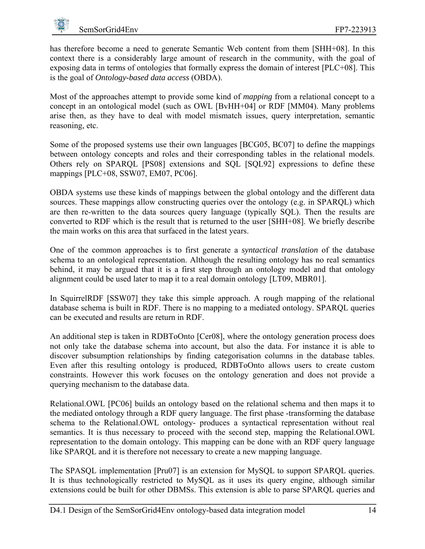

has therefore become a need to generate Semantic Web content from them [[SHH+08\]](#page-61-0). In this context there is a considerably large amount of research in the community, with the goal of exposing data in terms of ontologies that formally express the domain of interest [[PLC+08](#page-60-1)]. This is the goal of *Ontology-based data access* (OBDA).

Most of the approaches attempt to provide some kind of *mapping* from a relational concept to a concept in an ontological model (such as OWL [[BvHH+04\]](#page-56-0) or RDF [[MM04\)](#page-60-2). Many problems arise then, as they have to deal with model mismatch issues, query interpretation, semantic reasoning, etc.

Some of the proposed systems use their own languages [\[BCG05](#page-55-1), [BC07\]](#page-55-2) to define the mappings between ontology concepts and roles and their corresponding tables in the relational models. Others rely on SPARQL [[PS08](#page-61-1)] extensions and SQL [\[SQL92\]](#page-61-2) expressions to define these mappings [[PLC+08](#page-60-1), [SSW07](#page-61-3), [EM07](#page-57-2), [PC06\]](#page-60-3).

OBDA systems use these kinds of mappings between the global ontology and the different data sources. These mappings allow constructing queries over the ontology (e.g. in SPARQL) which are then re-written to the data sources query language (typically SQL). Then the results are converted to RDF which is the result that is returned to the user [[SHH+08\]](#page-61-0). We briefly describe the main works on this area that surfaced in the latest years.

One of the common approaches is to first generate a *syntactical translation* of the database schema to an ontological representation. Although the resulting ontology has no real semantics behind, it may be argued that it is a first step through an ontology model and that ontology alignment could be used later to map it to a real domain ontology [\[LT09,](#page-60-4) [MBR01\]](#page-60-5).

In SquirrelRDF [\[SSW07\]](#page-61-3) they take this simple approach. A rough mapping of the relational database schema is built in RDF. There is no mapping to a mediated ontology. SPARQL queries can be executed and results are return in RDF.

An additional step is taken in RDBToOnto [[Cer08\]](#page-56-1), where the ontology generation process does not only take the database schema into account, but also the data. For instance it is able to discover subsumption relationships by finding categorisation columns in the database tables. Even after this resulting ontology is produced, RDBToOnto allows users to create custom constraints. However this work focuses on the ontology generation and does not provide a querying mechanism to the database data.

Relational.OWL [[PC06](#page-60-3)] builds an ontology based on the relational schema and then maps it to the mediated ontology through a RDF query language. The first phase -transforming the database schema to the Relational.OWL ontology- produces a syntactical representation without real semantics. It is thus necessary to proceed with the second step, mapping the Relational.OWL representation to the domain ontology. This mapping can be done with an RDF query language like SPARQL and it is therefore not necessary to create a new mapping language.

The SPASQL implementation [[Pru07\]](#page-61-4) is an extension for MySQL to support SPARQL queries. It is thus technologically restricted to MySQL as it uses its query engine, although similar extensions could be built for other DBMSs. This extension is able to parse SPARQL queries and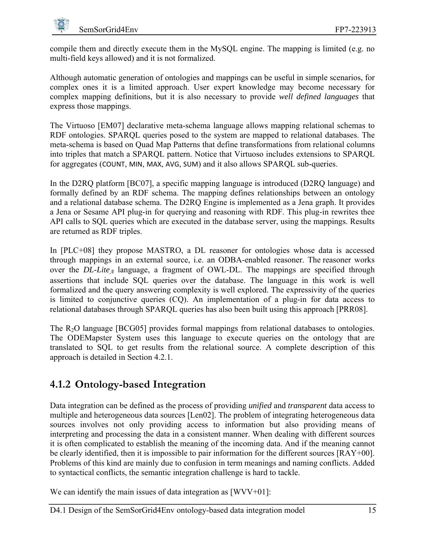<span id="page-23-0"></span>

compile them and directly execute them in the MySQL engine. The mapping is limited (e.g. no multi-field keys allowed) and it is not formalized.

Although automatic generation of ontologies and mappings can be useful in simple scenarios, for complex ones it is a limited approach. User expert knowledge may become necessary for complex mapping definitions, but it is also necessary to provide *well defined languages* that express those mappings.

The Virtuoso [[EM07\]](#page-57-2) declarative meta-schema language allows mapping relational schemas to RDF ontologies. SPARQL queries posed to the system are mapped to relational databases. The meta-schema is based on Quad Map Patterns that define transformations from relational columns into triples that match a SPARQL pattern. Notice that Virtuoso includes extensions to SPARQL for aggregates (COUNT, MIN, MAX, AVG, SUM) and it also allows SPARQL sub-queries.

In the D2RQ platform [\[BC07\]](#page-55-2), a specific mapping language is introduced (D2RQ language) and formally defined by an RDF schema. The mapping defines relationships between an ontology and a relational database schema. The D2RQ Engine is implemented as a Jena graph. It provides a Jena or Sesame API plug-in for querying and reasoning with RDF. This plug-in rewrites thee API calls to SQL queries which are executed in the database server, using the mappings. Results are returned as RDF triples.

In [\[PLC+08](#page-60-1)] they propose MASTRO, a DL reasoner for ontologies whose data is accessed through mappings in an external source, i.e. an ODBA-enabled reasoner. The reasoner works over the *DL-Lite<sup>A</sup>* language, a fragment of OWL-DL. The mappings are specified through assertions that include SQL queries over the database. The language in this work is well formalized and the query answering complexity is well explored. The expressivity of the queries is limited to conjunctive queries (CQ). An implementation of a plug-in for data access to relational databases through SPARQL queries has also been built using this approach [[PRR08](#page-61-5)].

The R<sub>2</sub>O language [[BCG05](#page-55-1)] provides formal mappings from relational databases to ontologies. The ODEMapster System uses this language to execute queries on the ontology that are translated to SQL to get results from the relational source. A complete description of this approach is detailed in Section [4.2.1](#page-32-0).

# <span id="page-23-1"></span>**4.1.2 Ontology-based Integration**

Data integration can be defined as the process of providing *unified* and *transparent* data access to multiple and heterogeneous data sources [\[Len02\]](#page-59-0). The problem of integrating heterogeneous data sources involves not only providing access to information but also providing means of interpreting and processing the data in a consistent manner. When dealing with different sources it is often complicated to establish the meaning of the incoming data. And if the meaning cannot be clearly identified, then it is impossible to pair information for the different sources [[RAY+00\]](#page-61-6). Problems of this kind are mainly due to confusion in term meanings and naming conflicts. Added to syntactical conflicts, the semantic integration challenge is hard to tackle.

We can identify the main issues of data integration as [[WVV+01](#page-62-1)]: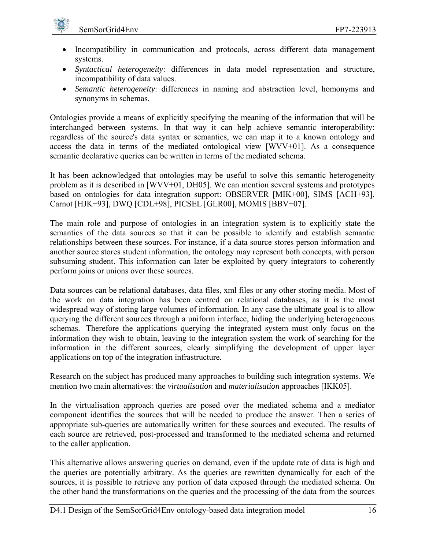

- Incompatibility in communication and protocols, across different data management systems.
- *Syntactical heterogeneity*: differences in data model representation and structure, incompatibility of data values.
- *Semantic heterogeneity*: differences in naming and abstraction level, homonyms and synonyms in schemas.

Ontologies provide a means of explicitly specifying the meaning of the information that will be interchanged between systems. In that way it can help achieve semantic interoperability: regardless of the source's data syntax or semantics, we can map it to a known ontology and access the data in terms of the mediated ontological view [[WVV+01](#page-62-1)]. As a consequence semantic declarative queries can be written in terms of the mediated schema.

It has been acknowledged that ontologies may be useful to solve this semantic heterogeneity problem as it is described in [\[WVV+01,](#page-62-1) [DH05](#page-57-3)]. We can mention several systems and prototypes based on ontologies for data integration support: OBSERVER [[MIK+00\]](#page-60-6), SIMS [[ACH+93\]](#page-54-1), Carnot [[HJK+93](#page-58-2)], DWQ [\[CDL+98\]](#page-56-2), PICSEL [[GLR00\]](#page-58-3), MOMIS [\[BBV+07\]](#page-55-3).

The main role and purpose of ontologies in an integration system is to explicitly state the semantics of the data sources so that it can be possible to identify and establish semantic relationships between these sources. For instance, if a data source stores person information and another source stores student information, the ontology may represent both concepts, with person subsuming student. This information can later be exploited by query integrators to coherently perform joins or unions over these sources.

Data sources can be relational databases, data files, xml files or any other storing media. Most of the work on data integration has been centred on relational databases, as it is the most widespread way of storing large volumes of information. In any case the ultimate goal is to allow querying the different sources through a uniform interface, hiding the underlying heterogeneous schemas. Therefore the applications querying the integrated system must only focus on the information they wish to obtain, leaving to the integration system the work of searching for the information in the different sources, clearly simplifying the development of upper layer applications on top of the integration infrastructure.

Research on the subject has produced many approaches to building such integration systems. We mention two main alternatives: the *virtualisation* and *materialisation* approaches [[IKK05](#page-59-2)].

In the virtualisation approach queries are posed over the mediated schema and a mediator component identifies the sources that will be needed to produce the answer. Then a series of appropriate sub-queries are automatically written for these sources and executed. The results of each source are retrieved, post-processed and transformed to the mediated schema and returned to the caller application.

This alternative allows answering queries on demand, even if the update rate of data is high and the queries are potentially arbitrary. As the queries are rewritten dynamically for each of the sources, it is possible to retrieve any portion of data exposed through the mediated schema. On the other hand the transformations on the queries and the processing of the data from the sources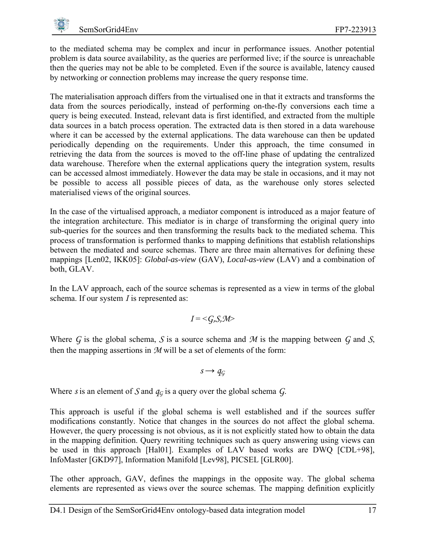

to the mediated schema may be complex and incur in performance issues. Another potential problem is data source availability, as the queries are performed live; if the source is unreachable then the queries may not be able to be completed. Even if the source is available, latency caused by networking or connection problems may increase the query response time.

The materialisation approach differs from the virtualised one in that it extracts and transforms the data from the sources periodically, instead of performing on-the-fly conversions each time a query is being executed. Instead, relevant data is first identified, and extracted from the multiple data sources in a batch process operation. The extracted data is then stored in a data warehouse where it can be accessed by the external applications. The data warehouse can then be updated periodically depending on the requirements. Under this approach, the time consumed in retrieving the data from the sources is moved to the off-line phase of updating the centralized data warehouse. Therefore when the external applications query the integration system, results can be accessed almost immediately. However the data may be stale in occasions, and it may not be possible to access all possible pieces of data, as the warehouse only stores selected materialised views of the original sources.

In the case of the virtualised approach, a mediator component is introduced as a major feature of the integration architecture. This mediator is in charge of transforming the original query into sub-queries for the sources and then transforming the results back to the mediated schema. This process of transformation is performed thanks to mapping definitions that establish relationships between the mediated and source schemas. There are three main alternatives for defining these mappings [[Len02](#page-59-0), [IKK05](#page-59-2)]: *Global-as-view* (GAV), *Local-as-view* (LAV) and a combination of both, GLAV.

In the LAV approach, each of the source schemas is represented as a view in terms of the global schema. If our system *I* is represented as:

$$
I = \langle \mathcal{G}, \mathcal{S}, \mathcal{M} \rangle
$$

Where *G* is the global schema, *S* is a source schema and *M* is the mapping between *G* and *S*, then the mapping assertions in *M* will be a set of elements of the form:

 $s \rightarrow q_G$ 

Where *s* is an element of *S* and  $q<sub>G</sub>$  is a query over the global schema *G*.

This approach is useful if the global schema is well established and if the sources suffer modifications constantly. Notice that changes in the sources do not affect the global schema. However, the query processing is not obvious, as it is not explicitly stated how to obtain the data in the mapping definition. Query rewriting techniques such as query answering using views can be used in this approach [[Hal01](#page-58-4)]. Examples of LAV based works are DWQ [\[CDL+98\]](#page-56-2), InfoMaster [\[GKD97](#page-58-5)], Information Manifold [\[Lev98\]](#page-59-3), PICSEL [[GLR00\]](#page-58-3).

The other approach, GAV, defines the mappings in the opposite way. The global schema elements are represented as views over the source schemas. The mapping definition explicitly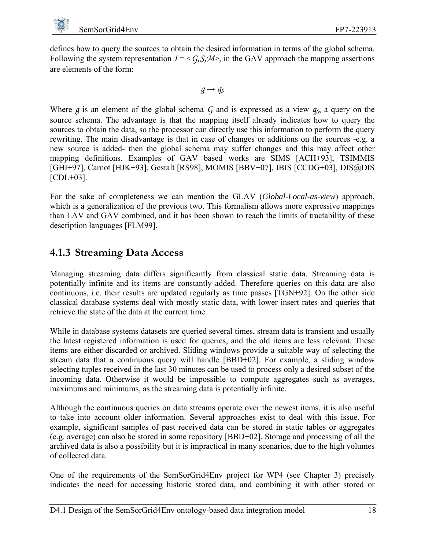<span id="page-26-0"></span>defines how to query the sources to obtain the desired information in terms of the global schema. Following the system representation  $I = \langle G, S, M \rangle$ , in the GAV approach the mapping assertions are elements of the form:

$$
g\!\to q_S
$$

Where  $g$  is an element of the global schema  $G$  and is expressed as a view  $q<sub>S</sub>$ , a query on the source schema. The advantage is that the mapping itself already indicates how to query the sources to obtain the data, so the processor can directly use this information to perform the query rewriting. The main disadvantage is that in case of changes or additions on the sources -e.g. a new source is added- then the global schema may suffer changes and this may affect other mapping definitions. Examples of GAV based works are SIMS [\[ACH+93\]](#page-54-1), TSIMMIS [[GHI+97](#page-58-6)], Carnot [\[HJK+93](#page-58-2)], Gestalt [[RS98](#page-61-7)], MOMIS [[BBV+07](#page-55-3)], IBIS [[CCDG+03\]](#page-56-3), DIS@DIS [[CDL+03\]](#page-56-4).

For the sake of completeness we can mention the GLAV (*Global-Local-as-view*) approach, which is a generalization of the previous two. This formalism allows more expressive mappings than LAV and GAV combined, and it has been shown to reach the limits of tractability of these description languages [\[FLM99\]](#page-57-4).

### <span id="page-26-1"></span>**4.1.3 Streaming Data Access**

Managing streaming data differs significantly from classical static data. Streaming data is potentially infinite and its items are constantly added. Therefore queries on this data are also continuous, i.e. their results are updated regularly as time passes [\[TGN+92\]](#page-62-0). On the other side classical database systems deal with mostly static data, with lower insert rates and queries that retrieve the state of the data at the current time.

While in database systems datasets are queried several times, stream data is transient and usually the latest registered information is used for queries, and the old items are less relevant. These items are either discarded or archived. Sliding windows provide a suitable way of selecting the stream data that a continuous query will handle [\[BBD+02\]](#page-55-4). For example, a sliding window selecting tuples received in the last 30 minutes can be used to process only a desired subset of the incoming data. Otherwise it would be impossible to compute aggregates such as averages, maximums and minimums, as the streaming data is potentially infinite.

Although the continuous queries on data streams operate over the newest items, it is also useful to take into account older information. Several approaches exist to deal with this issue. For example, significant samples of past received data can be stored in static tables or aggregates (e.g. average) can also be stored in some repository [[BBD+02](#page-55-4)]. Storage and processing of all the archived data is also a possibility but it is impractical in many scenarios, due to the high volumes of collected data.

One of the requirements of the SemSorGrid4Env project for WP4 (see Chapter [3](#page-19-0)) precisely indicates the need for accessing historic stored data, and combining it with other stored or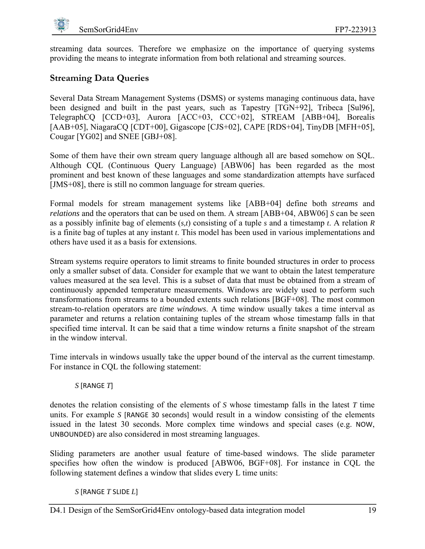

streaming data sources. Therefore we emphasize on the importance of querying systems providing the means to integrate information from both relational and streaming sources.

#### **Streaming Data Queries**

Several Data Stream Management Systems (DSMS) or systems managing continuous data, have been designed and built in the past years, such as Tapestry [\[TGN+92\]](#page-62-0), Tribeca [[Sul96\]](#page-61-8), TelegraphCQ [\[CCD+03\]](#page-56-5), Aurora [\[ACC+03,](#page-54-2) [CCC+02](#page-56-6)], STREAM [\[ABB+04\]](#page-54-3), Borealis [\[AAB+05](#page-54-4)], NiagaraCQ [\[CDT+00\]](#page-56-7), Gigascope [\[CJS+02](#page-57-5)], CAPE [\[RDS+04](#page-61-9)], TinyDB [\[MFH+05](#page-60-7)], Cougar [\[YG02\]](#page-62-2) and SNEE [[GBJ+08](#page-57-6)].

Some of them have their own stream query language although all are based somehow on SQL. Although CQL (Continuous Query Language) [[ABW06\]](#page-54-5) has been regarded as the most prominent and best known of these languages and some standardization attempts have surfaced [\[JMS+08\]](#page-59-4), there is still no common language for stream queries.

Formal models for stream management systems like [ABB+04] define both *streams* and *relations* and the operators that can be used on them. A stream [ABB+04, [ABW06\]](#page-54-5) *S* can be seen as a possibly infinite bag of elements (*s,t*) consisting of a tuple *s* and a timestamp *t*. A relation *R* is a finite bag of tuples at any instant *t*. This model has been used in various implementations and others have used it as a basis for extensions.

Stream systems require operators to limit streams to finite bounded structures in order to process only a smaller subset of data. Consider for example that we want to obtain the latest temperature values measured at the sea level. This is a subset of data that must be obtained from a stream of continuously appended temperature measurements. Windows are widely used to perform such transformations from streams to a bounded extents such relations [\[BGF+08](#page-55-5)]. The most common stream-to-relation operators are *time windows*. A time window usually takes a time interval as parameter and returns a relation containing tuples of the stream whose timestamp falls in that specified time interval. It can be said that a time window returns a finite snapshot of the stream in the window interval.

Time intervals in windows usually take the upper bound of the interval as the current timestamp. For instance in CQL the following statement:

#### *S* [RANGE *T*]

denotes the relation consisting of the elements of *S* whose timestamp falls in the latest *T* time units. For example *S* [RANGE 30 seconds] would result in a window consisting of the elements issued in the latest 30 seconds. More complex time windows and special cases (e.g. NOW, UNBOUNDED) are also considered in most streaming languages.

Sliding parameters are another usual feature of time-based windows. The slide parameter specifies how often the window is produced [\[ABW06](#page-54-5), [BGF+08](#page-55-5)]. For instance in CQL the following statement defines a window that slides every L time units:

*S* [RANGE *T* SLIDE *L*]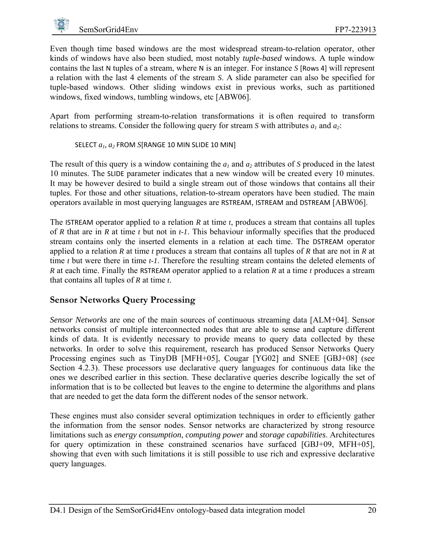Even though time based windows are the most widespread stream-to-relation operator, other kinds of windows have also been studied, most notably *tuple-based* windows. A tuple window contains the last N tuples of a stream, where N is an integer. For instance *S* [Rows 4] will represent a relation with the last 4 elements of the stream *S*. A slide parameter can also be specified for tuple-based windows. Other sliding windows exist in previous works, such as partitioned windows, fixed windows, tumbling windows, etc [[ABW06\]](#page-54-5).

Apart from performing stream-to-relation transformations it is often required to transform relations to streams. Consider the following query for stream *S* with attributes  $a_1$  and  $a_2$ :

SELECT *a1*, *a2* FROM *S*[RANGE 10 MIN SLIDE 10 MIN]

The result of this query is a window containing the  $a_1$  and  $a_2$  attributes of *S* produced in the latest 10 minutes. The SLIDE parameter indicates that a new window will be created every 10 minutes. It may be however desired to build a single stream out of those windows that contains all their tuples. For those and other situations, relation-to-stream operators have been studied. The main operators available in most querying languages are RSTREAM, ISTREAM and DSTREAM [\[ABW06](#page-54-5)].

The ISTREAM operator applied to a relation *R* at time *t*, produces a stream that contains all tuples of *R* that are in *R* at time *t* but not in *t-1*. This behaviour informally specifies that the produced stream contains only the inserted elements in a relation at each time. The DSTREAM operator applied to a relation *R* at time *t* produces a stream that contains all tuples of *R* that are not in *R* at time *t* but were there in time *t-1*. Therefore the resulting stream contains the deleted elements of *R* at each time. Finally the RSTREAM operator applied to a relation *R* at a time *t* produces a stream that contains all tuples of *R* at time *t*.

### **Sensor Networks Query Processing**

*Sensor Networks* are one of the main sources of continuous streaming data [[ALM+04](#page-54-6)]. Sensor networks consist of multiple interconnected nodes that are able to sense and capture different kinds of data. It is evidently necessary to provide means to query data collected by these networks. In order to solve this requirement, research has produced Sensor Networks Query Processing engines such as TinyDB [\[MFH+05](#page-60-7)], Cougar [\[YG02\]](#page-62-2) and SNEE [[GBJ+08\]](#page-57-6) (see Section [4.2.3\)](#page-37-1). These processors use declarative query languages for continuous data like the ones we described earlier in this section. These declarative queries describe logically the set of information that is to be collected but leaves to the engine to determine the algorithms and plans that are needed to get the data form the different nodes of the sensor network.

These engines must also consider several optimization techniques in order to efficiently gather the information from the sensor nodes. Sensor networks are characterized by strong resource limitations such as *energy consumption*, *computing power* and *storage capabilities*. Architectures for query optimization in these constrained scenarios have surfaced [\[GBJ+09](#page-57-7), [MFH+05](#page-60-7)], showing that even with such limitations it is still possible to use rich and expressive declarative query languages.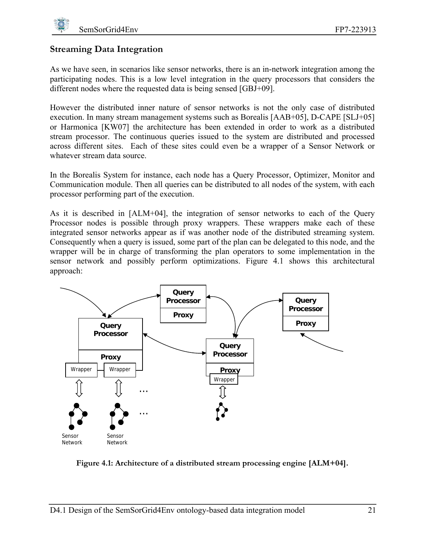<span id="page-29-0"></span>

#### **Streaming Data Integration**

As we have seen, in scenarios like sensor networks, there is an in-network integration among the participating nodes. This is a low level integration in the query processors that considers the different nodes where the requested data is being sensed [[GBJ+09](#page-57-7)].

However the distributed inner nature of sensor networks is not the only case of distributed execution. In many stream management systems such as Borealis [[AAB+05\]](#page-54-4), D-CAPE [[SLJ+05\]](#page-61-10) or Harmonica [\[KW07](#page-59-5)] the architecture has been extended in order to work as a distributed stream processor. The continuous queries issued to the system are distributed and processed across different sites. Each of these sites could even be a wrapper of a Sensor Network or whatever stream data source.

In the Borealis System for instance, each node has a Query Processor, Optimizer, Monitor and Communication module. Then all queries can be distributed to all nodes of the system, with each processor performing part of the execution.

As it is described in [[ALM+04](#page-54-6)], the integration of sensor networks to each of the Query Processor nodes is possible through proxy wrappers. These wrappers make each of these integrated sensor networks appear as if was another node of the distributed streaming system. Consequently when a query is issued, some part of the plan can be delegated to this node, and the wrapper will be in charge of transforming the plan operators to some implementation in the sensor network and possibly perform optimizations. [Figure 4.1](#page-29-1) shows this architectural approach:



<span id="page-29-1"></span>**Figure 4.1: Architecture of a distributed stream processing engine [[ALM+04\]](#page-54-6).**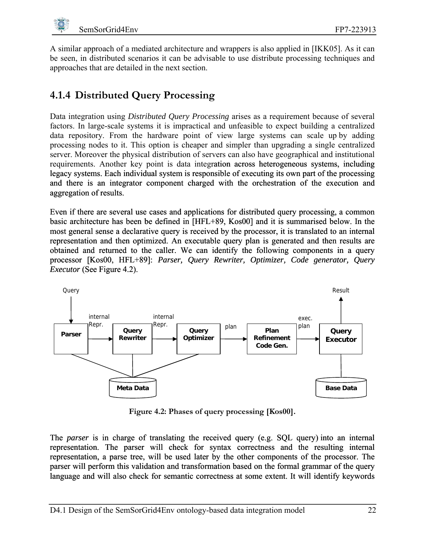<span id="page-30-0"></span>A similar approach of a mediated architecture and wrappers is also applied in [\[IKK05\]](#page-59-2). As it can be seen, in distributed scenarios it can be advisable to use distribute processing techniques and approaches that are detailed in the next section.

# <span id="page-30-1"></span>**4.1.4 Distributed Query Processing**

Data integration using *Distributed Query Processing* arises as a requirement because of several factors. In large-scale systems it is impractical and unfeasible to expect building a centralized data repository. From the hardware point of view large systems can scale up by adding processing nodes to it. This option is cheaper and simpler than upgrading a single centralized server. Moreover the physical distribution of servers can also have geographical and institutional requirements. Another key point is data integration across heterogeneous systems, including legacy systems. Each individual system is responsible of executing its own part of the processing and there is an integrator component charged with the orchestration of the execution and aggregation of results. requirements. Another key point is data integration across heterogeneous systems, including legacy systems. Each individual system is responsible of executing its own part of the processing and there is an integrator compo

basic architecture has been be defined in [[HFL+89,](#page-58-7) [Kos00\]](#page-59-6) and it is summarised below. In the most general sense a declarative query is received by the processor, it is translated to an internal representation and then optimized. An executable query plan is generated and then results are obtained and returned to the caller. We can identify the following components in a query processor [\[Kos00](#page-59-6)[, HFL+89\]](#page-58-7): *Parser, Query Rewriter, Optimizer, Code generator, Query Executor* (See Figure 4.2).



**Figure 4.2: Phases of query processing [Kos00].**

The *parser* is in charge of translating the received query (e.g. SQL query) into an internal representation. The parser will check for syntax correctness and the resulting internal representation, a parse tree, will be used later by the other components of the processor. The parser will perform this validation and transformation based on the formal grammar of the query language and will also check for semantic correctness at some extent. It will identify keywords The *parser* is in charge of translating the received query (e.g. SQL query) into an internal representation. The parser will check for syntax correctness and the resulting internal representation, a parse tree, will be us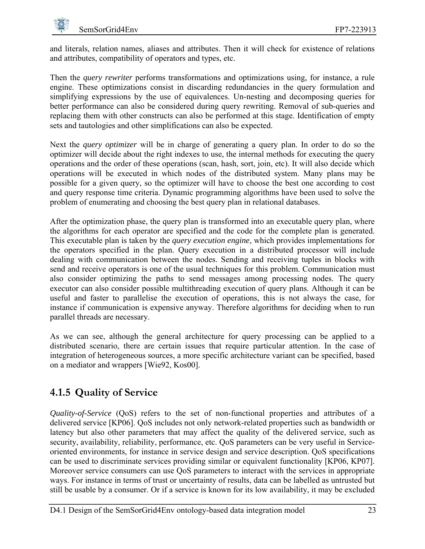<span id="page-31-0"></span>

and literals, relation names, aliases and attributes. Then it will check for existence of relations and attributes, compatibility of operators and types, etc.

Then the *query rewriter* performs transformations and optimizations using, for instance, a rule engine. These optimizations consist in discarding redundancies in the query formulation and simplifying expressions by the use of equivalences. Un-nesting and decomposing queries for better performance can also be considered during query rewriting. Removal of sub-queries and replacing them with other constructs can also be performed at this stage. Identification of empty sets and tautologies and other simplifications can also be expected.

Next the *query optimizer* will be in charge of generating a query plan. In order to do so the optimizer will decide about the right indexes to use, the internal methods for executing the query operations and the order of these operations (scan, hash, sort, join, etc). It will also decide which operations will be executed in which nodes of the distributed system. Many plans may be possible for a given query, so the optimizer will have to choose the best one according to cost and query response time criteria. Dynamic programming algorithms have been used to solve the problem of enumerating and choosing the best query plan in relational databases.

After the optimization phase, the query plan is transformed into an executable query plan, where the algorithms for each operator are specified and the code for the complete plan is generated. This executable plan is taken by the *query execution engine*, which provides implementations for the operators specified in the plan. Query execution in a distributed processor will include dealing with communication between the nodes. Sending and receiving tuples in blocks with send and receive operators is one of the usual techniques for this problem. Communication must also consider optimizing the paths to send messages among processing nodes. The query executor can also consider possible multithreading execution of query plans. Although it can be useful and faster to parallelise the execution of operations, this is not always the case, for instance if communication is expensive anyway. Therefore algorithms for deciding when to run parallel threads are necessary.

As we can see, although the general architecture for query processing can be applied to a distributed scenario, there are certain issues that require particular attention. In the case of integration of heterogeneous sources, a more specific architecture variant can be specified, based on a mediator and wrappers [\[Wie92](#page-62-3), [Kos00\]](#page-59-6).

# <span id="page-31-1"></span>**4.1.5 Quality of Service**

*Quality-of-Service* (QoS) refers to the set of non-functional properties and attributes of a delivered service [[KP06](#page-59-7)]. QoS includes not only network-related properties such as bandwidth or latency but also other parameters that may affect the quality of the delivered service, such as security, availability, reliability, performance, etc. QoS parameters can be very useful in Serviceoriented environments, for instance in service design and service description. QoS specifications can be used to discriminate services providing similar or equivalent functionality [\[KP06](#page-59-7), [KP07](#page-59-8)]. Moreover service consumers can use QoS parameters to interact with the services in appropriate ways. For instance in terms of trust or uncertainty of results, data can be labelled as untrusted but still be usable by a consumer. Or if a service is known for its low availability, it may be excluded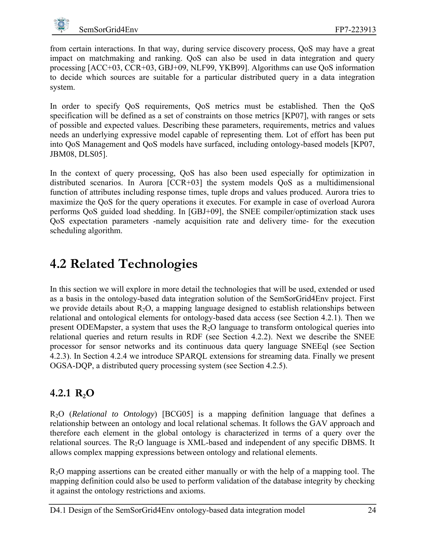<span id="page-32-1"></span>from certain interactions. In that way, during service discovery process, QoS may have a great impact on matchmaking and ranking. QoS can also be used in data integration and query processing [\[ACC+03,](#page-54-2) [CCR+03](#page-56-8), [GBJ+09,](#page-57-7) [NLF99](#page-60-8), [YKB99](#page-62-4)]. Algorithms can use QoS information to decide which sources are suitable for a particular distributed query in a data integration system.

In order to specify QoS requirements, QoS metrics must be established. Then the QoS specification will be defined as a set of constraints on those metrics [\[KP07\]](#page-59-8), with ranges or sets of possible and expected values. Describing these parameters, requirements, metrics and values needs an underlying expressive model capable of representing them. Lot of effort has been put into QoS Management and QoS models have surfaced, including ontology-based models [[KP07,](#page-59-8) [JBM08](#page-59-9), [DLS05](#page-57-8)].

In the context of query processing, QoS has also been used especially for optimization in distributed scenarios. In Aurora [[CCR+03](#page-56-8)] the system models QoS as a multidimensional function of attributes including response times, tuple drops and values produced. Aurora tries to maximize the QoS for the query operations it executes. For example in case of overload Aurora performs QoS guided load shedding. In [\[GBJ+09](#page-57-7)], the SNEE compiler/optimization stack uses QoS expectation parameters -namely acquisition rate and delivery time- for the execution scheduling algorithm.

# <span id="page-32-2"></span>**4.2 Related Technologies**

In this section we will explore in more detail the technologies that will be used, extended or used as a basis in the ontology-based data integration solution of the SemSorGrid4Env project. First we provide details about  $R_2O$ , a mapping language designed to establish relationships between relational and ontological elements for ontology-based data access (see Section [4.2.1\)](#page-32-0). Then we present ODEMapster, a system that uses the  $R_2O$  language to transform ontological queries into relational queries and return results in RDF (see Section [4.2.2](#page-34-0)). Next we describe the SNEE processor for sensor networks and its continuous data query language SNEEql (see Section [4.2.3\)](#page-37-1). In Section [4.2.4](#page-38-1) we introduce SPARQL extensions for streaming data. Finally we present OGSA-DQP, a distributed query processing system (see Section [4.2.5\)](#page-40-1).

# <span id="page-32-0"></span>**4.2.1 R2O**

R2O (*Relational to Ontology*) [[BCG05](#page-55-1)] is a mapping definition language that defines a relationship between an ontology and local relational schemas. It follows the GAV approach and therefore each element in the global ontology is characterized in terms of a query over the relational sources. The  $R_2O$  language is XML-based and independent of any specific DBMS. It allows complex mapping expressions between ontology and relational elements.

R2O mapping assertions can be created either manually or with the help of a mapping tool. The mapping definition could also be used to perform validation of the database integrity by checking it against the ontology restrictions and axioms.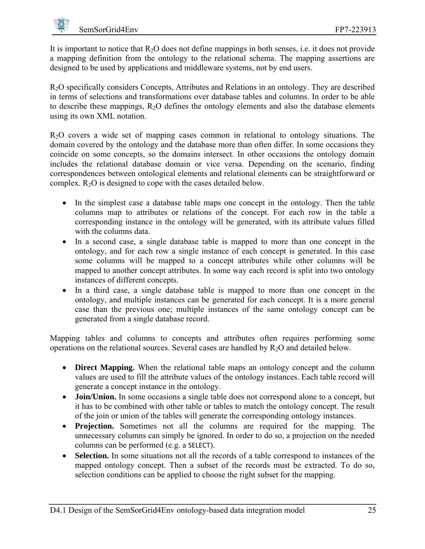It is important to notice that  $R_2O$  does not define mappings in both senses, i.e. it does not provide a mapping definition from the ontology to the relational schema. The mapping assertions are designed to be used by applications and middleware systems, not by end users.

R2O specifically considers Concepts, Attributes and Relations in an ontology. They are described in terms of selections and transformations over database tables and columns. In order to be able to describe these mappings,  $R_2O$  defines the ontology elements and also the database elements using its own XML notation.

R2O covers a wide set of mapping cases common in relational to ontology situations. The domain covered by the ontology and the database more than often differ. In some occasions they coincide on some concepts, so the domains intersect. In other occasions the ontology domain includes the relational database domain or vice versa. Depending on the scenario, finding correspondences between ontological elements and relational elements can be straightforward or complex.  $R_2O$  is designed to cope with the cases detailed below.

- In the simplest case a database table maps one concept in the ontology. Then the table columns map to attributes or relations of the concept. For each row in the table a corresponding instance in the ontology will be generated, with its attribute values filled with the columns data.
- In a second case, a single database table is mapped to more than one concept in the ontology, and for each row a single instance of each concept is generated. In this case some columns will be mapped to a concept attributes while other columns will be mapped to another concept attributes. In some way each record is split into two ontology instances of different concepts.
- In a third case, a single database table is mapped to more than one concept in the ontology, and multiple instances can be generated for each concept. It is a more general case than the previous one; multiple instances of the same ontology concept can be generated from a single database record.

Mapping tables and columns to concepts and attributes often requires performing some operations on the relational sources. Several cases are handled by R2O and detailed below.

- **Direct Mapping.** When the relational table maps an ontology concept and the column values are used to fill the attribute values of the ontology instances. Each table record will generate a concept instance in the ontology.
- **Join/Union.** In some occasions a single table does not correspond alone to a concept, but it has to be combined with other table or tables to match the ontology concept. The result of the join or union of the tables will generate the corresponding ontology instances.
- **Projection.** Sometimes not all the columns are required for the mapping. The unnecessary columns can simply be ignored. In order to do so, a projection on the needed columns can be performed (e.g. a SELECT).
- **Selection.** In some situations not all the records of a table correspond to instances of the mapped ontology concept. Then a subset of the records must be extracted. To do so, selection conditions can be applied to choose the right subset for the mapping.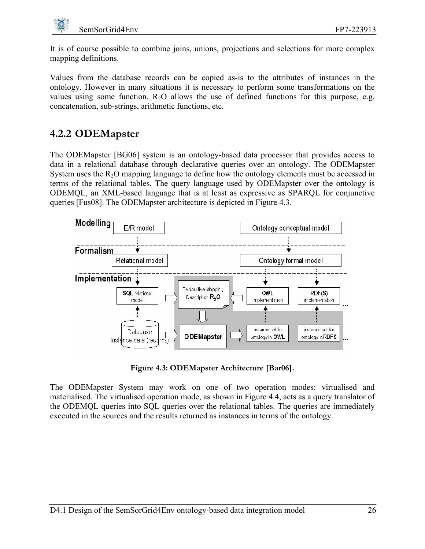<span id="page-34-1"></span>It is of course possible to combine joins, unions, projections and selections for more complex mapping definitions.

Values from the database records can be copied as-is to the attributes of instances in the ontology. However in many situations it is necessary to perform some transformations on the values using some function.  $R_2O$  allows the use of defined functions for this purpose, e.g. concatenation, sub-strings, arithmetic functions, etc.

### <span id="page-34-0"></span>**4.2.2 ODEMapster**

The ODEMapster [\[BG06\]](#page-55-6) system is an ontology-based data processor that provides access to data in a relational database through declarative queries over an ontology. The ODEMapster System uses the R<sub>2</sub>O mapping language to define how the ontology elements must be accessed in terms of the relational tables. The query language used by ODEMapster over the ontology is ODEMQL, an XML-based language that is at least as expressive as SPARQL for conjunctive queries [[Fus08\]](#page-57-9). The ODEMapster architecture is depicted in [Figure 4.3.](#page-34-2)



**Figure 4.3: ODEMapster Architecture [\[Bar06\]](#page-55-0).** 

<span id="page-34-2"></span>The ODEMapster System may work on one of two operation modes: virtualised and materialised. The virtualised operation mode, as shown in [Figure 4.4](#page-35-1), acts as a query translator of the ODEMQL queries into SQL queries over the relational tables. The queries are immediately executed in the sources and the results returned as instances in terms of the ontology.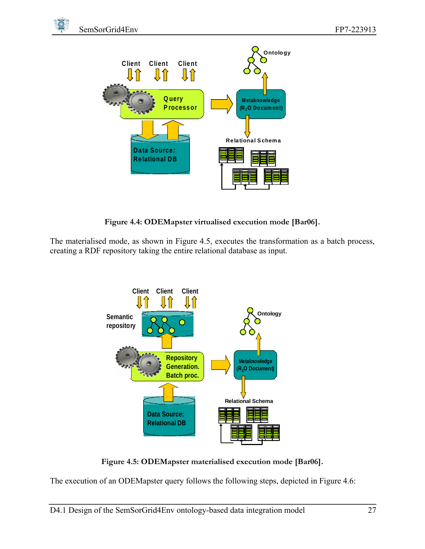<span id="page-35-0"></span>



**Figure 4.4: ODEMapster virtualised execution mode [\[Bar06\]](#page-55-0).** 

<span id="page-35-1"></span>The materialised mode, as shown in [Figure 4.5](#page-35-2), executes the transformation as a batch process, creating a RDF repository taking the entire relational database as input.



**Figure 4.5: ODEMapster materialised execution mode [\[Bar06](#page-55-0)].** 

<span id="page-35-2"></span>The execution of an ODEMapster query follows the following steps, depicted in [Figure 4.6:](#page-36-1)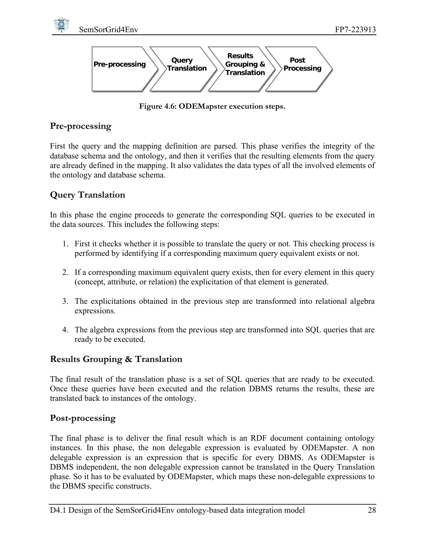



**Figure 4.6: ODEMapster execution steps.** 

### **Pre-processing**

First the query and the mapping definition are parsed. This phase verifies the integrity of the database schema and the ontology, and then it verifies that the resulting elements from the query are already defined in the mapping. It also validates the data types of all the involved elements of the ontology and database schema.

### **Query Translation**

In this phase the engine proceeds to generate the corresponding SQL queries to be executed in the data sources. This includes the following steps:

- 1. First it checks whether it is possible to translate the query or not. This checking process is performed by identifying if a corresponding maximum query equivalent exists or not.
- 2. If a corresponding maximum equivalent query exists, then for every element in this query (concept, attribute, or relation) the explicitation of that element is generated.
- 3. The explicitations obtained in the previous step are transformed into relational algebra expressions.
- 4. The algebra expressions from the previous step are transformed into SQL queries that are ready to be executed.

### **Results Grouping & Translation**

The final result of the translation phase is a set of SQL queries that are ready to be executed. Once these queries have been executed and the relation DBMS returns the results, these are translated back to instances of the ontology.

### **Post-processing**

The final phase is to deliver the final result which is an RDF document containing ontology instances. In this phase, the non delegable expression is evaluated by ODEMapster. A non delegable expression is an expression that is specific for every DBMS. As ODEMapster is DBMS independent, the non delegable expression cannot be translated in the Query Translation phase. So it has to be evaluated by ODEMapster, which maps these non-delegable expressions to the DBMS specific constructs.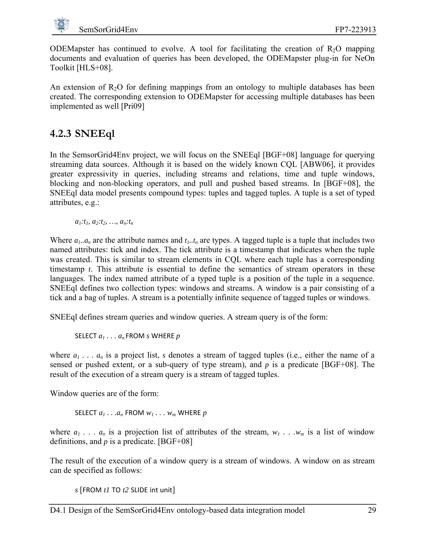

ODEMapster has continued to evolve. A tool for facilitating the creation of  $R_2O$  mapping documents and evaluation of queries has been developed, the ODEMapster plug-in for NeOn Toolkit [\[HLS+08\]](#page-59-0).

An extension of  $R_2O$  for defining mappings from an ontology to multiple databases has been created. The corresponding extension to ODEMapster for accessing multiple databases has been implemented as well [\[Pri09](#page-60-0)]

### **4.2.3 SNEEql**

In the SemsorGrid4Env project, we will focus on the SNEEql [[BGF+08\]](#page-55-0) language for querying streaming data sources. Although it is based on the widely known CQL [\[ABW06](#page-54-0)], it provides greater expressivity in queries, including streams and relations, time and tuple windows, blocking and non-blocking operators, and pull and pushed based streams. In [[BGF+08\]](#page-55-0), the SNEEql data model presents compound types: tuples and tagged tuples. A tuple is a set of typed attributes, e.g.:

 $a_1:t_1, a_2:t_2, ..., a_n:t_n$ 

Where  $a_1...a_n$  are the attribute names and  $t_1...t_n$  are types. A tagged tuple is a tuple that includes two named attributes: tick and index. The tick attribute is a timestamp that indicates when the tuple was created. This is similar to stream elements in CQL where each tuple has a corresponding timestamp *t*. This attribute is essential to define the semantics of stream operators in these languages. The index named attribute of a typed tuple is a position of the tuple in a sequence. SNEEql defines two collection types: windows and streams. A window is a pair consisting of a tick and a bag of tuples. A stream is a potentially infinite sequence of tagged tuples or windows.

SNEEql defines stream queries and window queries. A stream query is of the form:

SELECT *a1 . . . an* FROM *s* WHERE *p*

where  $a_1 \ldots a_n$  is a project list, *s* denotes a stream of tagged tuples (i.e., either the name of a sensed or pushed extent, or a sub-query of type stream), and  $p$  is a predicate [\[BGF+08\]](#page-55-0). The result of the execution of a stream query is a stream of tagged tuples.

Window queries are of the form:

SELECT *a1 . . .an* FROM *w1 . . . wm* WHERE *p*

where  $a_1 \ldots a_n$  is a projection list of attributes of the stream,  $w_1 \ldots w_m$  is a list of window definitions, and *p* is a predicate. [\[BGF+08\]](#page-55-0)

The result of the execution of a window query is a stream of windows. A window on as stream can de specified as follows:

*s* [FROM *t1* TO *t2* SLIDE int unit]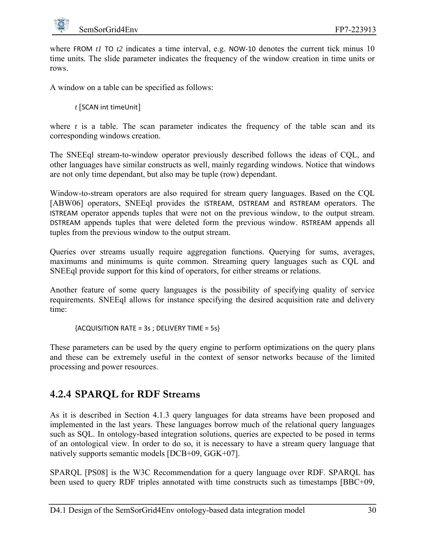

where FROM *t1* TO *t2* indicates a time interval, e.g. NOW-10 denotes the current tick minus 10 time units. The slide parameter indicates the frequency of the window creation in time units or rows.

A window on a table can be specified as follows:

*t* [SCAN int timeUnit]

where *t* is a table. The scan parameter indicates the frequency of the table scan and its corresponding windows creation.

The SNEEql stream-to-window operator previously described follows the ideas of CQL, and other languages have similar constructs as well, mainly regarding windows. Notice that windows are not only time dependant, but also may be tuple (row) dependant.

Window-to-stream operators are also required for stream query languages. Based on the CQL [[ABW06\]](#page-54-0) operators, SNEEql provides the ISTREAM, DSTREAM and RSTREAM operators. The ISTREAM operator appends tuples that were not on the previous window, to the output stream. DSTREAM appends tuples that were deleted form the previous window. RSTREAM appends all tuples from the previous window to the output stream.

Queries over streams usually require aggregation functions. Querying for sums, averages, maximums and minimums is quite common. Streaming query languages such as CQL and SNEEql provide support for this kind of operators, for either streams or relations.

Another feature of some query languages is the possibility of specifying quality of service requirements. SNEEql allows for instance specifying the desired acquisition rate and delivery time:

 ${ACQUISITION RATE = 3s; DELIVERY TIME = 5s}$ 

These parameters can be used by the query engine to perform optimizations on the query plans and these can be extremely useful in the context of sensor networks because of the limited processing and power resources.

### <span id="page-38-0"></span>**4.2.4 SPARQL for RDF Streams**

As it is described in Section [4.1.3](#page-26-0) query languages for data streams have been proposed and implemented in the last years. These languages borrow much of the relational query languages such as SQL. In ontology-based integration solutions, queries are expected to be posed in terms of an ontological view. In order to do so, it is necessary to have a stream query language that natively supports semantic models [[DCB+09,](#page-57-0) [GGK+07\]](#page-58-0).

SPARQL [PS08] is the W3C Recommendation for a query language over RDF. SPARQL has been used to query RDF triples annotated with time constructs such as timestamps [\[BBC+09,](#page-55-1)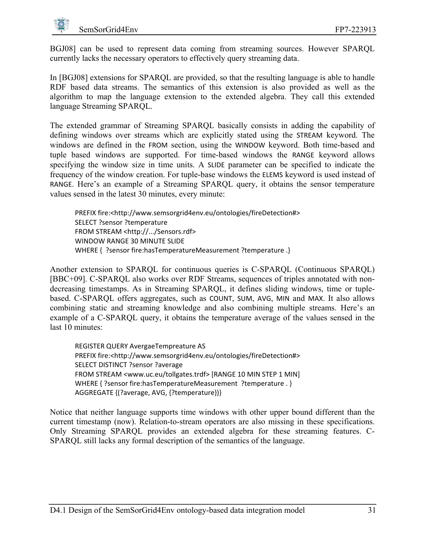[BGJ08](#page-55-2)] can be used to represent data coming from streaming sources. However SPARQL currently lacks the necessary operators to effectively query streaming data.

In [\[BGJ08](#page-55-2)] extensions for SPARQL are provided, so that the resulting language is able to handle RDF based data streams. The semantics of this extension is also provided as well as the algorithm to map the language extension to the extended algebra. They call this extended language Streaming SPARQL.

The extended grammar of Streaming SPARQL basically consists in adding the capability of defining windows over streams which are explicitly stated using the STREAM keyword. The windows are defined in the FROM section, using the WINDOW keyword. Both time-based and tuple based windows are supported. For time-based windows the RANGE keyword allows specifying the window size in time units. A SLIDE parameter can be specified to indicate the frequency of the window creation. For tuple-base windows the ELEMS keyword is used instead of RANGE. Here's an example of a Streaming SPARQL query, it obtains the sensor temperature values sensed in the latest 30 minutes, every minute:

PREFIX fire:<http://www.semsorgrid4env.eu/ontologies/fireDetection#> SELECT ?sensor ?temperature FROM STREAM <http://.../Sensors.rdf> WINDOW RANGE 30 MINUTE SLIDE WHERE { ?sensor fire:hasTemperatureMeasurement ?temperature .}

Another extension to SPARQL for continuous queries is C-SPARQL (Continuous SPARQL) [[BBC+09\]](#page-55-1). C-SPARQL also works over RDF Streams, sequences of triples annotated with nondecreasing timestamps. As in Streaming SPARQL, it defines sliding windows, time or tuplebased. C-SPARQL offers aggregates, such as COUNT, SUM, AVG, MIN and MAX. It also allows combining static and streaming knowledge and also combining multiple streams. Here's an example of a C-SPARQL query, it obtains the temperature average of the values sensed in the last 10 minutes:

REGISTER QUERY AvergaeTempreature AS PREFIX fire:<http://www.semsorgrid4env.eu/ontologies/fireDetection#> SELECT DISTINCT ?sensor ?average FROM STREAM <www.uc.eu/tollgates.trdf> [RANGE 10 MIN STEP 1 MIN] WHERE { ?sensor fire:hasTemperatureMeasurement ?temperature . } AGGREGATE {(?average, AVG, {?temperature})}

Notice that neither language supports time windows with other upper bound different than the current timestamp (now). Relation-to-stream operators are also missing in these specifications. Only Streaming SPARQL provides an extended algebra for these streaming features. C-SPARQL still lacks any formal description of the semantics of the language.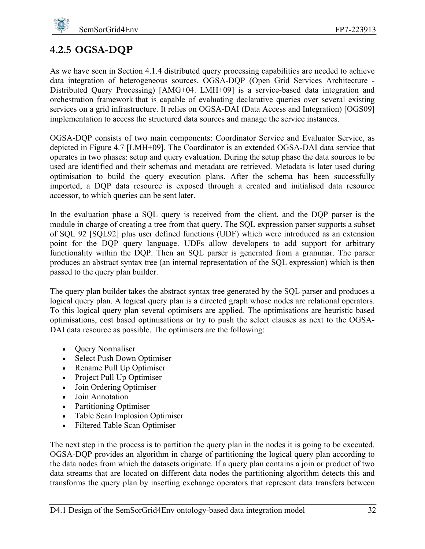# **4.2.5 OGSA-DQP**

As we have seen in Section [4.1.4](#page-30-0) distributed query processing capabilities are needed to achieve data integration of heterogeneous sources. OGSA-DQP (Open Grid Services Architecture - Distributed Query Processing) [\[AMG+04](#page-55-3), [LMH+09\]](#page-60-1) is a service-based data integration and orchestration framework that is capable of evaluating declarative queries over several existing services on a grid infrastructure. It relies on OGSA-DAI (Data Access and Integration) [\[OGS09](#page-60-2)] implementation to access the structured data sources and manage the service instances.

OGSA-DQP consists of two main components: Coordinator Service and Evaluator Service, as depicted in [Figure 4.7](#page-41-0) [\[LMH+09\]](#page-60-1). The Coordinator is an extended OGSA-DAI data service that operates in two phases: setup and query evaluation. During the setup phase the data sources to be used are identified and their schemas and metadata are retrieved. Metadata is later used during optimisation to build the query execution plans. After the schema has been successfully imported, a DQP data resource is exposed through a created and initialised data resource accessor, to which queries can be sent later.

In the evaluation phase a SQL query is received from the client, and the DQP parser is the module in charge of creating a tree from that query. The SQL expression parser supports a subset of SQL 92 [[SQL92](#page-61-0)] plus user defined functions (UDF) which were introduced as an extension point for the DQP query language. UDFs allow developers to add support for arbitrary functionality within the DQP. Then an SQL parser is generated from a grammar. The parser produces an abstract syntax tree (an internal representation of the SQL expression) which is then passed to the query plan builder.

The query plan builder takes the abstract syntax tree generated by the SQL parser and produces a logical query plan. A logical query plan is a directed graph whose nodes are relational operators. To this logical query plan several optimisers are applied. The optimisations are heuristic based optimisations, cost based optimisations or try to push the select clauses as next to the OGSA-DAI data resource as possible. The optimisers are the following:

- Query Normaliser
- Select Push Down Optimiser
- Rename Pull Up Optimiser
- Project Pull Up Optimiser
- Join Ordering Optimiser
- Join Annotation
- Partitioning Optimiser
- Table Scan Implosion Optimiser
- Filtered Table Scan Optimiser

The next step in the process is to partition the query plan in the nodes it is going to be executed. OGSA-DQP provides an algorithm in charge of partitioning the logical query plan according to the data nodes from which the datasets originate. If a query plan contains a join or product of two data streams that are located on different data nodes the partitioning algorithm detects this and transforms the query plan by inserting exchange operators that represent data transfers between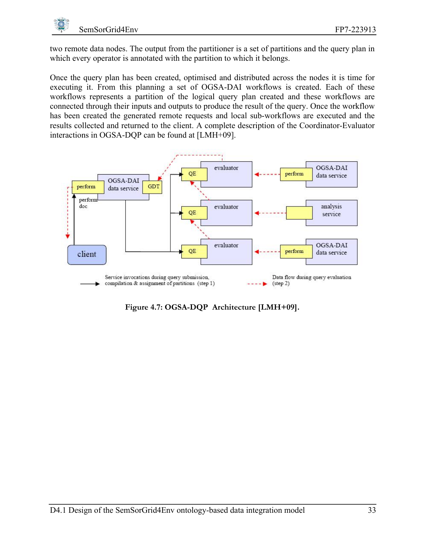

two remote data nodes. The output from the partitioner is a set of partitions and the query plan in which every operator is annotated with the partition to which it belongs.

Once the query plan has been created, optimised and distributed across the nodes it is time for executing it. From this planning a set of OGSA-DAI workflows is created. Each of these workflows represents a partition of the logical query plan created and these workflows are connected through their inputs and outputs to produce the result of the query. Once the workflow has been created the generated remote requests and local sub-workflows are executed and the results collected and returned to the client. A complete description of the Coordinator-Evaluator interactions in OGSA-DQP can be found at [[LMH+09](#page-60-1)].



<span id="page-41-0"></span>**Figure 4.7: OGSA-DQP Architecture [\[LMH+09](#page-60-1)].**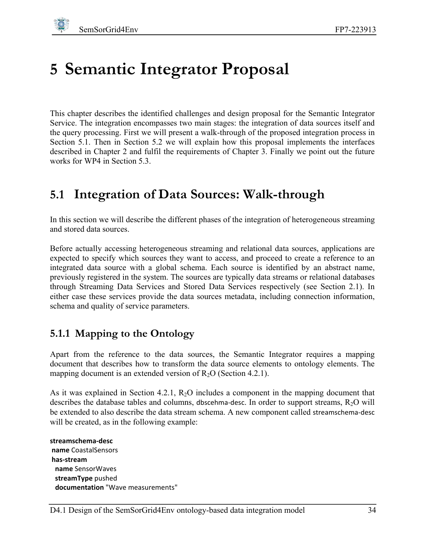# **5 Semantic Integrator Proposal**

This chapter describes the identified challenges and design proposal for the Semantic Integrator Service. The integration encompasses two main stages: the integration of data sources itself and the query processing. First we will present a walk-through of the proposed integration process in Section [5.1.](#page-42-0) Then in Section [5.2](#page-48-0) we will explain how this proposal implements the interfaces described in Chapter [2](#page-12-0) and fulfil the requirements of Chapter [3](#page-19-0). Finally we point out the future works for WP4 in Section [5.3.](#page-50-0)

# <span id="page-42-0"></span>**5.1 Integration of Data Sources: Walk-through**

In this section we will describe the different phases of the integration of heterogeneous streaming and stored data sources.

Before actually accessing heterogeneous streaming and relational data sources, applications are expected to specify which sources they want to access, and proceed to create a reference to an integrated data source with a global schema. Each source is identified by an abstract name, previously registered in the system. The sources are typically data streams or relational databases through Streaming Data Services and Stored Data Services respectively (see Section [2.1\)](#page-12-1). In either case these services provide the data sources metadata, including connection information, schema and quality of service parameters.

### <span id="page-42-1"></span>**5.1.1 Mapping to the Ontology**

Apart from the reference to the data sources, the Semantic Integrator requires a mapping document that describes how to transform the data source elements to ontology elements. The mapping document is an extended version of  $R_2O$  (Section [4.2.1\)](#page-32-0).

As it was explained in Section [4.2.1](#page-32-0), R2O includes a component in the mapping document that describes the database tables and columns, dbscehma-desc. In order to support streams,  $R_2O$  will be extended to also describe the data stream schema. A new component called streamschema‐desc will be created, as in the following example:

**streamschema‐desc name** CoastalSensors **has‐stream name** SensorWaves **streamType** pushed **documentation** "Wave measurements"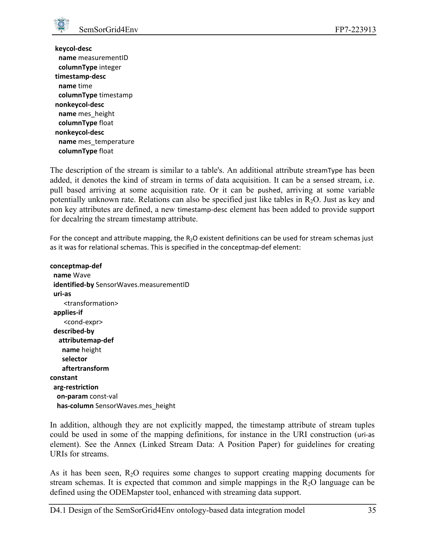

 **keycol‐desc name** measurementID **columnType** integer **timestamp‐desc name** time **columnType** timestamp **nonkeycol‐desc name** mes\_height **columnType** float **nonkeycol‐desc name** mes\_temperature **columnType** float

The description of the stream is similar to a table's. An additional attribute streamType has been added, it denotes the kind of stream in terms of data acquisition. It can be a sensed stream, i.e. pull based arriving at some acquisition rate. Or it can be pushed, arriving at some variable potentially unknown rate. Relations can also be specified just like tables in  $R_2O$ . Just as key and non key attributes are defined, a new timestamp‐desc element has been added to provide support for decalring the stream timestamp attribute.

For the concept and attribute mapping, the  $R_2O$  existent definitions can be used for stream schemas just as it was for relational schemas. This is specified in the conceptmap-def element:

```
conceptmap‐def
   name Wave
   identified‐by SensorWaves.measurementID
   uri‐as  
             <transformation>
   applies‐if
             <cond‐expr>
   described‐by
        attributemap‐def  
           name height
           selector
           aftertransform
constant
   arg‐restriction  
      on‐param const‐val
      has‐column SensorWaves.mes_height
```
In addition, although they are not explicitly mapped, the timestamp attribute of stream tuples could be used in some of the mapping definitions, for instance in the URI construction (uri‐as element). See the Annex [\(Linked Stream Data: A Position Paper\)](#page-63-0) for guidelines for creating URIs for streams.

As it has been seen,  $R_2O$  requires some changes to support creating mapping documents for stream schemas. It is expected that common and simple mappings in the  $R_2O$  language can be defined using the ODEMapster tool, enhanced with streaming data support.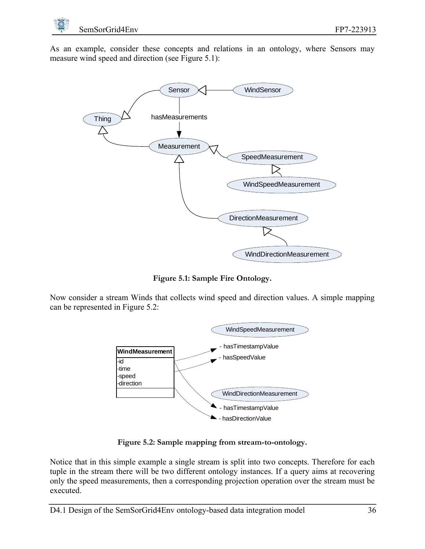As an example, consider these concepts and relations in an ontology, where Sensors may measure wind speed and direction (see [Figure 5.1\)](#page-44-0):



**Figure 5.1: Sample Fire Ontology.** 

<span id="page-44-0"></span>Now consider a stream Winds that collects wind speed and direction values. A simple mapping can be represented in [Figure 5.2:](#page-44-1)



**Figure 5.2: Sample mapping from stream-to-ontology.** 

<span id="page-44-1"></span>Notice that in this simple example a single stream is split into two concepts. Therefore for each tuple in the stream there will be two different ontology instances. If a query aims at recovering only the speed measurements, then a corresponding projection operation over the stream must be executed.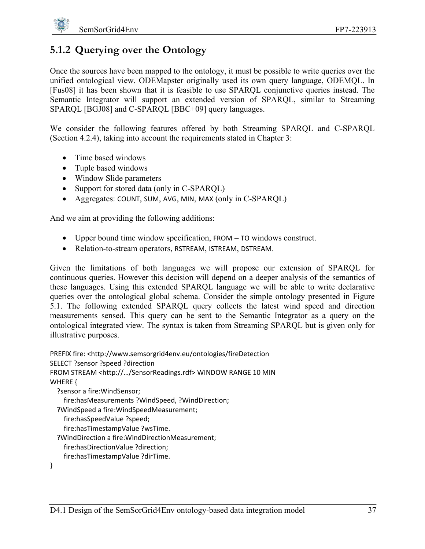# <span id="page-45-0"></span>**5.1.2 Querying over the Ontology**

Once the sources have been mapped to the ontology, it must be possible to write queries over the unified ontological view. ODEMapster originally used its own query language, ODEMQL. In [[Fus08](#page-57-1)] it has been shown that it is feasible to use SPARQL conjunctive queries instead. The Semantic Integrator will support an extended version of SPARQL, similar to Streaming SPARQL [[BGJ08](#page-55-2)] and C-SPARQL [[BBC+09](#page-55-1)] query languages.

We consider the following features offered by both Streaming SPARQL and C-SPARQL (Section [4.2.4\)](#page-38-0), taking into account the requirements stated in Chapter [3:](#page-19-0)

- Time based windows
- Tuple based windows
- Window Slide parameters
- Support for stored data (only in C-SPARQL)
- Aggregates: COUNT, SUM, AVG, MIN, MAX (only in C-SPAROL)

And we aim at providing the following additions:

- Upper bound time window specification, FROM TO windows construct.
- Relation-to-stream operators, RSTREAM, ISTREAM, DSTREAM.

Given the limitations of both languages we will propose our extension of SPARQL for continuous queries. However this decision will depend on a deeper analysis of the semantics of these languages. Using this extended SPARQL language we will be able to write declarative queries over the ontological global schema. Consider the simple ontology presented in Figure 5.1. The following extended SPARQL query collects the latest wind speed and direction measurements sensed. This query can be sent to the Semantic Integrator as a query on the ontological integrated view. The syntax is taken from Streaming SPARQL but is given only for illustrative purposes.

```
PREFIX fire: <http://www.semsorgrid4env.eu/ontologies/fireDetection
SELECT ?sensor ?speed ?direction
FROM STREAM <http://…/SensorReadings.rdf> WINDOW RANGE 10 MIN  
WHERE {
      ?sensor a fire:WindSensor;
            fire:hasMeasurements ?WindSpeed, ?WindDirection;
      ?WindSpeed a fire:WindSpeedMeasurement;
            fire:hasSpeedValue ?speed;
            fire:hasTimestampValue ?wsTime.
      ?WindDirection a fire:WindDirectionMeasurement;
            fire:hasDirectionValue ?direction;
            fire:hasTimestampValue ?dirTime.
}
```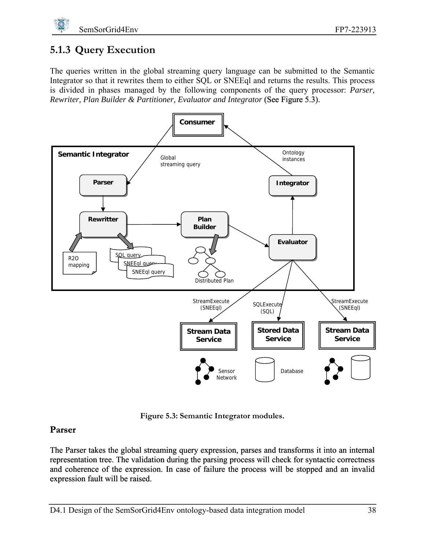

### <span id="page-46-0"></span>**5.1.3 Query Execution**

The queries written in the global streaming query language can be submitted to the Semantic Integrator so that it rewrites them to either SQL or SNEEql and returns the results. This process is divided in phases managed by the following components of the query processor: *Parser, Rewriter, Plan Builder & Partitioner, Evaluator and Integrator* (See Figure 5.3).



**Figure 5.3: Semantic Integrator modules.** 

### **Parser**

The Parser takes the global streaming query expression, parses and transforms it into an internal representation tree. The validation during the parsing process will check for syntactic correctness and coherence of the expression. In case of failure the process will be stopped and an invalid expression fault will be raised.<br>D4.1 Design of the SemSorGrid4Env ontology-based data integration model 38 expression fault will be raised.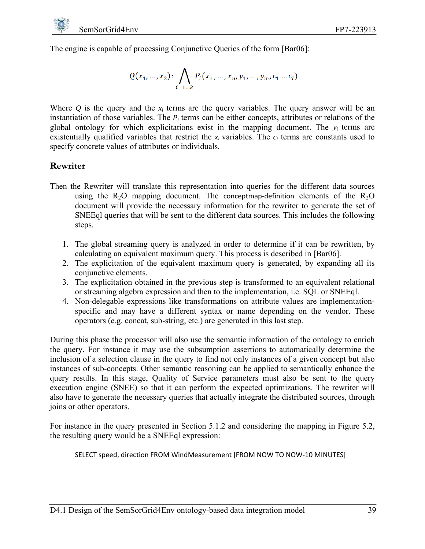The engine is capable of processing Conjunctive Queries of the form [[Bar06\]](#page-55-4):

$$
Q(x_1, ..., x_2) \colon \bigwedge_{i=1 \dots k} P_i(x_1, ..., x_n, y_1, ..., y_m, c_1 ... c_l)
$$

Where  $Q$  is the query and the  $x_i$  terms are the query variables. The query answer will be an instantiation of those variables. The  $P_i$  terms can be either concepts, attributes or relations of the global ontology for which explicitations exist in the mapping document. The *yi* terms are existentially qualified variables that restrict the  $x_i$  variables. The  $c_i$  terms are constants used to specify concrete values of attributes or individuals.

### **Rewriter**

- Then the Rewriter will translate this representation into queries for the different data sources using the  $R_2O$  mapping document. The conceptmap-definition elements of the  $R_2O$ document will provide the necessary information for the rewriter to generate the set of SNEEql queries that will be sent to the different data sources. This includes the following steps.
	- 1. The global streaming query is analyzed in order to determine if it can be rewritten, by calculating an equivalent maximum query. This process is described in [[Bar06\]](#page-55-4).
	- 2. The explicitation of the equivalent maximum query is generated, by expanding all its conjunctive elements.
	- 3. The explicitation obtained in the previous step is transformed to an equivalent relational or streaming algebra expression and then to the implementation, i.e. SQL or SNEEql.
	- 4. Non-delegable expressions like transformations on attribute values are implementationspecific and may have a different syntax or name depending on the vendor. These operators (e.g. concat, sub-string, etc.) are generated in this last step.

During this phase the processor will also use the semantic information of the ontology to enrich the query. For instance it may use the subsumption assertions to automatically determine the inclusion of a selection clause in the query to find not only instances of a given concept but also instances of sub-concepts. Other semantic reasoning can be applied to semantically enhance the query results. In this stage, Quality of Service parameters must also be sent to the query execution engine (SNEE) so that it can perform the expected optimizations. The rewriter will also have to generate the necessary queries that actually integrate the distributed sources, through joins or other operators.

For instance in the query presented in Section [5.1.2](#page-45-0) and considering the mapping in [Figure 5.2](#page-44-1), the resulting query would be a SNEEql expression:

SELECT speed, direction FROM WindMeasurement [FROM NOW TO NOW‐10 MINUTES]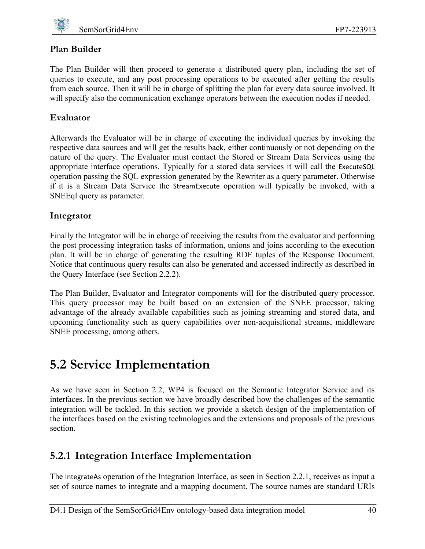

### **Plan Builder**

The Plan Builder will then proceed to generate a distributed query plan, including the set of queries to execute, and any post processing operations to be executed after getting the results from each source. Then it will be in charge of splitting the plan for every data source involved. It will specify also the communication exchange operators between the execution nodes if needed.

### **Evaluator**

Afterwards the Evaluator will be in charge of executing the individual queries by invoking the respective data sources and will get the results back, either continuously or not depending on the nature of the query. The Evaluator must contact the Stored or Stream Data Services using the appropriate interface operations. Typically for a stored data services it will call the ExecuteSQL operation passing the SQL expression generated by the Rewriter as a query parameter. Otherwise if it is a Stream Data Service the StreamExecute operation will typically be invoked, with a SNEEql query as parameter.

### **Integrator**

Finally the Integrator will be in charge of receiving the results from the evaluator and performing the post processing integration tasks of information, unions and joins according to the execution plan. It will be in charge of generating the resulting RDF tuples of the Response Document. Notice that continuous query results can also be generated and accessed indirectly as described in the Query Interface (see Section [2.2.2\)](#page-16-0).

The Plan Builder, Evaluator and Integrator components will for the distributed query processor. This query processor may be built based on an extension of the SNEE processor, taking advantage of the already available capabilities such as joining streaming and stored data, and upcoming functionality such as query capabilities over non-acquisitional streams, middleware SNEE processing, among others.

# <span id="page-48-0"></span>**5.2 Service Implementation**

As we have seen in Section [2.2,](#page-13-0) WP4 is focused on the Semantic Integrator Service and its interfaces. In the previous section we have broadly described how the challenges of the semantic integration will be tackled. In this section we provide a sketch design of the implementation of the interfaces based on the existing technologies and the extensions and proposals of the previous section.

### **5.2.1 Integration Interface Implementation**

The IntegrateAs operation of the Integration Interface, as seen in Section [2.2.1](#page-15-0), receives as input a set of source names to integrate and a mapping document. The source names are standard URIs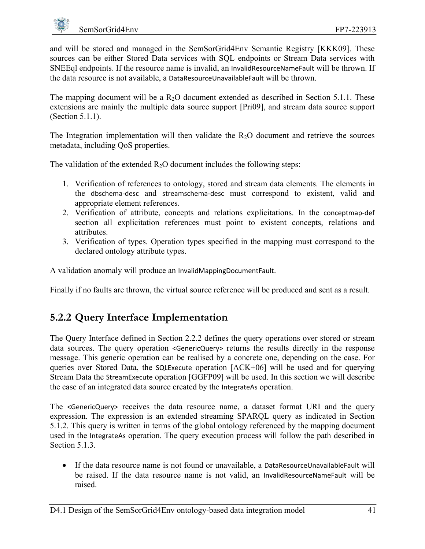and will be stored and managed in the SemSorGrid4Env Semantic Registry [\[KKK09](#page-59-1)]. These sources can be either Stored Data services with SQL endpoints or Stream Data services with SNEEql endpoints. If the resource name is invalid, an InvalidResourceNameFault will be thrown. If the data resource is not available, a DataResourceUnavailableFault will be thrown.

The mapping document will be a  $R_2O$  document extended as described in Section [5.1.1](#page-42-1). These extensions are mainly the multiple data source support [[Pri09\]](#page-60-0), and stream data source support (Section [5.1.1\)](#page-42-1).

The Integration implementation will then validate the  $R_2O$  document and retrieve the sources metadata, including QoS properties.

The validation of the extended  $R_2O$  document includes the following steps:

- 1. Verification of references to ontology, stored and stream data elements. The elements in the dbschema‐desc and streamschema‐desc must correspond to existent, valid and appropriate element references.
- 2. Verification of attribute, concepts and relations explicitations. In the conceptmap‐def section all explicitation references must point to existent concepts, relations and attributes.
- 3. Verification of types. Operation types specified in the mapping must correspond to the declared ontology attribute types.

A validation anomaly will produce an InvalidMappingDocumentFault.

Finally if no faults are thrown, the virtual source reference will be produced and sent as a result.

### **5.2.2 Query Interface Implementation**

The Query Interface defined in Section [2.2.2](#page-16-0) defines the query operations over stored or stream data sources. The query operation <GenericQuery> returns the results directly in the response message. This generic operation can be realised by a concrete one, depending on the case. For queries over Stored Data, the SQLExecute operation [\[ACK+06](#page-54-1)] will be used and for querying Stream Data the StreamExecute operation [[GGFP09](#page-58-1)] will be used. In this section we will describe the case of an integrated data source created by the IntegrateAs operation.

The <GenericQuery> receives the data resource name, a dataset format URI and the query expression. The expression is an extended streaming SPARQL query as indicated in Section [5.1.2](#page-45-0). This query is written in terms of the global ontology referenced by the mapping document used in the IntegrateAs operation. The query execution process will follow the path described in Section [5.1.3.](#page-46-0)

• If the data resource name is not found or unavailable, a DataResourceUnavailableFault will be raised. If the data resource name is not valid, an InvalidResourceNameFault will be raised.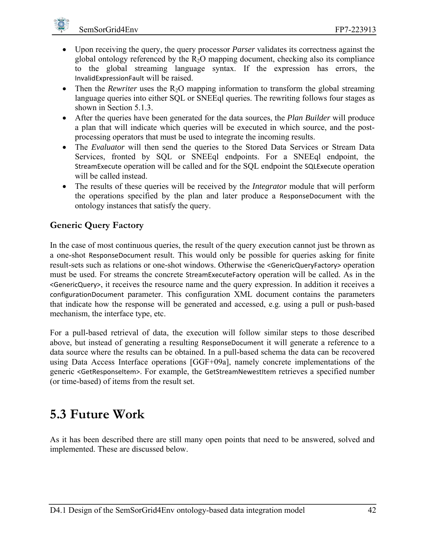SemSorGrid4Env FP7-223913

- Upon receiving the query, the query processor *Parser* validates its correctness against the global ontology referenced by the  $R_2O$  mapping document, checking also its compliance to the global streaming language syntax. If the expression has errors, the InvalidExpressionFault will be raised.
- Then the *Rewriter* uses the R<sub>2</sub>O mapping information to transform the global streaming language queries into either SQL or SNEEql queries. The rewriting follows four stages as shown in Section [5.1.3.](#page-46-0)
- After the queries have been generated for the data sources, the *Plan Builder* will produce a plan that will indicate which queries will be executed in which source, and the postprocessing operators that must be used to integrate the incoming results.
- The *Evaluator* will then send the queries to the Stored Data Services or Stream Data Services, fronted by SQL or SNEEql endpoints. For a SNEEql endpoint, the StreamExecute operation will be called and for the SQL endpoint the SQLExecute operation will be called instead.
- The results of these queries will be received by the *Integrator* module that will perform the operations specified by the plan and later produce a ResponseDocument with the ontology instances that satisfy the query.

### **Generic Query Factory**

In the case of most continuous queries, the result of the query execution cannot just be thrown as a one-shot ResponseDocument result. This would only be possible for queries asking for finite result-sets such as relations or one-shot windows. Otherwise the <GenericQueryFactory> operation must be used. For streams the concrete StreamExecuteFactory operation will be called. As in the <GenericQuery>, it receives the resource name and the query expression. In addition it receives a configurationDocument parameter. This configuration XML document contains the parameters that indicate how the response will be generated and accessed, e.g. using a pull or push-based mechanism, the interface type, etc.

For a pull-based retrieval of data, the execution will follow similar steps to those described above, but instead of generating a resulting ResponseDocument it will generate a reference to a data source where the results can be obtained. In a pull-based schema the data can be recovered using Data Access Interface operations [GGF+09a], namely concrete implementations of the generic <GetResponseItem>. For example, the GetStreamNewestItem retrieves a specified number (or time-based) of items from the result set.

# <span id="page-50-0"></span>**5.3 Future Work**

As it has been described there are still many open points that need to be answered, solved and implemented. These are discussed below.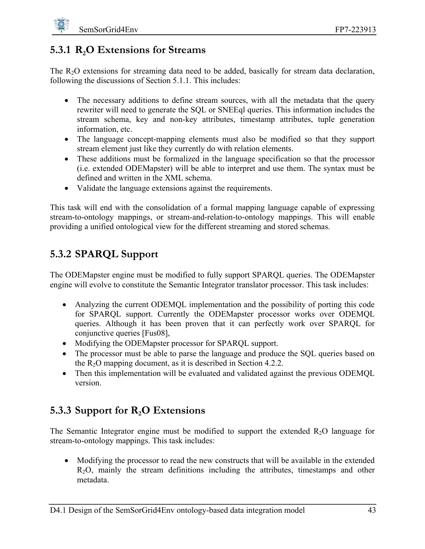# **5.3.1 R2O Extensions for Streams**

The R<sub>2</sub>O extensions for streaming data need to be added, basically for stream data declaration, following the discussions of Section [5.1.1.](#page-42-1) This includes:

- The necessary additions to define stream sources, with all the metadata that the query rewriter will need to generate the SQL or SNEEql queries. This information includes the stream schema, key and non-key attributes, timestamp attributes, tuple generation information, etc.
- The language concept-mapping elements must also be modified so that they support stream element just like they currently do with relation elements.
- These additions must be formalized in the language specification so that the processor (i.e. extended ODEMapster) will be able to interpret and use them. The syntax must be defined and written in the XML schema.
- Validate the language extensions against the requirements.

This task will end with the consolidation of a formal mapping language capable of expressing stream-to-ontology mappings, or stream-and-relation-to-ontology mappings. This will enable providing a unified ontological view for the different streaming and stored schemas.

# **5.3.2 SPARQL Support**

The ODEMapster engine must be modified to fully support SPARQL queries. The ODEMapster engine will evolve to constitute the Semantic Integrator translator processor. This task includes:

- Analyzing the current ODEMQL implementation and the possibility of porting this code for SPARQL support. Currently the ODEMapster processor works over ODEMQL queries. Although it has been proven that it can perfectly work over SPARQL for conjunctive queries [[Fus08\]](#page-57-1),
- Modifying the ODEMapster processor for SPARQL support.
- The processor must be able to parse the language and produce the SQL queries based on the  $R_2O$  mapping document, as it is described in Section [4.2.2.](#page-34-0)
- Then this implementation will be evaluated and validated against the previous ODEMQL version.

# **5.3.3** Support for R<sub>2</sub>O Extensions

The Semantic Integrator engine must be modified to support the extended  $R_2O$  language for stream-to-ontology mappings. This task includes:

• Modifying the processor to read the new constructs that will be available in the extended R2O, mainly the stream definitions including the attributes, timestamps and other metadata.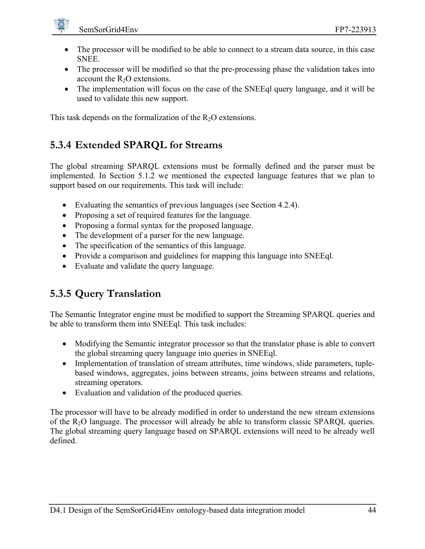

- The processor will be modified to be able to connect to a stream data source, in this case SNEE.
- The processor will be modified so that the pre-processing phase the validation takes into account the  $R_2O$  extensions.
- The implementation will focus on the case of the SNEE query language, and it will be used to validate this new support.

This task depends on the formalization of the  $R_2O$  extensions.

### **5.3.4 Extended SPARQL for Streams**

The global streaming SPARQL extensions must be formally defined and the parser must be implemented. In Section [5.1.2](#page-45-0) we mentioned the expected language features that we plan to support based on our requirements. This task will include:

- Evaluating the semantics of previous languages (see Section [4.2.4\)](#page-38-0).
- Proposing a set of required features for the language.
- Proposing a formal syntax for the proposed language.
- The development of a parser for the new language.
- The specification of the semantics of this language.
- Provide a comparison and guidelines for mapping this language into SNEEql.
- Evaluate and validate the query language.

# **5.3.5 Query Translation**

The Semantic Integrator engine must be modified to support the Streaming SPARQL queries and be able to transform them into SNEEql. This task includes:

- Modifying the Semantic integrator processor so that the translator phase is able to convert the global streaming query language into queries in SNEEql.
- Implementation of translation of stream attributes, time windows, slide parameters, tuplebased windows, aggregates, joins between streams, joins between streams and relations, streaming operators.
- Evaluation and validation of the produced queries.

The processor will have to be already modified in order to understand the new stream extensions of the R2O language. The processor will already be able to transform classic SPARQL queries. The global streaming query language based on SPARQL extensions will need to be already well defined.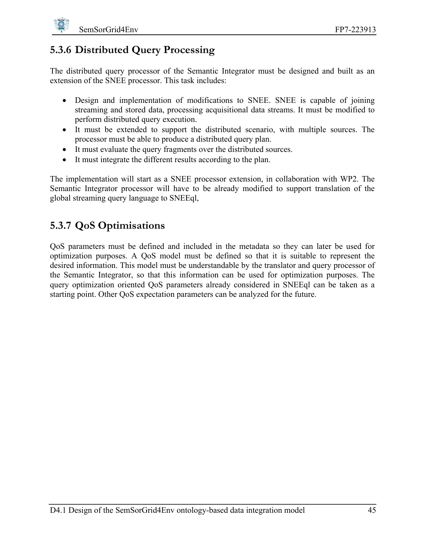

## **5.3.6 Distributed Query Processing**

The distributed query processor of the Semantic Integrator must be designed and built as an extension of the SNEE processor. This task includes:

- Design and implementation of modifications to SNEE. SNEE is capable of joining streaming and stored data, processing acquisitional data streams. It must be modified to perform distributed query execution.
- It must be extended to support the distributed scenario, with multiple sources. The processor must be able to produce a distributed query plan.
- It must evaluate the query fragments over the distributed sources.
- It must integrate the different results according to the plan.

The implementation will start as a SNEE processor extension, in collaboration with WP2. The Semantic Integrator processor will have to be already modified to support translation of the global streaming query language to SNEEql,

# **5.3.7 QoS Optimisations**

QoS parameters must be defined and included in the metadata so they can later be used for optimization purposes. A QoS model must be defined so that it is suitable to represent the desired information. This model must be understandable by the translator and query processor of the Semantic Integrator, so that this information can be used for optimization purposes. The query optimization oriented QoS parameters already considered in SNEEql can be taken as a starting point. Other QoS expectation parameters can be analyzed for the future.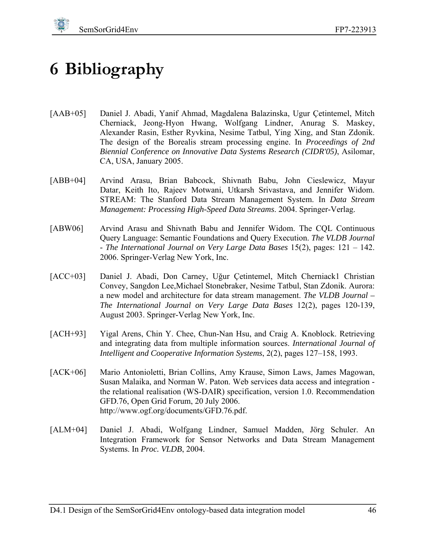

# **6 Bibliography**

- [AAB+05] Daniel J. Abadi, Yanif Ahmad, Magdalena Balazinska, Ugur Çetintemel, Mitch Cherniack, Jeong-Hyon Hwang, Wolfgang Lindner, Anurag S. Maskey, Alexander Rasin, Esther Ryvkina, Nesime Tatbul, Ying Xing, and Stan Zdonik. The design of the Borealis stream processing engine. In *Proceedings of 2nd Biennial Conference on Innovative Data Systems Research (CIDR'05)*, Asilomar, CA, USA, January 2005.
- [ABB+04] Arvind Arasu, Brian Babcock, Shivnath Babu, John Cieslewicz, Mayur Datar, Keith Ito, Rajeev Motwani, Utkarsh Srivastava, and Jennifer Widom. STREAM: The Stanford Data Stream Management System. In *Data Stream Management: Processing High-Speed Data Streams*. 2004. Springer-Verlag.
- <span id="page-54-0"></span>[ABW06] Arvind Arasu and Shivnath Babu and Jennifer Widom. The CQL Continuous Query Language: Semantic Foundations and Query Execution. *The VLDB Journal - The International Journal on Very Large Data Bases* 15(2), pages: 121 – 142. 2006. Springer-Verlag New York, Inc.
- [ACC+03] Daniel J. Abadi, Don Carney, Uğur Çetintemel, Mitch Cherniack1 Christian Convey, Sangdon Lee,Michael Stonebraker, Nesime Tatbul, Stan Zdonik. Aurora: a new model and architecture for data stream management. *The VLDB Journal – The International Journal on Very Large Data Bases* 12(2), pages 120-139, August 2003. Springer-Verlag New York, Inc.
- [ACH+93] Yigal Arens, Chin Y. Chee, Chun-Nan Hsu, and Craig A. Knoblock. Retrieving and integrating data from multiple information sources. *International Journal of Intelligent and Cooperative Information Systems*, 2(2), pages 127–158, 1993.
- <span id="page-54-1"></span>[ACK+06] Mario Antonioletti, Brian Collins, Amy Krause, Simon Laws, James Magowan, Susan Malaika, and Norman W. Paton. Web services data access and integration the relational realisation (WS-DAIR) specification, version 1.0. Recommendation GFD.76, Open Grid Forum, 20 July 2006. http://www.ogf.org/documents/GFD.76.pdf.
- [ALM+04] Daniel J. Abadi, Wolfgang Lindner, Samuel Madden, Jörg Schuler. An Integration Framework for Sensor Networks and Data Stream Management Systems. In *Proc. VLDB*, 2004.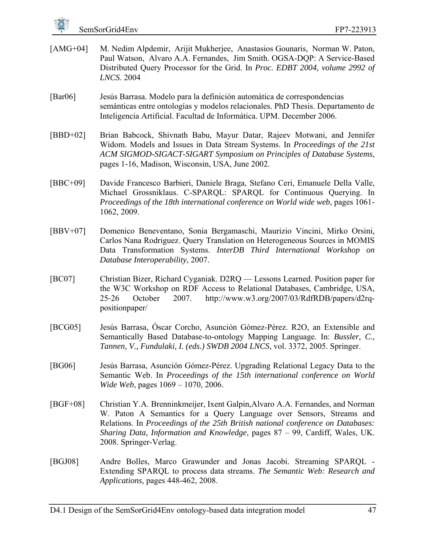<span id="page-55-4"></span><span id="page-55-3"></span><span id="page-55-1"></span>

| $[AMG+04]$   | M. Nedim Alpdemir, Arijit Mukherjee, Anastasios Gounaris, Norman W. Paton,<br>Paul Watson, Alvaro A.A. Fernandes, Jim Smith. OGSA-DQP: A Service-Based<br>Distributed Query Processor for the Grid. In Proc. EDBT 2004, volume 2992 of<br><b>LNCS. 2004</b>                        |
|--------------|------------------------------------------------------------------------------------------------------------------------------------------------------------------------------------------------------------------------------------------------------------------------------------|
| [Bar06]      | Jesús Barrasa. Modelo para la definición automática de correspondencias<br>semánticas entre ontologías y modelos relacionales. PhD Thesis. Departamento de<br>Inteligencia Artificial. Facultad de Informática. UPM. December 2006.                                                |
| $[BBD+02]$   | Brian Babcock, Shivnath Babu, Mayur Datar, Rajeev Motwani, and Jennifer<br>Widom. Models and Issues in Data Stream Systems. In Proceedings of the 21st<br>ACM SIGMOD-SIGACT-SIGART Symposium on Principles of Database Systems,<br>pages 1-16, Madison, Wisconsin, USA, June 2002. |
| $[BBC + 09]$ | Davide Francesco Barbieri, Daniele Braga, Stefano Ceri, Emanuele Della Valle,<br>Michael Grossniklaus. C-SPARQL: SPARQL for Continuous Querying. In<br>Proceedings of the 18th international conference on World wide web, pages 1061-<br>1062, 2009.                              |
| $[BBV+07]$   | Domenico Beneventano, Sonia Bergamaschi, Maurizio Vincini, Mirko Orsini,<br>Carlos Nana Rodriguez. Query Translation on Heterogeneous Sources in MOMIS<br>Data Transformation Systems. InterDB Third International Workshop on<br>Database Interoperability, 2007.                 |
| [BC07]       | Christian Bizer, Richard Cyganiak. D2RQ — Lessons Learned. Position paper for<br>the W3C Workshop on RDF Access to Relational Databases, Cambridge, USA,<br>http://www.w3.org/2007/03/RdfRDB/papers/d2rq-<br>$25 - 26$<br>2007.<br>October<br>positionpaper/                       |
| [BCG05]      | Jesús Barrasa, Óscar Corcho, Asunción Gómez-Pérez. R2O, an Extensible and<br>Semantically Based Database-to-ontology Mapping Language. In: Bussler, C.,<br>Tannen, V., Fundulaki, I. (eds.) SWDB 2004 LNCS, vol. 3372, 2005. Springer.                                             |

- [BG06] Jesús Barrasa, Asunción Gómez-Pérez. Upgrading Relational Legacy Data to the Semantic Web. In *Proceedings of the 15th international conference on World Wide Web*, pages 1069 – 1070, 2006.
- <span id="page-55-0"></span>[BGF+08] Christian Y.A. Brenninkmeijer, Ixent Galpin,Alvaro A.A. Fernandes, and Norman W. Paton A Semantics for a Query Language over Sensors, Streams and Relations. In *Proceedings of the 25th British national conference on Databases: Sharing Data, Information and Knowledge*, pages 87 – 99, Cardiff, Wales, UK. 2008. Springer-Verlag.
- <span id="page-55-2"></span>[BGJ08] Andre Bolles, Marco Grawunder and Jonas Jacobi. Streaming SPARQL - Extending SPARQL to process data streams. *The Semantic Web: Research and Applications,* pages 448-462, 2008.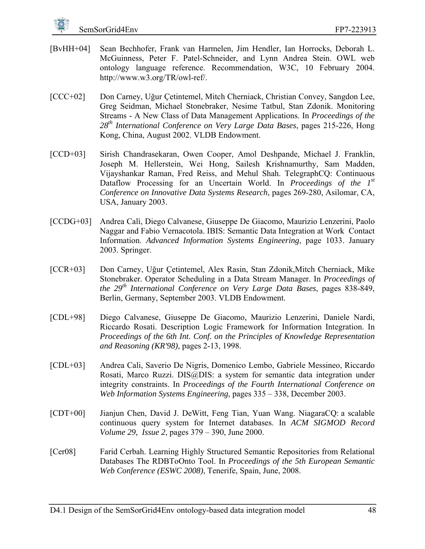- [BvHH+04] Sean Bechhofer, Frank van Harmelen, Jim Hendler, Ian Horrocks, Deborah L. McGuinness, Peter F. Patel-Schneider, and Lynn Andrea Stein. OWL web ontology language reference. Recommendation, W3C, 10 February 2004. http://www.w3.org/TR/owl-ref/.
- [CCC+02] Don Carney, Uğur Çetintemel, Mitch Cherniack, Christian Convey, Sangdon Lee, Greg Seidman, Michael Stonebraker, Nesime Tatbul, Stan Zdonik. Monitoring Streams - A New Class of Data Management Applications. In *Proceedings of the 28th International Conference on Very Large Data Bases*, pages 215-226, Hong Kong, China, August 2002. VLDB Endowment.
- [CCD+03] Sirish Chandrasekaran, Owen Cooper, Amol Deshpande, Michael J. Franklin, Joseph M. Hellerstein, Wei Hong, Sailesh Krishnamurthy, Sam Madden, Vijayshankar Raman, Fred Reiss, and Mehul Shah. TelegraphCQ: Continuous Dataflow Processing for an Uncertain World. In *Proceedings of the 1st Conference on Innovative Data Systems Research*, pages 269-280, Asilomar, CA, USA, January 2003.
- [CCDG+03] Andrea Calì, Diego Calvanese, Giuseppe De Giacomo, Maurizio Lenzerini, Paolo Naggar and Fabio Vernacotola. IBIS: Semantic Data Integration at Work Contact Information. *Advanced Information Systems Engineering*, page 1033. January 2003. Springer.
- [CCR+03] Don Carney, Uğur Çetintemel, Alex Rasin, Stan Zdonik,Mitch Cherniack, Mike Stonebraker. Operator Scheduling in a Data Stream Manager. In *Proceedings of the 29th International Conference on Very Large Data Bases*, pages 838-849, Berlin, Germany, September 2003. VLDB Endowment.
- [CDL+98] Diego Calvanese, Giuseppe De Giacomo, Maurizio Lenzerini, Daniele Nardi, Riccardo Rosati. Description Logic Framework for Information Integration. In *Proceedings of the 6th Int. Conf. on the Principles of Knowledge Representation and Reasoning (KR'98),* pages 2-13, 1998.
- [CDL+03] Andrea Cali, Saverio De Nigris, Domenico Lembo, Gabriele Messineo, Riccardo Rosati, Marco Ruzzi. DIS@DIS: a system for semantic data integration under integrity constraints. In *Proceedings of the Fourth International Conference on Web Information Systems Engineering*, pages 335 – 338, December 2003.
- [CDT+00] Jianjun Chen, David J. DeWitt, Feng Tian, Yuan Wang. NiagaraCQ: a scalable continuous query system for Internet databases. In *ACM SIGMOD Record Volume 29, Issue 2*, pages 379 – 390, June 2000.
- [Cer08] Farid Cerbah. Learning Highly Structured Semantic Repositories from Relational Databases The RDBToOnto Tool. In *Proceedings of the 5th European Semantic Web Conference (ESWC 2008)*, Tenerife, Spain, June, 2008.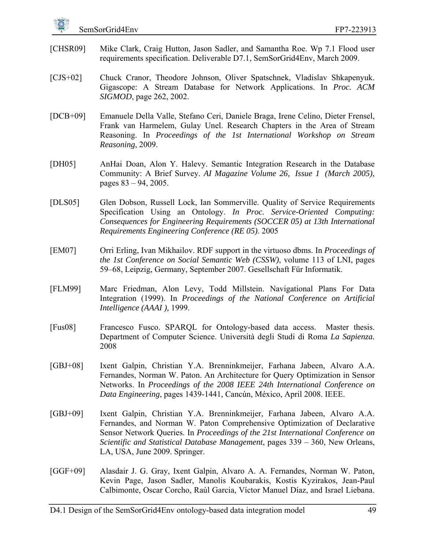- [CHSR09] Mike Clark, Craig Hutton, Jason Sadler, and Samantha Roe. Wp 7.1 Flood user requirements specification. Deliverable D7.1, SemSorGrid4Env, March 2009.
- [CJS+02] Chuck Cranor, Theodore Johnson, Oliver Spatschnek, Vladislav Shkapenyuk. Gigascope: A Stream Database for Network Applications. In *Proc. ACM SIGMOD*, page 262, 2002.
- <span id="page-57-0"></span>[DCB+09] Emanuele Della Valle, Stefano Ceri, Daniele Braga, Irene Celino, Dieter Frensel, Frank van Harmelem, Gulay Unel. Research Chapters in the Area of Stream Reasoning. In *Proceedings of the 1st International Workshop on Stream Reasoning*, 2009.
- [DH05] AnHai Doan, Alon Y. Halevy. Semantic Integration Research in the Database Community: A Brief Survey. *AI Magazine Volume 26, Issue 1 (March 2005)*, pages 83 – 94, 2005.
- [DLS05] Glen Dobson, Russell Lock, Ian Sommerville. Quality of Service Requirements Specification Using an Ontology. *In Proc. Service-Oriented Computing: Consequences for Engineering Requirements (SOCCER 05) at 13th International Requirements Engineering Conference (RE 05)*. 2005
- [EM07] Orri Erling, Ivan Mikhailov. RDF support in the virtuoso dbms. In *Proceedings of the 1st Conference on Social Semantic Web (CSSW)*, volume 113 of LNI, pages 59–68, Leipzig, Germany, September 2007. Gesellschaft Für Informatik.
- [FLM99] Marc Friedman, Alon Levy, Todd Millstein. Navigational Plans For Data Integration (1999). In *Proceedings of the National Conference on Artificial Intelligence (AAAI ),* 1999.
- <span id="page-57-1"></span>[Fus08] Francesco Fusco. SPARQL for Ontology-based data access. Master thesis. Department of Computer Science. Università degli Studi di Roma *La Sapienza.* 2008
- [GBJ+08] Ixent Galpin, Christian Y.A. Brenninkmeijer, Farhana Jabeen, Alvaro A.A. Fernandes, Norman W. Paton. An Architecture for Query Optimization in Sensor Networks. In *Proceedings of the 2008 IEEE 24th International Conference on Data Engineering*, pages 1439-1441, Cancún, México, April 2008. IEEE.
- [GBJ+09] Ixent Galpin, Christian Y.A. Brenninkmeijer, Farhana Jabeen, Alvaro A.A. Fernandes, and Norman W. Paton Comprehensive Optimization of Declarative Sensor Network Queries. In *Proceedings of the 21st International Conference on Scientific and Statistical Database Management*, pages 339 – 360, New Orleans, LA, USA, June 2009. Springer.
- [GGF+09] Alasdair J. G. Gray, Ixent Galpin, Alvaro A. A. Fernandes, Norman W. Paton, Kevin Page, Jason Sadler, Manolis Koubarakis, Kostis Kyzirakos, Jean-Paul Calbimonte, Oscar Corcho, Raúl Garcia, Víctor Manuel Díaz, and Israel Liebana.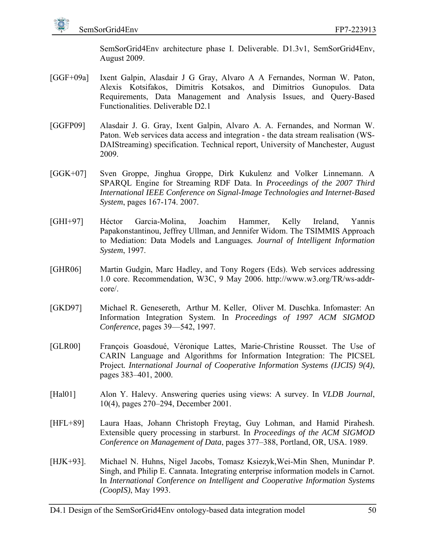SemSorGrid4Env architecture phase I. Deliverable. D1.3v1, SemSorGrid4Env, August 2009.

- [GGF+09a] Ixent Galpin, Alasdair J G Gray, Alvaro A A Fernandes, Norman W. Paton, Alexis Kotsifakos, Dimitris Kotsakos, and Dimitrios Gunopulos. Data Requirements, Data Management and Analysis Issues, and Query-Based Functionalities. Deliverable D2.1
- <span id="page-58-1"></span>[GGFP09] Alasdair J. G. Gray, Ixent Galpin, Alvaro A. A. Fernandes, and Norman W. Paton. Web services data access and integration - the data stream realisation (WS-DAIStreaming) specification. Technical report, University of Manchester, August 2009.
- <span id="page-58-0"></span>[GGK+07] Sven Groppe, Jinghua Groppe, Dirk Kukulenz and Volker Linnemann. A SPARQL Engine for Streaming RDF Data. In *Proceedings of the 2007 Third International IEEE Conference on Signal-Image Technologies and Internet-Based System*, pages 167-174. 2007.
- [GHI+97] Héctor Garcia-Molina, Joachim Hammer, Kelly Ireland, Yannis Papakonstantinou, Jeffrey Ullman, and Jennifer Widom. The TSIMMIS Approach to Mediation: Data Models and Languages*. Journal of Intelligent Information System*, 1997.
- [GHR06] Martin Gudgin, Marc Hadley, and Tony Rogers (Eds). Web services addressing 1.0 core. Recommendation, W3C, 9 May 2006. http://www.w3.org/TR/ws-addrcore/.
- [GKD97] Michael R. Genesereth, Arthur M. Keller, Oliver M. Duschka. Infomaster: An Information Integration System. In *Proceedings of 1997 ACM SIGMOD Conference*, pages 39—542, 1997.
- [GLR00] François Goasdoué, Véronique Lattes, Marie-Christine Rousset. The Use of CARIN Language and Algorithms for Information Integration: The PICSEL Project*. International Journal of Cooperative Information Systems (IJCIS) 9(4)*, pages 383–401, 2000.
- [Hal01] Alon Y. Halevy. Answering queries using views: A survey. In *VLDB Journal*, 10(4), pages 270–294, December 2001.
- [HFL+89] Laura Haas, Johann Christoph Freytag, Guy Lohman, and Hamid Pirahesh. Extensible query processing in starburst. In *Proceedings of the ACM SIGMOD Conference on Management of Data*, pages 377–388, Portland, OR, USA. 1989.
- [HJK+93]. Michael N. Huhns, Nigel Jacobs, Tomasz Ksiezyk,Wei-Min Shen, Munindar P. Singh, and Philip E. Cannata. Integrating enterprise information models in Carnot. In *International Conference on Intelligent and Cooperative Information Systems (CoopIS)*, May 1993.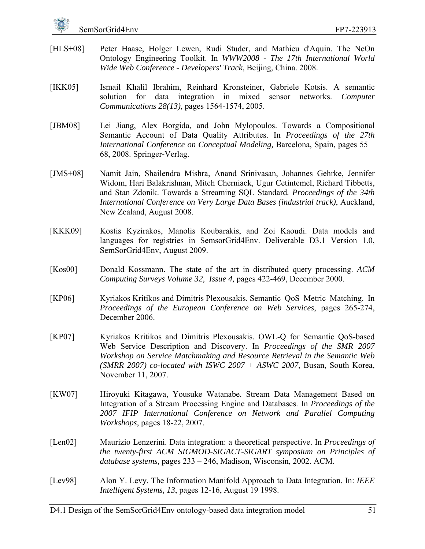- <span id="page-59-0"></span>[HLS+08] Peter Haase, Holger Lewen, Rudi Studer, and Mathieu d'Aquin. The NeOn Ontology Engineering Toolkit. In *WWW2008 - The 17th International World Wide Web Conference - Developers' Track*, Beijing, China. 2008.
- [IKK05] Ismail Khalil Ibrahim, Reinhard Kronsteiner, Gabriele Kotsis. A semantic solution for data integration in mixed sensor networks. *Computer Communications 28(13)*, pages 1564-1574, 2005.
- [JBM08] Lei Jiang, Alex Borgida, and John Mylopoulos. Towards a Compositional Semantic Account of Data Quality Attributes. In *Proceedings of the 27th International Conference on Conceptual Modeling,* Barcelona, Spain, pages 55 – 68, 2008. Springer-Verlag.
- [JMS+08] Namit Jain, Shailendra Mishra, Anand Srinivasan, Johannes Gehrke, Jennifer Widom, Hari Balakrishnan, Mitch Cherniack, Ugur Cetintemel, Richard Tibbetts, and Stan Zdonik. Towards a Streaming SQL Standard*. Proceedings of the 34th International Conference on Very Large Data Bases (industrial track)*, Auckland, New Zealand, August 2008.
- <span id="page-59-1"></span>[KKK09] Kostis Kyzirakos, Manolis Koubarakis, and Zoi Kaoudi. Data models and languages for registries in SemsorGrid4Env. Deliverable D3.1 Version 1.0, SemSorGrid4Env, August 2009.
- [Kos00] Donald Kossmann. The state of the art in distributed query processing. *ACM Computing Surveys Volume 32, Issue 4,* pages 422-469, December 2000.
- [KP06] Kyriakos Kritikos and Dimitris Plexousakis. Semantic QoS Metric Matching. In *Proceedings of the European Conference on Web Services*, pages 265-274, December 2006.
- [KP07] Kyriakos Kritikos and Dimitris Plexousakis. OWL-Q for Semantic QoS-based Web Service Description and Discovery. In *Proceedings of the SMR 2007 Workshop on Service Matchmaking and Resource Retrieval in the Semantic Web (SMRR 2007) co-located with ISWC 2007 + ASWC 2007*, Busan, South Korea, November 11, 2007.
- [KW07] Hiroyuki Kitagawa, Yousuke Watanabe. Stream Data Management Based on Integration of a Stream Processing Engine and Databases. In *Proceedings of the 2007 IFIP International Conference on Network and Parallel Computing Workshops*, pages 18-22, 2007.
- [Len02] Maurizio Lenzerini. Data integration: a theoretical perspective. In *Proceedings of the twenty-first ACM SIGMOD-SIGACT-SIGART symposium on Principles of database systems,* pages 233 – 246, Madison, Wisconsin, 2002. ACM.
- [Lev98] Alon Y. Levy. The Information Manifold Approach to Data Integration. In: *IEEE Intelligent Systems, 13*, pages 12-16, August 19 1998.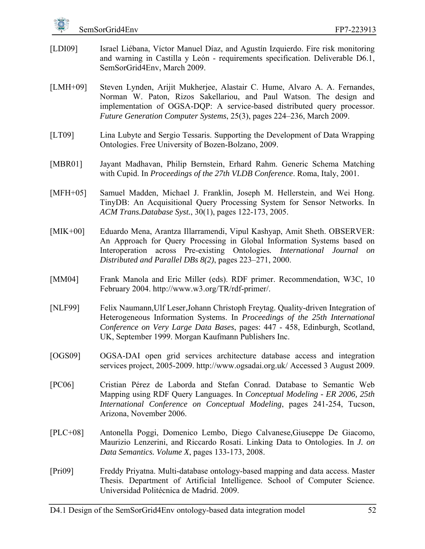- [LDI09] Israel Liébana, Víctor Manuel Díaz, and Agustín Izquierdo. Fire risk monitoring and warning in Castilla y León - requirements specification. Deliverable D6.1, SemSorGrid4Env, March 2009.
- <span id="page-60-1"></span>[LMH+09] Steven Lynden, Arijit Mukherjee, Alastair C. Hume, Alvaro A. A. Fernandes, Norman W. Paton, Rizos Sakellariou, and Paul Watson. The design and implementation of OGSA-DQP: A service-based distributed query processor. *Future Generation Computer Systems*, 25(3), pages 224–236, March 2009.
- [LT09] Lina Lubyte and Sergio Tessaris. Supporting the Development of Data Wrapping Ontologies. Free University of Bozen-Bolzano, 2009.
- [MBR01] Jayant Madhavan, Philip Bernstein, Erhard Rahm. Generic Schema Matching with Cupid. In *Proceedings of the 27th VLDB Conference*. Roma, Italy, 2001.
- [MFH+05] Samuel Madden, Michael J. Franklin, Joseph M. Hellerstein, and Wei Hong. TinyDB: An Acquisitional Query Processing System for Sensor Networks. In *ACM Trans.Database Syst.*, 30(1), pages 122-173, 2005.
- [MIK+00] Eduardo Mena, Arantza Illarramendi, Vipul Kashyap, Amit Sheth. OBSERVER: An Approach for Query Processing in Global Information Systems based on Interoperation across Pre-existing Ontologies*. International Journal on Distributed and Parallel DBs 8(2)*, pages 223–271, 2000.
- [MM04] Frank Manola and Eric Miller (eds). RDF primer. Recommendation, W3C, 10 February 2004. http://www.w3.org/TR/rdf-primer/.
- [NLF99] Felix Naumann,Ulf Leser,Johann Christoph Freytag. Quality-driven Integration of Heterogeneous Information Systems. In *Proceedings of the 25th International Conference on Very Large Data Bases*, pages: 447 - 458, Edinburgh, Scotland, UK, September 1999. Morgan Kaufmann Publishers Inc.
- <span id="page-60-2"></span>[OGS09] OGSA-DAI open grid services architecture database access and integration services project, 2005-2009. http://www.ogsadai.org.uk/ Accessed 3 August 2009.
- [PC06] Cristian Pérez de Laborda and Stefan Conrad. Database to Semantic Web Mapping using RDF Query Languages. In *Conceptual Modeling - ER 2006, 25th International Conference on Conceptual Modeling*, pages 241-254, Tucson, Arizona, November 2006.
- [PLC+08] Antonella Poggi, Domenico Lembo, Diego Calvanese,Giuseppe De Giacomo, Maurizio Lenzerini, and Riccardo Rosati. Linking Data to Ontologies. In *J. on Data Semantics. Volume X*, pages 133-173, 2008.
- <span id="page-60-0"></span>[Pri09] Freddy Priyatna. Multi-database ontology-based mapping and data access. Master Thesis. Department of Artificial Intelligence. School of Computer Science. Universidad Politécnica de Madrid. 2009.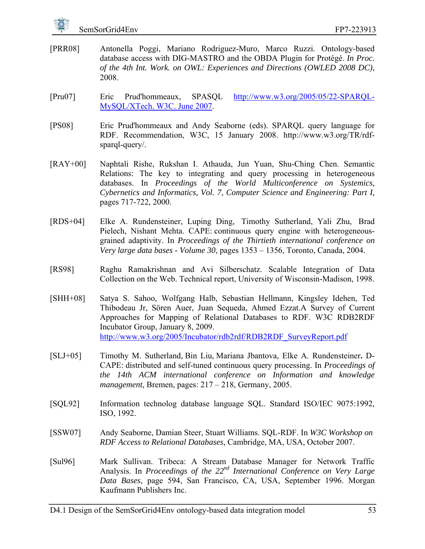- [PRR08] Antonella Poggi, Mariano Rodriguez-Muro, Marco Ruzzi. Ontology-based database access with DIG-MASTRO and the OBDA Plugin for Protégé. *In Proc. of the 4th Int. Work. on OWL: Experiences and Directions (OWLED 2008 DC)*, 2008.
- [Pru07] Eric Prud'hommeaux, SPASQL [http://www.w3.org/2005/05/22-SPARQL-](http://www.w3.org/2005/05/22-SPARQL-MySQL/XTech.%20W3C.%20June%202007)[MySQL/XTech. W3C. June 2007.](http://www.w3.org/2005/05/22-SPARQL-MySQL/XTech.%20W3C.%20June%202007)
- [PS08] Eric Prud'hommeaux and Andy Seaborne (eds). SPARQL query language for RDF. Recommendation, W3C, 15 January 2008. http://www.w3.org/TR/rdfsparql-query/.
- [RAY+00] Naphtali Rishe, Rukshan I. Athauda, Jun Yuan, Shu-Ching Chen. Semantic Relations: The key to integrating and query processing in heterogeneous databases. In *Proceedings of the World Multiconference on Systemics, Cybernetics and Informatics, Vol. 7, Computer Science and Engineering: Part I,*  pages 717-722, 2000.
- [RDS+04] Elke A. Rundensteiner, Luping Ding, Timothy Sutherland, Yali Zhu, Brad Pielech, Nishant Mehta. CAPE: continuous query engine with heterogeneousgrained adaptivity. In *Proceedings of the Thirtieth international conference on Very large data bases - Volume 30*, pages 1353 – 1356, Toronto, Canada, 2004.
- [RS98] Raghu Ramakrishnan and Avi Silberschatz. Scalable Integration of Data Collection on the Web. Technical report, University of Wisconsin-Madison, 1998.
- [SHH+08] Satya S. Sahoo, Wolfgang Halb, Sebastian Hellmann, Kingsley Idehen, Ted Thibodeau Jr, Sören Auer, Juan Sequeda, Ahmed Ezzat.A Survey of Current Approaches for Mapping of Relational Databases to RDF. W3C RDB2RDF Incubator Group, January 8, 2009. [http://www.w3.org/2005/Incubator/rdb2rdf/RDB2RDF\\_SurveyReport.pdf](http://www.w3.org/2005/Incubator/rdb2rdf/RDB2RDF_SurveyReport.pdf)
- [SLJ+05] Timothy M. Sutherland, Bin Liu, Mariana Jbantova, Elke A. Rundensteiner**.** D-CAPE: distributed and self-tuned continuous query processing. In *Proceedings of the 14th ACM international conference on Information and knowledge management,* Bremen, pages: 217 – 218, Germany, 2005.
- <span id="page-61-0"></span>[SQL92] Information technolog database language SQL. Standard ISO/IEC 9075:1992, ISO, 1992.
- [SSW07] Andy Seaborne, Damian Steer, Stuart Williams. SQL-RDF. In *W3C Workshop on RDF Access to Relational Databases*, Cambridge, MA, USA, October 2007.
- [Sul96] Mark Sullivan. Tribeca: A Stream Database Manager for Network Traffic Analysis. In *Proceedings of the 22nd International Conference on Very Large Data Bases*, page 594, San Francisco, CA, USA, September 1996. Morgan Kaufmann Publishers Inc.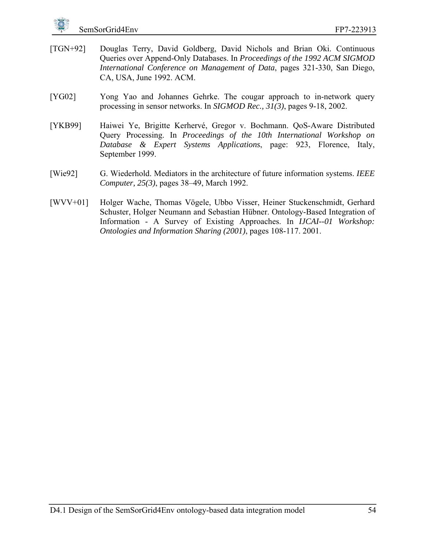- [TGN+92] Douglas Terry, David Goldberg, David Nichols and Brian Oki. Continuous Queries over Append-Only Databases. In *Proceedings of the 1992 ACM SIGMOD International Conference on Management of Data*, pages 321-330, San Diego, CA, USA, June 1992. ACM.
- [YG02] Yong Yao and Johannes Gehrke. The cougar approach to in-network query processing in sensor networks. In *SIGMOD Rec., 31(3)*, pages 9-18, 2002.
- [YKB99] Haiwei Ye, Brigitte Kerhervé, Gregor v. Bochmann. QoS-Aware Distributed Query Processing. In *Proceedings of the 10th International Workshop on Database & Expert Systems Applications*, page: 923, Florence, Italy, September 1999.
- [Wie92] G. Wiederhold. Mediators in the architecture of future information systems. *IEEE Computer, 25(3)*, pages 38–49, March 1992.
- [WVV+01] Holger Wache, Thomas Vögele, Ubbo Visser, Heiner Stuckenschmidt, Gerhard Schuster, Holger Neumann and Sebastian Hübner. Ontology-Based Integration of Information - A Survey of Existing Approaches. In *IJCAI--01 Workshop: Ontologies and Information Sharing (2001)*, pages 108-117. 2001.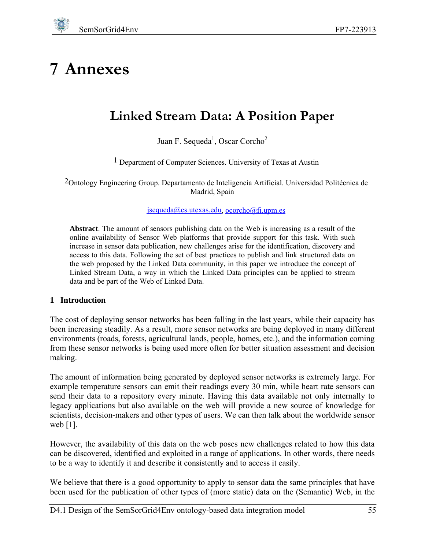# **7 Annexes**

# **Linked Stream Data: A Position Paper**

Juan F. Sequeda<sup>1</sup>, Oscar Corcho<sup>2</sup>

1 Department of Computer Sciences. University of Texas at Austin

<span id="page-63-0"></span>2Ontology Engineering Group. Departamento de Inteligencia Artificial. Universidad Politécnica de Madrid, Spain

[jsequeda@cs.utexas.edu](mailto:jsequeda@cs.utexas.edu), [ocorcho@fi.upm.es](mailto:ocorcho@fi.upm.es)

**Abstract**. The amount of sensors publishing data on the Web is increasing as a result of the online availability of Sensor Web platforms that provide support for this task. With such increase in sensor data publication, new challenges arise for the identification, discovery and access to this data. Following the set of best practices to publish and link structured data on the web proposed by the Linked Data community, in this paper we introduce the concept of Linked Stream Data, a way in which the Linked Data principles can be applied to stream data and be part of the Web of Linked Data.

### **1 Introduction**

The cost of deploying sensor networks has been falling in the last years, while their capacity has been increasing steadily. As a result, more sensor networks are being deployed in many different environments (roads, forests, agricultural lands, people, homes, etc.), and the information coming from these sensor networks is being used more often for better situation assessment and decision making.

The amount of information being generated by deployed sensor networks is extremely large. For example temperature sensors can emit their readings every 30 min, while heart rate sensors can send their data to a repository every minute. Having this data available not only internally to legacy applications but also available on the web will provide a new source of knowledge for scientists, decision-makers and other types of users. We can then talk about the worldwide sensor web [1].

However, the availability of this data on the web poses new challenges related to how this data can be discovered, identified and exploited in a range of applications. In other words, there needs to be a way to identify it and describe it consistently and to access it easily.

We believe that there is a good opportunity to apply to sensor data the same principles that have been used for the publication of other types of (more static) data on the (Semantic) Web, in the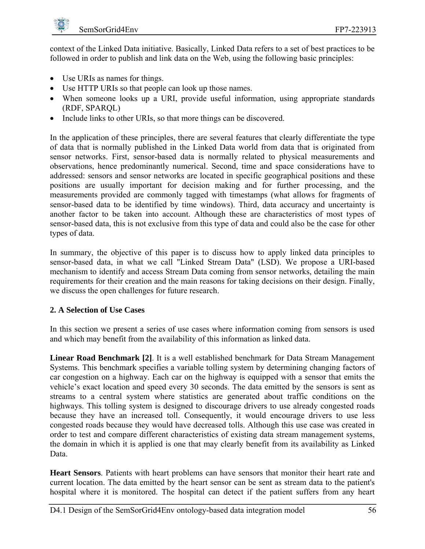

context of the Linked Data initiative. Basically, Linked Data refers to a set of best practices to be followed in order to publish and link data on the Web, using the following basic principles:

- Use URIs as names for things.
- Use HTTP URIs so that people can look up those names.
- When someone looks up a URI, provide useful information, using appropriate standards (RDF, SPARQL)
- Include links to other URIs, so that more things can be discovered.

In the application of these principles, there are several features that clearly differentiate the type of data that is normally published in the Linked Data world from data that is originated from sensor networks. First, sensor-based data is normally related to physical measurements and observations, hence predominantly numerical. Second, time and space considerations have to addressed: sensors and sensor networks are located in specific geographical positions and these positions are usually important for decision making and for further processing, and the measurements provided are commonly tagged with timestamps (what allows for fragments of sensor-based data to be identified by time windows). Third, data accuracy and uncertainty is another factor to be taken into account. Although these are characteristics of most types of sensor-based data, this is not exclusive from this type of data and could also be the case for other types of data.

In summary, the objective of this paper is to discuss how to apply linked data principles to sensor-based data, in what we call "Linked Stream Data" (LSD). We propose a URI-based mechanism to identify and access Stream Data coming from sensor networks, detailing the main requirements for their creation and the main reasons for taking decisions on their design. Finally, we discuss the open challenges for future research.

### **2. A Selection of Use Cases**

In this section we present a series of use cases where information coming from sensors is used and which may benefit from the availability of this information as linked data.

**Linear Road Benchmark [2]**. It is a well established benchmark for Data Stream Management Systems. This benchmark specifies a variable tolling system by determining changing factors of car congestion on a highway. Each car on the highway is equipped with a sensor that emits the vehicle's exact location and speed every 30 seconds. The data emitted by the sensors is sent as streams to a central system where statistics are generated about traffic conditions on the highways. This tolling system is designed to discourage drivers to use already congested roads because they have an increased toll. Consequently, it would encourage drivers to use less congested roads because they would have decreased tolls. Although this use case was created in order to test and compare different characteristics of existing data stream management systems, the domain in which it is applied is one that may clearly benefit from its availability as Linked Data.

**Heart Sensors**. Patients with heart problems can have sensors that monitor their heart rate and current location. The data emitted by the heart sensor can be sent as stream data to the patient's hospital where it is monitored. The hospital can detect if the patient suffers from any heart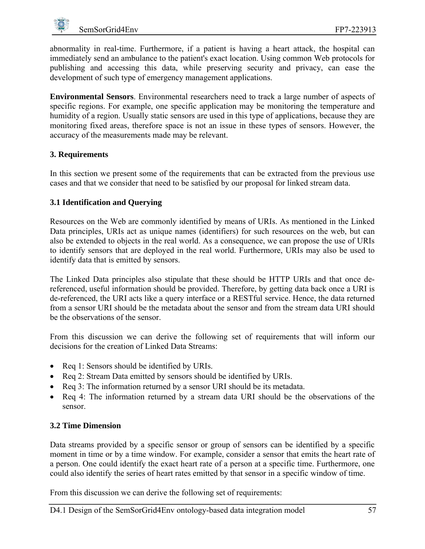abnormality in real-time. Furthermore, if a patient is having a heart attack, the hospital can immediately send an ambulance to the patient's exact location. Using common Web protocols for publishing and accessing this data, while preserving security and privacy, can ease the development of such type of emergency management applications.

**Environmental Sensors**. Environmental researchers need to track a large number of aspects of specific regions. For example, one specific application may be monitoring the temperature and humidity of a region. Usually static sensors are used in this type of applications, because they are monitoring fixed areas, therefore space is not an issue in these types of sensors. However, the accuracy of the measurements made may be relevant.

#### **3. Requirements**

In this section we present some of the requirements that can be extracted from the previous use cases and that we consider that need to be satisfied by our proposal for linked stream data.

### **3.1 Identification and Querying**

Resources on the Web are commonly identified by means of URIs. As mentioned in the Linked Data principles, URIs act as unique names (identifiers) for such resources on the web, but can also be extended to objects in the real world. As a consequence, we can propose the use of URIs to identify sensors that are deployed in the real world. Furthermore, URIs may also be used to identify data that is emitted by sensors.

The Linked Data principles also stipulate that these should be HTTP URIs and that once dereferenced, useful information should be provided. Therefore, by getting data back once a URI is de-referenced, the URI acts like a query interface or a RESTful service. Hence, the data returned from a sensor URI should be the metadata about the sensor and from the stream data URI should be the observations of the sensor.

From this discussion we can derive the following set of requirements that will inform our decisions for the creation of Linked Data Streams:

- Req 1: Sensors should be identified by URIs.
- Req 2: Stream Data emitted by sensors should be identified by URIs.
- Req 3: The information returned by a sensor URI should be its metadata.
- Req 4: The information returned by a stream data URI should be the observations of the sensor.

#### **3.2 Time Dimension**

Data streams provided by a specific sensor or group of sensors can be identified by a specific moment in time or by a time window. For example, consider a sensor that emits the heart rate of a person. One could identify the exact heart rate of a person at a specific time. Furthermore, one could also identify the series of heart rates emitted by that sensor in a specific window of time.

From this discussion we can derive the following set of requirements: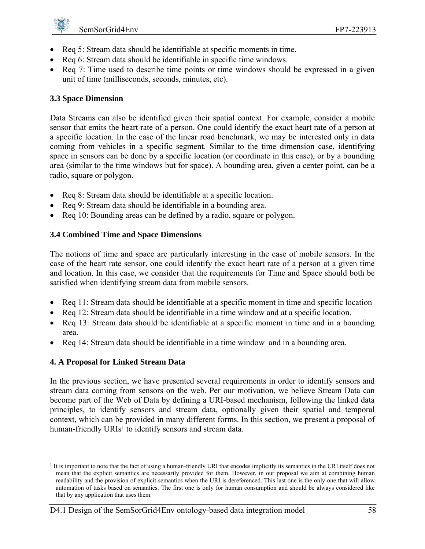

- Req 5: Stream data should be identifiable at specific moments in time.
- Req 6: Stream data should be identifiable in specific time windows.
- Req 7: Time used to describe time points or time windows should be expressed in a given unit of time (milliseconds, seconds, minutes, etc).

### **3.3 Space Dimension**

Data Streams can also be identified given their spatial context. For example, consider a mobile sensor that emits the heart rate of a person. One could identify the exact heart rate of a person at a specific location. In the case of the linear road benchmark, we may be interested only in data coming from vehicles in a specific segment. Similar to the time dimension case, identifying space in sensors can be done by a specific location (or coordinate in this case), or by a bounding area (similar to the time windows but for space). A bounding area, given a center point, can be a radio, square or polygon.

- Req 8: Stream data should be identifiable at a specific location.
- Req 9: Stream data should be identifiable in a bounding area.
- Req 10: Bounding areas can be defined by a radio, square or polygon.

### **3.4 Combined Time and Space Dimensions**

The notions of time and space are particularly interesting in the case of mobile sensors. In the case of the heart rate sensor, one could identify the exact heart rate of a person at a given time and location. In this case, we consider that the requirements for Time and Space should both be satisfied when identifying stream data from mobile sensors.

- Req 11: Stream data should be identifiable at a specific moment in time and specific location
- Req 12: Stream data should be identifiable in a time window and at a specific location.
- Req 13: Stream data should be identifiable at a specific moment in time and in a bounding area.
- Req 14: Stream data should be identifiable in a time window and in a bounding area.

### **4. A Proposal for Linked Stream Data**

1

In the previous section, we have presented several requirements in order to identify sensors and stream data coming from sensors on the web. Per our motivation, we believe Stream Data can become part of the Web of Data by defining a URI-based mechanism, following the linked data principles, to identify sensors and stream data, optionally given their spatial and temporal context, which can be provided in many different forms. In this section, we present a proposal of human-friendly URIs<sup>[1](#page-66-0)</sup> to identify sensors and stream data.

D4.1 Design of the SemSorGrid4Env ontology-based data integration model 58

<span id="page-66-0"></span><sup>&</sup>lt;sup>1</sup> It is important to note that the fact of using a human-friendly URI that encodes implicitly its semantics in the URI itself does not mean that the explicit semantics are necessarily provided for them. However, in our proposal we aim at combining human readability and the provision of explicit semantics when the URI is dereferenced. This last one is the only one that will allow automation of tasks based on semantics. The first one is only for human consumption and should be always considered like that by any application that uses them.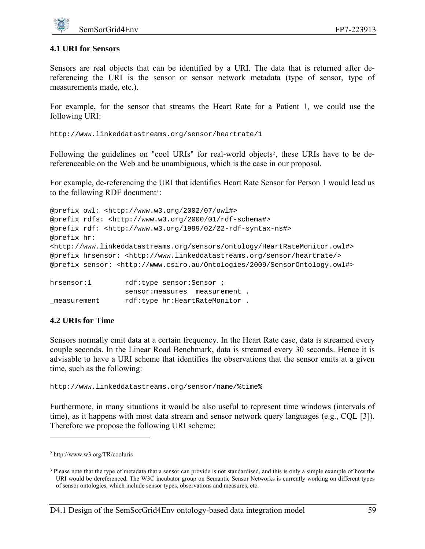#### **4.1 URI for Sensors**

Sensors are real objects that can be identified by a URI. The data that is returned after dereferencing the URI is the sensor or sensor network metadata (type of sensor, type of measurements made, etc.).

For example, for the sensor that streams the Heart Rate for a Patient 1, we could use the following URI:

http://www.linkeddatastreams.org/sensor/heartrate/1

Following the guidelines on "cool URIs" for real-world objects<sup>[2](#page-67-0)</sup>, these URIs have to be dereferenceable on the Web and be unambiguous, which is the case in our proposal.

For example, de-referencing the URI that identifies Heart Rate Sensor for Person 1 would lead us to the following RDF document<sup>[3](#page-67-1)</sup>:

```
@prefix owl: <http://www.w3.org/2002/07/owl#> 
@prefix rdfs: <http://www.w3.org/2000/01/rdf-schema#> 
@prefix rdf: <http://www.w3.org/1999/02/22-rdf-syntax-ns#> 
@prefix hr: 
<http://www.linkeddatastreams.org/sensors/ontology/HeartRateMonitor.owl#> 
@prefix hrsensor: <http://www.linkeddatastreams.org/sensor/heartrate/> 
@prefix sensor: <http://www.csiro.au/Ontologies/2009/SensorOntology.owl#>
```

| hrsensor:1  | rdf:type sensor:Sensor ;      |  |
|-------------|-------------------------------|--|
|             | sensor: measures measurement. |  |
| measurement | rdf:type hr:HeartRateMonitor. |  |

### **4.2 URIs for Time**

Sensors normally emit data at a certain frequency. In the Heart Rate case, data is streamed every couple seconds. In the Linear Road Benchmark, data is streamed every 30 seconds. Hence it is advisable to have a URI scheme that identifies the observations that the sensor emits at a given time, such as the following:

http://www.linkeddatastreams.org/sensor/name/%time%

Furthermore, in many situations it would be also useful to represent time windows (intervals of time), as it happens with most data stream and sensor network query languages (e.g., CQL [3]). Therefore we propose the following URI scheme:

 $\overline{a}$ 

<span id="page-67-0"></span><sup>2</sup> http://www.w3.org/TR/cooluris

<span id="page-67-1"></span><sup>&</sup>lt;sup>3</sup> Please note that the type of metadata that a sensor can provide is not standardised, and this is only a simple example of how the URI would be dereferenced. The W3C incubator group on Semantic Sensor Networks is currently working on different types of sensor ontologies, which include sensor types, observations and measures, etc.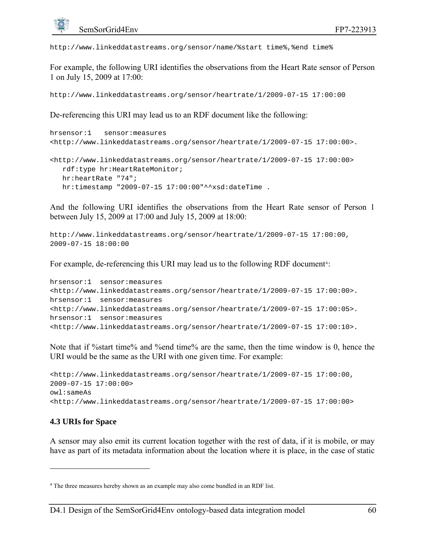http://www.linkeddatastreams.org/sensor/name/%start time%,%end time%

For example, the following URI identifies the observations from the Heart Rate sensor of Person 1 on July 15, 2009 at 17:00:

http://www.linkeddatastreams.org/sensor/heartrate/1/2009-07-15 17:00:00

De-referencing this URI may lead us to an RDF document like the following:

```
hrsensor:1 sensor:measures 
<http://www.linkeddatastreams.org/sensor/heartrate/1/2009-07-15 17:00:00>. 
<http://www.linkeddatastreams.org/sensor/heartrate/1/2009-07-15 17:00:00> 
    rdf:type hr:HeartRateMonitor; 
   hr:heartRate "74"; 
  hr:timestamp "2009-07-15 17:00:00"^^xsd:dateTime .
```
And the following URI identifies the observations from the Heart Rate sensor of Person 1 between July 15, 2009 at 17:00 and July 15, 2009 at 18:00:

```
http://www.linkeddatastreams.org/sensor/heartrate/1/2009-07-15 17:00:00, 
2009-07-15 18:00:00
```
For example, de-referencing this URI may lead us to the following RDF document<sup>[4](#page-68-0)</sup>:

```
hrsensor:1 sensor:measures 
<http://www.linkeddatastreams.org/sensor/heartrate/1/2009-07-15 17:00:00>. 
hrsensor:1 sensor:measures 
<http://www.linkeddatastreams.org/sensor/heartrate/1/2009-07-15 17:00:05>. 
hrsensor:1 sensor:measures 
<http://www.linkeddatastreams.org/sensor/heartrate/1/2009-07-15 17:00:10>.
```
Note that if %start time% and %end time% are the same, then the time window is 0, hence the URI would be the same as the URI with one given time. For example:

```
<http://www.linkeddatastreams.org/sensor/heartrate/1/2009-07-15 17:00:00, 
2009-07-15 17:00:00> 
owl:sameAs 
<http://www.linkeddatastreams.org/sensor/heartrate/1/2009-07-15 17:00:00>
```
### **4.3 URIs for Space**

1

A sensor may also emit its current location together with the rest of data, if it is mobile, or may have as part of its metadata information about the location where it is place, in the case of static

<span id="page-68-0"></span><sup>4</sup> The three measures hereby shown as an example may also come bundled in an RDF list.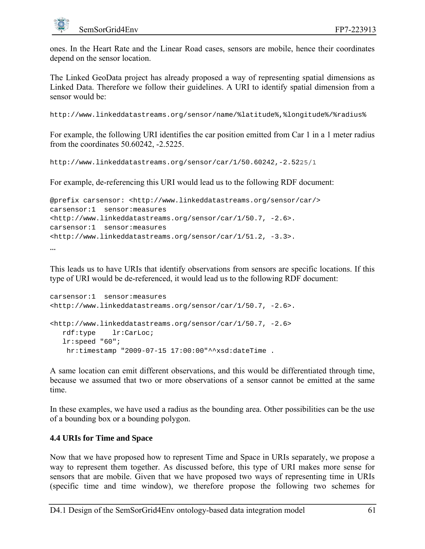ones. In the Heart Rate and the Linear Road cases, sensors are mobile, hence their coordinates depend on the sensor location.

The Linked GeoData project has already proposed a way of representing spatial dimensions as Linked Data. Therefore we follow their guidelines. A URI to identify spatial dimension from a sensor would be:

http://www.linkeddatastreams.org/sensor/name/%latitude%,%longitude%/%radius%

For example, the following URI identifies the car position emitted from Car 1 in a 1 meter radius from the coordinates 50.60242, -2.5225.

http://www.linkeddatastreams.org/sensor/car/1/50.60242,-2.5225/1

For example, de-referencing this URI would lead us to the following RDF document:

```
@prefix carsensor: <http://www.linkeddatastreams.org/sensor/car/> 
carsensor:1 sensor:measures 
<http://www.linkeddatastreams.org/sensor/car/1/50.7, -2.6>. 
carsensor:1 sensor:measures 
<http://www.linkeddatastreams.org/sensor/car/1/51.2, -3.3>. 
…
```
This leads us to have URIs that identify observations from sensors are specific locations. If this type of URI would be de-referenced, it would lead us to the following RDF document:

```
carsensor:1 sensor:measures 
<http://www.linkeddatastreams.org/sensor/car/1/50.7, -2.6>. 
<http://www.linkeddatastreams.org/sensor/car/1/50.7, -2.6> 
   rdf:type lr:CarLoc; 
   lr:speed "60"; 
    hr:timestamp "2009-07-15 17:00:00"^^xsd:dateTime .
```
A same location can emit different observations, and this would be differentiated through time, because we assumed that two or more observations of a sensor cannot be emitted at the same time.

In these examples, we have used a radius as the bounding area. Other possibilities can be the use of a bounding box or a bounding polygon.

### **4.4 URIs for Time and Space**

Now that we have proposed how to represent Time and Space in URIs separately, we propose a way to represent them together. As discussed before, this type of URI makes more sense for sensors that are mobile. Given that we have proposed two ways of representing time in URIs (specific time and time window), we therefore propose the following two schemes for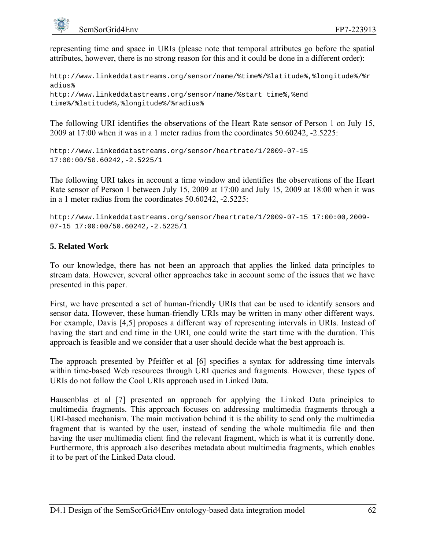

representing time and space in URIs (please note that temporal attributes go before the spatial attributes, however, there is no strong reason for this and it could be done in a different order):

```
http://www.linkeddatastreams.org/sensor/name/%time%/%latitude%,%longitude%/%r
adius%
http://www.linkeddatastreams.org/sensor/name/%start time%,%end 
time%/%latitude%,%longitude%/%radius%
```
The following URI identifies the observations of the Heart Rate sensor of Person 1 on July 15, 2009 at 17:00 when it was in a 1 meter radius from the coordinates 50.60242, -2.5225:

```
http://www.linkeddatastreams.org/sensor/heartrate/1/2009-07-15 
17:00:00/50.60242,-2.5225/1
```
The following URI takes in account a time window and identifies the observations of the Heart Rate sensor of Person 1 between July 15, 2009 at 17:00 and July 15, 2009 at 18:00 when it was in a 1 meter radius from the coordinates 50.60242, -2.5225:

```
http://www.linkeddatastreams.org/sensor/heartrate/1/2009-07-15 17:00:00,2009-
07-15 17:00:00/50.60242,-2.5225/1
```
### **5. Related Work**

To our knowledge, there has not been an approach that applies the linked data principles to stream data. However, several other approaches take in account some of the issues that we have presented in this paper.

First, we have presented a set of human-friendly URIs that can be used to identify sensors and sensor data. However, these human-friendly URIs may be written in many other different ways. For example, Davis [4,5] proposes a different way of representing intervals in URIs. Instead of having the start and end time in the URI, one could write the start time with the duration. This approach is feasible and we consider that a user should decide what the best approach is.

The approach presented by Pfeiffer et al [6] specifies a syntax for addressing time intervals within time-based Web resources through URI queries and fragments. However, these types of URIs do not follow the Cool URIs approach used in Linked Data.

Hausenblas et al [7] presented an approach for applying the Linked Data principles to multimedia fragments. This approach focuses on addressing multimedia fragments through a URI-based mechanism. The main motivation behind it is the ability to send only the multimedia fragment that is wanted by the user, instead of sending the whole multimedia file and then having the user multimedia client find the relevant fragment, which is what it is currently done. Furthermore, this approach also describes metadata about multimedia fragments, which enables it to be part of the Linked Data cloud.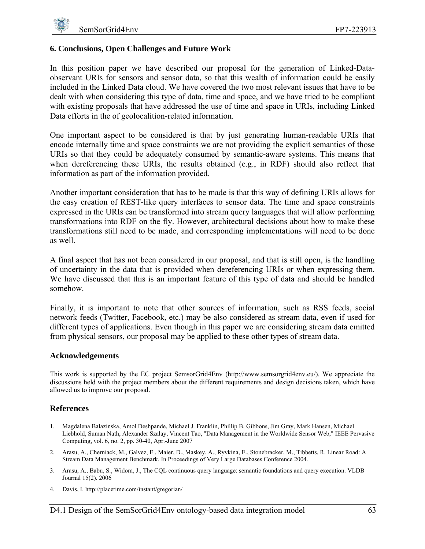

#### **6. Conclusions, Open Challenges and Future Work**

In this position paper we have described our proposal for the generation of Linked-Dataobservant URIs for sensors and sensor data, so that this wealth of information could be easily included in the Linked Data cloud. We have covered the two most relevant issues that have to be dealt with when considering this type of data, time and space, and we have tried to be compliant with existing proposals that have addressed the use of time and space in URIs, including Linked Data efforts in the of geolocalition-related information.

One important aspect to be considered is that by just generating human-readable URIs that encode internally time and space constraints we are not providing the explicit semantics of those URIs so that they could be adequately consumed by semantic-aware systems. This means that when dereferencing these URIs, the results obtained (e.g., in RDF) should also reflect that information as part of the information provided.

Another important consideration that has to be made is that this way of defining URIs allows for the easy creation of REST-like query interfaces to sensor data. The time and space constraints expressed in the URIs can be transformed into stream query languages that will allow performing transformations into RDF on the fly. However, architectural decisions about how to make these transformations still need to be made, and corresponding implementations will need to be done as well.

A final aspect that has not been considered in our proposal, and that is still open, is the handling of uncertainty in the data that is provided when dereferencing URIs or when expressing them. We have discussed that this is an important feature of this type of data and should be handled somehow.

Finally, it is important to note that other sources of information, such as RSS feeds, social network feeds (Twitter, Facebook, etc.) may be also considered as stream data, even if used for different types of applications. Even though in this paper we are considering stream data emitted from physical sensors, our proposal may be applied to these other types of stream data.

#### **Acknowledgements**

This work is supported by the EC project SemsorGrid4Env (http://www.semsorgrid4env.eu/). We appreciate the discussions held with the project members about the different requirements and design decisions taken, which have allowed us to improve our proposal.

#### **References**

- 1. Magdalena Balazinska, Amol Deshpande, Michael J. Franklin, Phillip B. Gibbons, Jim Gray, Mark Hansen, Michael Liebhold, Suman Nath, Alexander Szalay, Vincent Tao, "Data Management in the Worldwide Sensor Web," IEEE Pervasive Computing, vol. 6, no. 2, pp. 30-40, Apr.-June 2007
- 2. Arasu, A., Cherniack, M., Galvez, E., Maier, D., Maskey, A., Ryvkina, E., Stonebracker, M., Tibbetts, R. Linear Road: A Stream Data Management Benchmark. In Proceedings of Very Large Databases Conference 2004.
- 3. Arasu, A., Babu, S., Widom, J., The CQL continuous query language: semantic foundations and query execution. VLDB Journal 15(2). 2006
- 4. Davis, I. http://placetime.com/instant/gregorian/